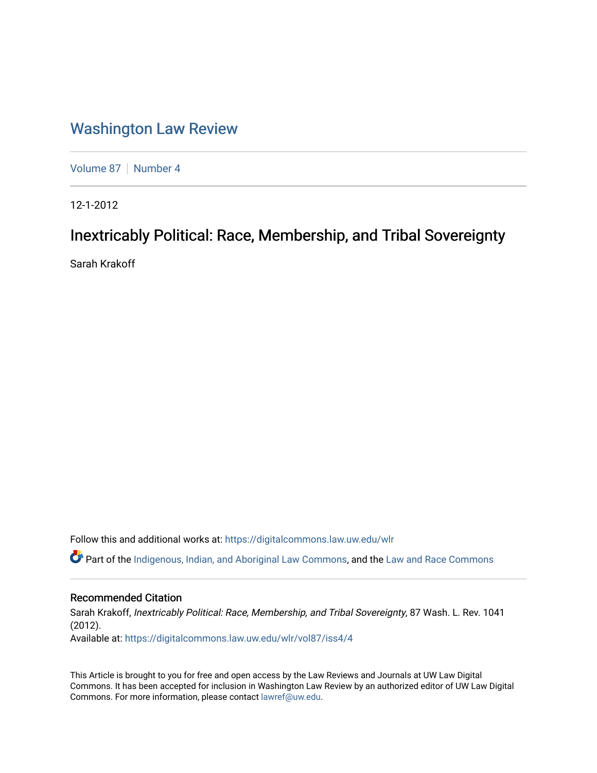# [Washington Law Review](https://digitalcommons.law.uw.edu/wlr)

[Volume 87](https://digitalcommons.law.uw.edu/wlr/vol87) | [Number 4](https://digitalcommons.law.uw.edu/wlr/vol87/iss4)

12-1-2012

# Inextricably Political: Race, Membership, and Tribal Sovereignty

Sarah Krakoff

Follow this and additional works at: [https://digitalcommons.law.uw.edu/wlr](https://digitalcommons.law.uw.edu/wlr?utm_source=digitalcommons.law.uw.edu%2Fwlr%2Fvol87%2Fiss4%2F4&utm_medium=PDF&utm_campaign=PDFCoverPages)

**C** Part of the [Indigenous, Indian, and Aboriginal Law Commons](http://network.bepress.com/hgg/discipline/894?utm_source=digitalcommons.law.uw.edu%2Fwlr%2Fvol87%2Fiss4%2F4&utm_medium=PDF&utm_campaign=PDFCoverPages), and the Law and Race Commons

# Recommended Citation

Sarah Krakoff, Inextricably Political: Race, Membership, and Tribal Sovereignty, 87 Wash. L. Rev. 1041 (2012). Available at: [https://digitalcommons.law.uw.edu/wlr/vol87/iss4/4](https://digitalcommons.law.uw.edu/wlr/vol87/iss4/4?utm_source=digitalcommons.law.uw.edu%2Fwlr%2Fvol87%2Fiss4%2F4&utm_medium=PDF&utm_campaign=PDFCoverPages)

This Article is brought to you for free and open access by the Law Reviews and Journals at UW Law Digital Commons. It has been accepted for inclusion in Washington Law Review by an authorized editor of UW Law Digital Commons. For more information, please contact [lawref@uw.edu](mailto:lawref@uw.edu).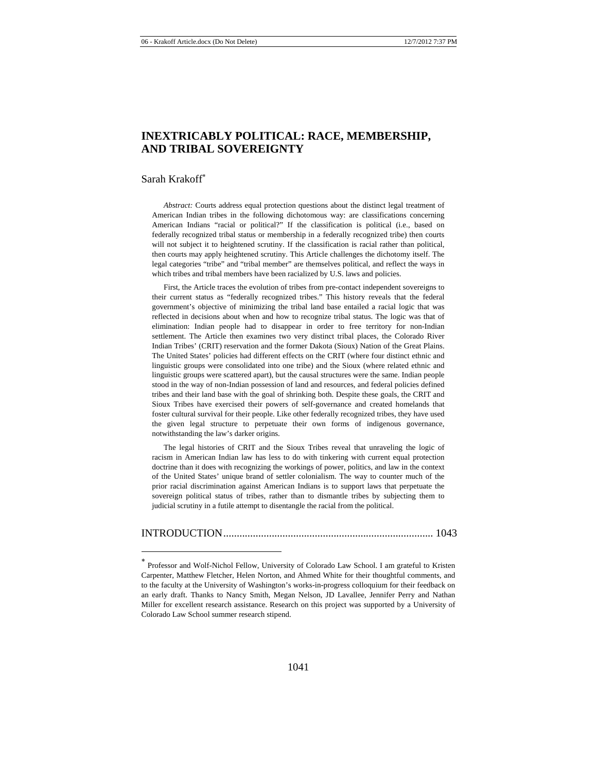# **INEXTRICABLY POLITICAL: RACE, MEMBERSHIP, AND TRIBAL SOVEREIGNTY**

### Sarah Krakoff

*Abstract:* Courts address equal protection questions about the distinct legal treatment of American Indian tribes in the following dichotomous way: are classifications concerning American Indians "racial or political?" If the classification is political (i.e., based on federally recognized tribal status or membership in a federally recognized tribe) then courts will not subject it to heightened scrutiny. If the classification is racial rather than political, then courts may apply heightened scrutiny. This Article challenges the dichotomy itself. The legal categories "tribe" and "tribal member" are themselves political, and reflect the ways in which tribes and tribal members have been racialized by U.S. laws and policies.

First, the Article traces the evolution of tribes from pre-contact independent sovereigns to their current status as "federally recognized tribes." This history reveals that the federal government's objective of minimizing the tribal land base entailed a racial logic that was reflected in decisions about when and how to recognize tribal status. The logic was that of elimination: Indian people had to disappear in order to free territory for non-Indian settlement. The Article then examines two very distinct tribal places, the Colorado River Indian Tribes' (CRIT) reservation and the former Dakota (Sioux) Nation of the Great Plains. The United States' policies had different effects on the CRIT (where four distinct ethnic and linguistic groups were consolidated into one tribe) and the Sioux (where related ethnic and linguistic groups were scattered apart), but the causal structures were the same. Indian people stood in the way of non-Indian possession of land and resources, and federal policies defined tribes and their land base with the goal of shrinking both. Despite these goals, the CRIT and Sioux Tribes have exercised their powers of self-governance and created homelands that foster cultural survival for their people. Like other federally recognized tribes, they have used the given legal structure to perpetuate their own forms of indigenous governance, notwithstanding the law's darker origins.

The legal histories of CRIT and the Sioux Tribes reveal that unraveling the logic of racism in American Indian law has less to do with tinkering with current equal protection doctrine than it does with recognizing the workings of power, politics, and law in the context of the United States' unique brand of settler colonialism. The way to counter much of the prior racial discrimination against American Indians is to support laws that perpetuate the sovereign political status of tribes, rather than to dismantle tribes by subjecting them to judicial scrutiny in a futile attempt to disentangle the racial from the political.

INTRODUCTION .............................................................................. 1043

<sup>\*</sup>  Professor and Wolf-Nichol Fellow, University of Colorado Law School. I am grateful to Kristen Carpenter, Matthew Fletcher, Helen Norton, and Ahmed White for their thoughtful comments, and to the faculty at the University of Washington's works-in-progress colloquium for their feedback on an early draft. Thanks to Nancy Smith, Megan Nelson, JD Lavallee, Jennifer Perry and Nathan Miller for excellent research assistance. Research on this project was supported by a University of Colorado Law School summer research stipend.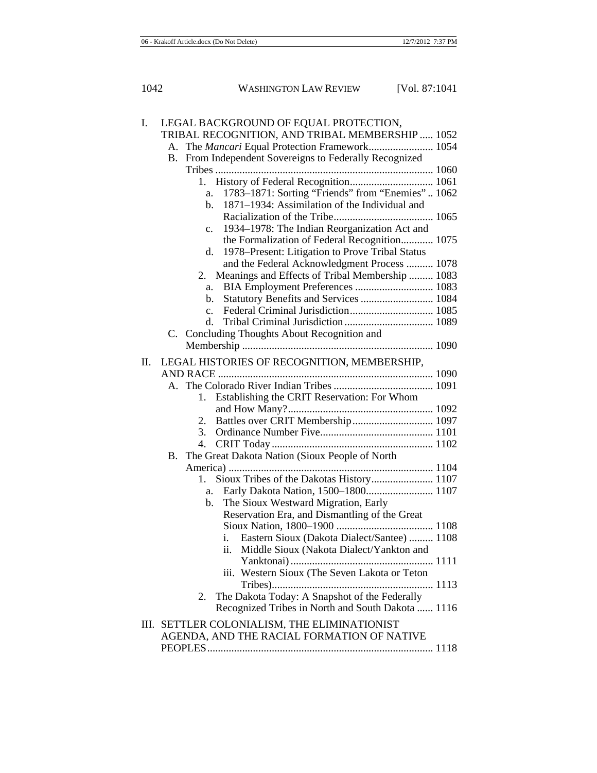| Ι. | LEGAL BACKGROUND OF EQUAL PROTECTION,                           |
|----|-----------------------------------------------------------------|
|    | TRIBAL RECOGNITION, AND TRIBAL MEMBERSHIP  1052                 |
|    | The Mancari Equal Protection Framework 1054<br>А.               |
|    | From Independent Sovereigns to Federally Recognized<br>В.       |
|    |                                                                 |
|    |                                                                 |
|    | 1783-1871: Sorting "Friends" from "Enemies" 1062<br>a.          |
|    | 1871–1934: Assimilation of the Individual and<br>$\mathbf{b}$ . |
|    |                                                                 |
|    | 1934–1978: The Indian Reorganization Act and<br>c.              |
|    | the Formalization of Federal Recognition 1075                   |
|    | 1978–Present: Litigation to Prove Tribal Status<br>d.           |
|    | and the Federal Acknowledgment Process  1078                    |
|    | Meanings and Effects of Tribal Membership  1083<br>2.           |
|    | BIA Employment Preferences  1083<br>a.                          |
|    | Statutory Benefits and Services  1084<br>b.                     |
|    | $\mathbf{c}$ .                                                  |
|    | d.                                                              |
|    | C. Concluding Thoughts About Recognition and                    |
|    |                                                                 |
| П. | LEGAL HISTORIES OF RECOGNITION, MEMBERSHIP,                     |
|    |                                                                 |
|    |                                                                 |
|    | Establishing the CRIT Reservation: For Whom<br>1.               |
|    |                                                                 |
|    | Battles over CRIT Membership 1097<br>2.                         |
|    | 3.                                                              |
|    | 4.                                                              |
|    | The Great Dakota Nation (Sioux People of North<br><b>B.</b>     |
|    |                                                                 |
|    | Sioux Tribes of the Dakotas History 1107<br>1.                  |
|    | a.                                                              |
|    | The Sioux Westward Migration, Early<br>$\mathbf{b}$ .           |
|    | Reservation Era, and Dismantling of the Great                   |
|    |                                                                 |
|    | Eastern Sioux (Dakota Dialect/Santee)  1108<br>1.               |
|    | ii. Middle Sioux (Nakota Dialect/Yankton and                    |
|    |                                                                 |
|    | iii. Western Sioux (The Seven Lakota or Teton                   |
|    |                                                                 |
|    | The Dakota Today: A Snapshot of the Federally<br>2.             |
|    | Recognized Tribes in North and South Dakota  1116               |
|    | III. SETTLER COLONIALISM, THE ELIMINATIONIST                    |
|    | AGENDA, AND THE RACIAL FORMATION OF NATIVE                      |
|    |                                                                 |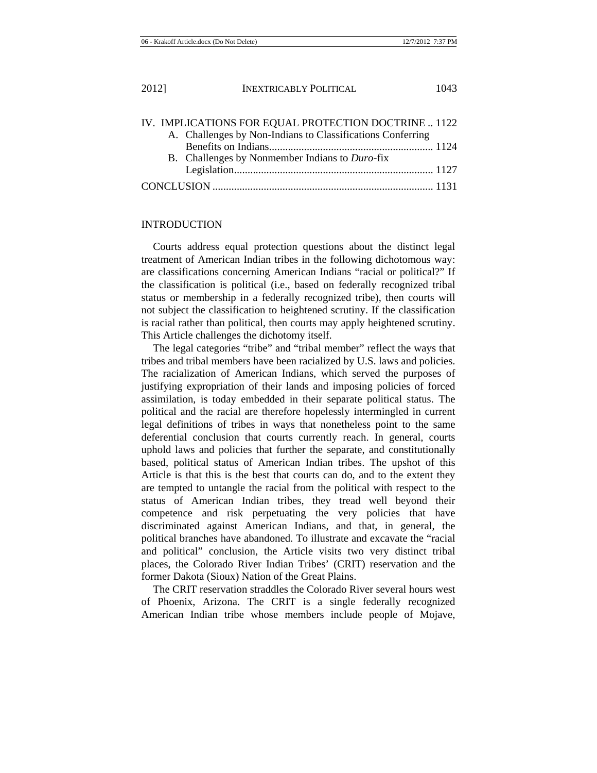|  | IV. IMPLICATIONS FOR EQUAL PROTECTION DOCTRINE  1122       |  |
|--|------------------------------------------------------------|--|
|  | A. Challenges by Non-Indians to Classifications Conferring |  |
|  |                                                            |  |
|  | B. Challenges by Nonmember Indians to Duro-fix             |  |
|  |                                                            |  |
|  |                                                            |  |

## INTRODUCTION

Courts address equal protection questions about the distinct legal treatment of American Indian tribes in the following dichotomous way: are classifications concerning American Indians "racial or political?" If the classification is political (i.e., based on federally recognized tribal status or membership in a federally recognized tribe), then courts will not subject the classification to heightened scrutiny. If the classification is racial rather than political, then courts may apply heightened scrutiny. This Article challenges the dichotomy itself.

The legal categories "tribe" and "tribal member" reflect the ways that tribes and tribal members have been racialized by U.S. laws and policies. The racialization of American Indians, which served the purposes of justifying expropriation of their lands and imposing policies of forced assimilation, is today embedded in their separate political status. The political and the racial are therefore hopelessly intermingled in current legal definitions of tribes in ways that nonetheless point to the same deferential conclusion that courts currently reach. In general, courts uphold laws and policies that further the separate, and constitutionally based, political status of American Indian tribes. The upshot of this Article is that this is the best that courts can do, and to the extent they are tempted to untangle the racial from the political with respect to the status of American Indian tribes, they tread well beyond their competence and risk perpetuating the very policies that have discriminated against American Indians, and that, in general, the political branches have abandoned. To illustrate and excavate the "racial and political" conclusion, the Article visits two very distinct tribal places, the Colorado River Indian Tribes' (CRIT) reservation and the former Dakota (Sioux) Nation of the Great Plains.

The CRIT reservation straddles the Colorado River several hours west of Phoenix, Arizona. The CRIT is a single federally recognized American Indian tribe whose members include people of Mojave,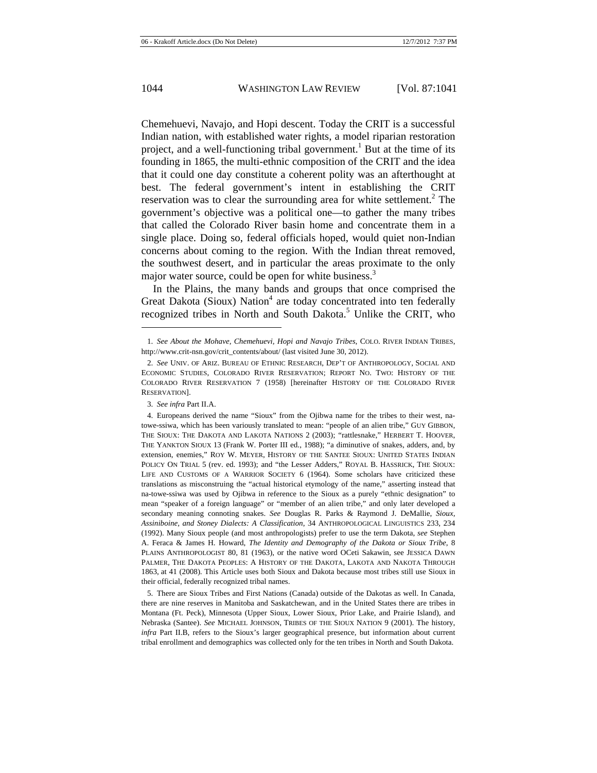Chemehuevi, Navajo, and Hopi descent. Today the CRIT is a successful Indian nation, with established water rights, a model riparian restoration project, and a well-functioning tribal government.<sup>1</sup> But at the time of its founding in 1865, the multi-ethnic composition of the CRIT and the idea that it could one day constitute a coherent polity was an afterthought at best. The federal government's intent in establishing the CRIT reservation was to clear the surrounding area for white settlement.<sup>2</sup> The government's objective was a political one—to gather the many tribes that called the Colorado River basin home and concentrate them in a single place. Doing so, federal officials hoped, would quiet non-Indian concerns about coming to the region. With the Indian threat removed, the southwest desert, and in particular the areas proximate to the only major water source, could be open for white business.<sup>3</sup>

In the Plains, the many bands and groups that once comprised the Great Dakota (Sioux) Nation<sup>4</sup> are today concentrated into ten federally recognized tribes in North and South Dakota.<sup>5</sup> Unlike the CRIT, who

<sup>1.</sup> *See About the Mohave, Chemehuevi, Hopi and Navajo Tribes*, COLO. RIVER INDIAN TRIBES, http://www.crit-nsn.gov/crit\_contents/about/ (last visited June 30, 2012).

<sup>2.</sup> *See* UNIV. OF ARIZ. BUREAU OF ETHNIC RESEARCH, DEP'T OF ANTHROPOLOGY, SOCIAL AND ECONOMIC STUDIES, COLORADO RIVER RESERVATION; REPORT NO. TWO: HISTORY OF THE COLORADO RIVER RESERVATION 7 (1958) [hereinafter HISTORY OF THE COLORADO RIVER RESERVATION].

<sup>3.</sup> *See infra* Part II.A.

<sup>4.</sup> Europeans derived the name "Sioux" from the Ojibwa name for the tribes to their west, natowe-ssiwa, which has been variously translated to mean: "people of an alien tribe," GUY GIBBON, THE SIOUX: THE DAKOTA AND LAKOTA NATIONS 2 (2003); "rattlesnake," HERBERT T. HOOVER, THE YANKTON SIOUX 13 (Frank W. Porter III ed., 1988); "a diminutive of snakes, adders, and, by extension, enemies," ROY W. MEYER, HISTORY OF THE SANTEE SIOUX: UNITED STATES INDIAN POLICY ON TRIAL 5 (rev. ed. 1993); and "the Lesser Adders," ROYAL B. HASSRICK, THE SIOUX: LIFE AND CUSTOMS OF A WARRIOR SOCIETY 6 (1964). Some scholars have criticized these translations as misconstruing the "actual historical etymology of the name," asserting instead that na-towe-ssiwa was used by Ojibwa in reference to the Sioux as a purely "ethnic designation" to mean "speaker of a foreign language" or "member of an alien tribe," and only later developed a secondary meaning connoting snakes. *See* Douglas R. Parks & Raymond J. DeMallie, *Sioux, Assiniboine, and Stoney Dialects: A Classification*, 34 ANTHROPOLOGICAL LINGUISTICS 233, 234 (1992). Many Sioux people (and most anthropologists) prefer to use the term Dakota, *see* Stephen A. Feraca & James H. Howard, *The Identity and Demography of the Dakota or Sioux Tribe*, 8 PLAINS ANTHROPOLOGIST 80, 81 (1963), or the native word OCeti Sakawin, see JESSICA DAWN PALMER, THE DAKOTA PEOPLES: A HISTORY OF THE DAKOTA, LAKOTA AND NAKOTA THROUGH 1863, at 41 (2008). This Article uses both Sioux and Dakota because most tribes still use Sioux in their official, federally recognized tribal names.

<sup>5.</sup> There are Sioux Tribes and First Nations (Canada) outside of the Dakotas as well. In Canada, there are nine reserves in Manitoba and Saskatchewan, and in the United States there are tribes in Montana (Ft. Peck), Minnesota (Upper Sioux, Lower Sioux, Prior Lake, and Prairie Island), and Nebraska (Santee). *See* MICHAEL JOHNSON, TRIBES OF THE SIOUX NATION 9 (2001). The history, *infra* Part II.B, refers to the Sioux's larger geographical presence, but information about current tribal enrollment and demographics was collected only for the ten tribes in North and South Dakota.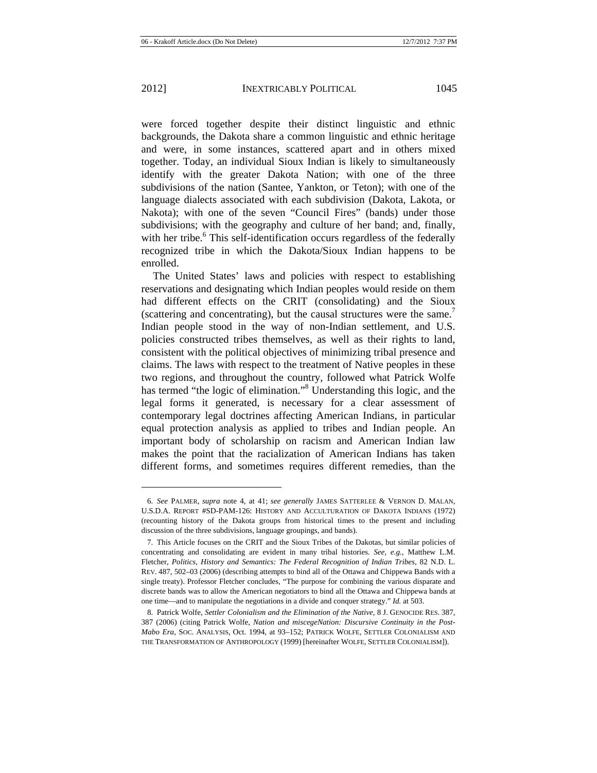were forced together despite their distinct linguistic and ethnic backgrounds, the Dakota share a common linguistic and ethnic heritage and were, in some instances, scattered apart and in others mixed together. Today, an individual Sioux Indian is likely to simultaneously identify with the greater Dakota Nation; with one of the three subdivisions of the nation (Santee, Yankton, or Teton); with one of the language dialects associated with each subdivision (Dakota, Lakota, or Nakota); with one of the seven "Council Fires" (bands) under those subdivisions; with the geography and culture of her band; and, finally, with her tribe.<sup>6</sup> This self-identification occurs regardless of the federally recognized tribe in which the Dakota/Sioux Indian happens to be enrolled.

The United States' laws and policies with respect to establishing reservations and designating which Indian peoples would reside on them had different effects on the CRIT (consolidating) and the Sioux (scattering and concentrating), but the causal structures were the same.<sup>7</sup> Indian people stood in the way of non-Indian settlement, and U.S. policies constructed tribes themselves, as well as their rights to land, consistent with the political objectives of minimizing tribal presence and claims. The laws with respect to the treatment of Native peoples in these two regions, and throughout the country, followed what Patrick Wolfe has termed "the logic of elimination."<sup>8</sup> Understanding this logic, and the legal forms it generated, is necessary for a clear assessment of contemporary legal doctrines affecting American Indians, in particular equal protection analysis as applied to tribes and Indian people. An important body of scholarship on racism and American Indian law makes the point that the racialization of American Indians has taken different forms, and sometimes requires different remedies, than the

<sup>6.</sup> *See* PALMER, *supra* note 4, at 41; *see generally* JAMES SATTERLEE & VERNON D. MALAN, U.S.D.A. REPORT #SD-PAM-126: HISTORY AND ACCULTURATION OF DAKOTA INDIANS (1972) (recounting history of the Dakota groups from historical times to the present and including discussion of the three subdivisions, language groupings, and bands).

<sup>7.</sup> This Article focuses on the CRIT and the Sioux Tribes of the Dakotas, but similar policies of concentrating and consolidating are evident in many tribal histories. *See, e.g.*, Matthew L.M. Fletcher, *Politics, History and Semantics: The Federal Recognition of Indian Tribes*, 82 N.D. L. REV. 487, 502–03 (2006) (describing attempts to bind all of the Ottawa and Chippewa Bands with a single treaty). Professor Fletcher concludes, "The purpose for combining the various disparate and discrete bands was to allow the American negotiators to bind all the Ottawa and Chippewa bands at one time—and to manipulate the negotiations in a divide and conquer strategy." *Id.* at 503.

<sup>8.</sup> Patrick Wolfe, *Settler Colonialism and the Elimination of the Native*, 8 J. GENOCIDE RES. 387, 387 (2006) (citing Patrick Wolfe, *Nation and miscegeNation: Discursive Continuity in the Post-Mabo Era*, SOC. ANALYSIS, Oct. 1994, at 93–152; PATRICK WOLFE, SETTLER COLONIALISM AND THE TRANSFORMATION OF ANTHROPOLOGY (1999) [hereinafter WOLFE, SETTLER COLONIALISM]).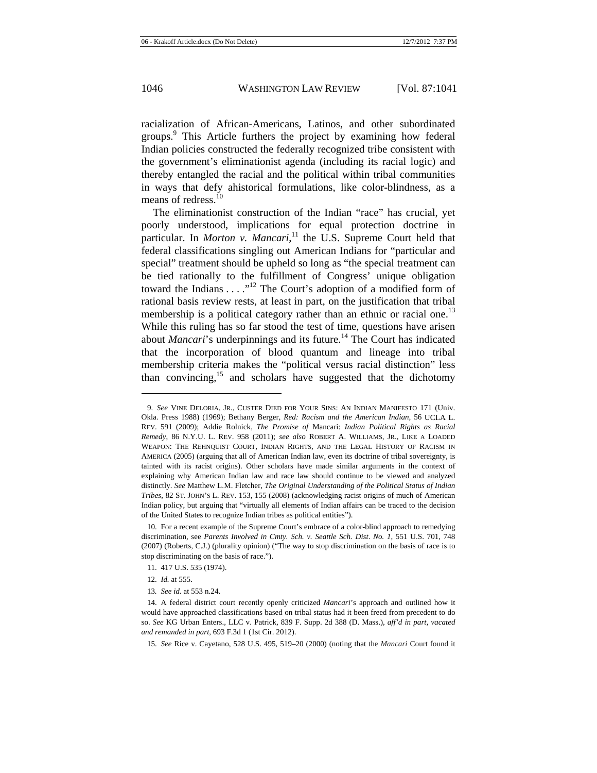racialization of African-Americans, Latinos, and other subordinated groups.<sup>9</sup> This Article furthers the project by examining how federal Indian policies constructed the federally recognized tribe consistent with the government's eliminationist agenda (including its racial logic) and thereby entangled the racial and the political within tribal communities in ways that defy ahistorical formulations, like color-blindness, as a means of redress.<sup>10</sup>

The eliminationist construction of the Indian "race" has crucial, yet poorly understood, implications for equal protection doctrine in particular. In *Morton v. Mancari*,<sup>11</sup> the U.S. Supreme Court held that federal classifications singling out American Indians for "particular and special" treatment should be upheld so long as "the special treatment can be tied rationally to the fulfillment of Congress' unique obligation toward the Indians . . . .<sup>"12</sup> The Court's adoption of a modified form of rational basis review rests, at least in part, on the justification that tribal membership is a political category rather than an ethnic or racial one.<sup>13</sup> While this ruling has so far stood the test of time, questions have arisen about *Mancari*'s underpinnings and its future.<sup>14</sup> The Court has indicated that the incorporation of blood quantum and lineage into tribal membership criteria makes the "political versus racial distinction" less than convincing,<sup>15</sup> and scholars have suggested that the dichotomy

<sup>9.</sup> *See* VINE DELORIA, JR., CUSTER DIED FOR YOUR SINS: AN INDIAN MANIFESTO 171 (Univ. Okla. Press 1988) (1969); Bethany Berger, *Red: Racism and the American Indian*, 56 UCLA L. REV. 591 (2009); Addie Rolnick, *The Promise of* Mancari: *Indian Political Rights as Racial Remedy*, 86 N.Y.U. L. REV. 958 (2011); *see also* ROBERT A. WILLIAMS, JR., LIKE A LOADED WEAPON: THE REHNOUIST COURT, INDIAN RIGHTS, AND THE LEGAL HISTORY OF RACISM IN AMERICA (2005) (arguing that all of American Indian law, even its doctrine of tribal sovereignty, is tainted with its racist origins). Other scholars have made similar arguments in the context of explaining why American Indian law and race law should continue to be viewed and analyzed distinctly. *See* Matthew L.M. Fletcher, *The Original Understanding of the Political Status of Indian Tribes*, 82 ST. JOHN'S L. REV. 153, 155 (2008) (acknowledging racist origins of much of American Indian policy, but arguing that "virtually all elements of Indian affairs can be traced to the decision of the United States to recognize Indian tribes as political entities").

<sup>10.</sup> For a recent example of the Supreme Court's embrace of a color-blind approach to remedying discrimination, see *Parents Involved in Cmty. Sch. v. Seattle Sch. Dist*. *No. 1*, 551 U.S. 701, 748 (2007) (Roberts, C.J.) (plurality opinion) ("The way to stop discrimination on the basis of race is to stop discriminating on the basis of race.").

<sup>11. 417</sup> U.S. 535 (1974).

<sup>12.</sup> *Id.* at 555.

<sup>13</sup>*. See id.* at 553 n.24.

<sup>14.</sup> A federal district court recently openly criticized *Mancari*'s approach and outlined how it would have approached classifications based on tribal status had it been freed from precedent to do so. *See* KG Urban Enters., LLC v. Patrick, 839 F. Supp. 2d 388 (D. Mass.), *aff'd in part, vacated and remanded in part*, 693 F.3d 1 (1st Cir. 2012).

<sup>15.</sup> *See* Rice v. Cayetano, 528 U.S. 495, 519–20 (2000) (noting that the *Mancari* Court found it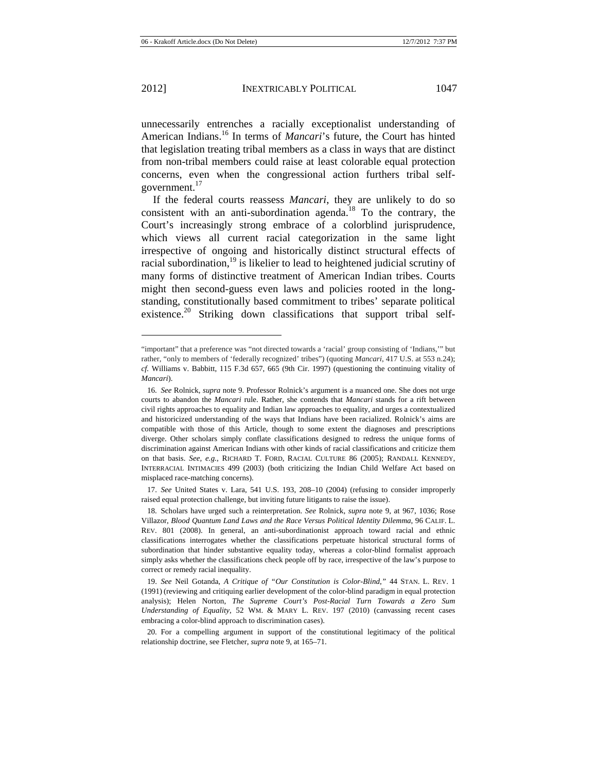unnecessarily entrenches a racially exceptionalist understanding of American Indians.16 In terms of *Mancari*'s future, the Court has hinted that legislation treating tribal members as a class in ways that are distinct from non-tribal members could raise at least colorable equal protection concerns, even when the congressional action furthers tribal selfgovernment.<sup>17</sup>

If the federal courts reassess *Mancari*, they are unlikely to do so consistent with an anti-subordination agenda.<sup>18</sup> To the contrary, the Court's increasingly strong embrace of a colorblind jurisprudence, which views all current racial categorization in the same light irrespective of ongoing and historically distinct structural effects of racial subordination,<sup>19</sup> is likelier to lead to heightened judicial scrutiny of many forms of distinctive treatment of American Indian tribes. Courts might then second-guess even laws and policies rooted in the longstanding, constitutionally based commitment to tribes' separate political existence.<sup>20</sup> Striking down classifications that support tribal self-

<sup>&</sup>quot;important" that a preference was "not directed towards a 'racial' group consisting of 'Indians,'" but rather, "only to members of 'federally recognized' tribes") (quoting *Mancari*, 417 U.S. at 553 n.24); *cf.* Williams v. Babbitt, 115 F.3d 657, 665 (9th Cir. 1997) (questioning the continuing vitality of *Mancari*).

<sup>16.</sup> *See* Rolnick, *supra* note 9. Professor Rolnick's argument is a nuanced one. She does not urge courts to abandon the *Mancari* rule. Rather, she contends that *Mancari* stands for a rift between civil rights approaches to equality and Indian law approaches to equality, and urges a contextualized and historicized understanding of the ways that Indians have been racialized. Rolnick's aims are compatible with those of this Article, though to some extent the diagnoses and prescriptions diverge. Other scholars simply conflate classifications designed to redress the unique forms of discrimination against American Indians with other kinds of racial classifications and criticize them on that basis. *See, e.g.*, RICHARD T. FORD, RACIAL CULTURE 86 (2005); RANDALL KENNEDY, INTERRACIAL INTIMACIES 499 (2003) (both criticizing the Indian Child Welfare Act based on misplaced race-matching concerns).

<sup>17.</sup> *See* United States v. Lara, 541 U.S. 193, 208–10 (2004) (refusing to consider improperly raised equal protection challenge, but inviting future litigants to raise the issue).

<sup>18.</sup> Scholars have urged such a reinterpretation. *See* Rolnick, *supra* note 9, at 967, 1036; Rose Villazor, *Blood Quantum Land Laws and the Race Versus Political Identity Dilemma*, 96 CALIF. L. REV. 801 (2008). In general, an anti-subordinationist approach toward racial and ethnic classifications interrogates whether the classifications perpetuate historical structural forms of subordination that hinder substantive equality today, whereas a color-blind formalist approach simply asks whether the classifications check people off by race, irrespective of the law's purpose to correct or remedy racial inequality.

<sup>19.</sup> *See* Neil Gotanda, *A Critique of "Our Constitution is Color-Blind*,*"* 44 STAN. L. REV. 1 (1991) (reviewing and critiquing earlier development of the color-blind paradigm in equal protection analysis); Helen Norton, *The Supreme Court's Post-Racial Turn Towards a Zero Sum Understanding of Equality*, 52 WM. & MARY L. REV. 197 (2010) (canvassing recent cases embracing a color-blind approach to discrimination cases).

<sup>20.</sup> For a compelling argument in support of the constitutional legitimacy of the political relationship doctrine, see Fletcher, *supra* note 9, at 165–71.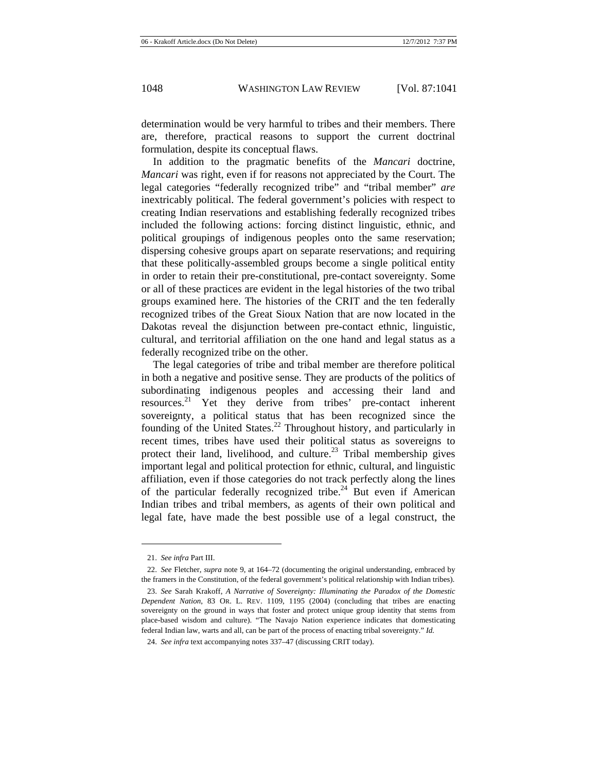determination would be very harmful to tribes and their members. There are, therefore, practical reasons to support the current doctrinal formulation, despite its conceptual flaws.

In addition to the pragmatic benefits of the *Mancari* doctrine, *Mancari* was right, even if for reasons not appreciated by the Court. The legal categories "federally recognized tribe" and "tribal member" *are*  inextricably political. The federal government's policies with respect to creating Indian reservations and establishing federally recognized tribes included the following actions: forcing distinct linguistic, ethnic, and political groupings of indigenous peoples onto the same reservation; dispersing cohesive groups apart on separate reservations; and requiring that these politically-assembled groups become a single political entity in order to retain their pre-constitutional, pre-contact sovereignty. Some or all of these practices are evident in the legal histories of the two tribal groups examined here. The histories of the CRIT and the ten federally recognized tribes of the Great Sioux Nation that are now located in the Dakotas reveal the disjunction between pre-contact ethnic, linguistic, cultural, and territorial affiliation on the one hand and legal status as a federally recognized tribe on the other.

The legal categories of tribe and tribal member are therefore political in both a negative and positive sense. They are products of the politics of subordinating indigenous peoples and accessing their land and resources.<sup>21</sup> Yet they derive from tribes' pre-contact inherent sovereignty, a political status that has been recognized since the founding of the United States.<sup>22</sup> Throughout history, and particularly in recent times, tribes have used their political status as sovereigns to protect their land, livelihood, and culture.<sup>23</sup> Tribal membership gives important legal and political protection for ethnic, cultural, and linguistic affiliation, even if those categories do not track perfectly along the lines of the particular federally recognized tribe.<sup>24</sup> But even if American Indian tribes and tribal members, as agents of their own political and legal fate, have made the best possible use of a legal construct, the

<sup>21.</sup> *See infra* Part III.

<sup>22.</sup> *See* Fletcher, *supra* note 9, at 164–72 (documenting the original understanding, embraced by the framers in the Constitution, of the federal government's political relationship with Indian tribes).

<sup>23.</sup> *See* Sarah Krakoff, *A Narrative of Sovereignty: Illuminating the Paradox of the Domestic Dependent Nation*, 83 OR. L. REV. 1109, 1195 (2004) (concluding that tribes are enacting sovereignty on the ground in ways that foster and protect unique group identity that stems from place-based wisdom and culture). "The Navajo Nation experience indicates that domesticating federal Indian law, warts and all, can be part of the process of enacting tribal sovereignty." *Id.*

<sup>24.</sup> *See infra* text accompanying notes 337–47 (discussing CRIT today).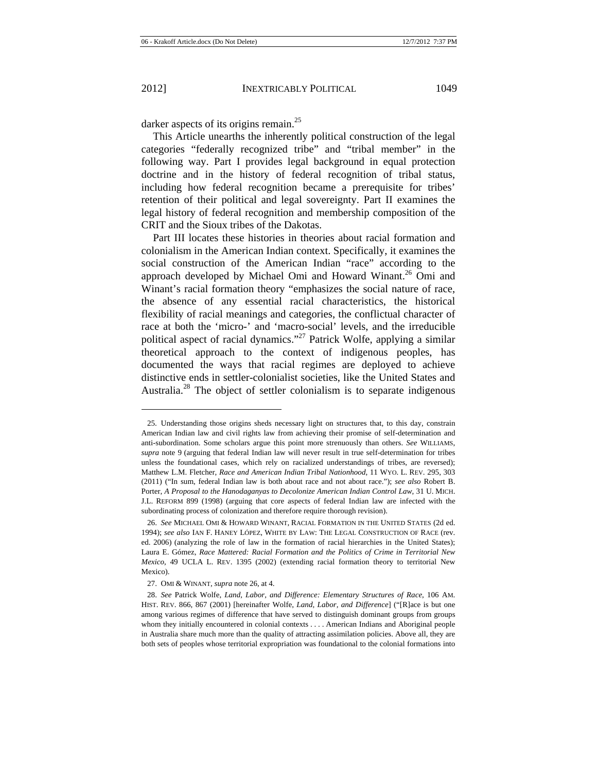darker aspects of its origins remain.<sup>25</sup>

This Article unearths the inherently political construction of the legal categories "federally recognized tribe" and "tribal member" in the following way. Part I provides legal background in equal protection doctrine and in the history of federal recognition of tribal status, including how federal recognition became a prerequisite for tribes' retention of their political and legal sovereignty. Part II examines the legal history of federal recognition and membership composition of the CRIT and the Sioux tribes of the Dakotas.

Part III locates these histories in theories about racial formation and colonialism in the American Indian context. Specifically, it examines the social construction of the American Indian "race" according to the approach developed by Michael Omi and Howard Winant.<sup>26</sup> Omi and Winant's racial formation theory "emphasizes the social nature of race, the absence of any essential racial characteristics, the historical flexibility of racial meanings and categories, the conflictual character of race at both the 'micro-' and 'macro-social' levels, and the irreducible political aspect of racial dynamics."27 Patrick Wolfe, applying a similar theoretical approach to the context of indigenous peoples, has documented the ways that racial regimes are deployed to achieve distinctive ends in settler-colonialist societies, like the United States and Australia.<sup>28</sup> The object of settler colonialism is to separate indigenous

<sup>25.</sup> Understanding those origins sheds necessary light on structures that, to this day, constrain American Indian law and civil rights law from achieving their promise of self-determination and anti-subordination. Some scholars argue this point more strenuously than others. *See* WILLIAMS, *supra* note 9 (arguing that federal Indian law will never result in true self-determination for tribes unless the foundational cases, which rely on racialized understandings of tribes, are reversed); Matthew L.M. Fletcher, *Race and American Indian Tribal Nationhood*, 11 WYO. L. REV. 295, 303 (2011) ("In sum, federal Indian law is both about race and not about race."); *see also* Robert B. Porter, *A Proposal to the Hanodaganyas to Decolonize American Indian Control Law*, 31 U. MICH. J.L. REFORM 899 (1998) (arguing that core aspects of federal Indian law are infected with the subordinating process of colonization and therefore require thorough revision).

<sup>26.</sup> *See* MICHAEL OMI & HOWARD WINANT, RACIAL FORMATION IN THE UNITED STATES (2d ed. 1994); *see also* IAN F. HANEY LÓPEZ, WHITE BY LAW: THE LEGAL CONSTRUCTION OF RACE (rev. ed. 2006) (analyzing the role of law in the formation of racial hierarchies in the United States); Laura E. Gómez, *Race Mattered: Racial Formation and the Politics of Crime in Territorial New Mexico*, 49 UCLA L. REV. 1395 (2002) (extending racial formation theory to territorial New Mexico).

<sup>27.</sup> OMI & WINANT, *supra* note 26, at 4.

<sup>28.</sup> *See* Patrick Wolfe, *Land, Labor, and Difference: Elementary Structures of Race*, 106 AM. HIST. REV. 866, 867 (2001) [hereinafter Wolfe, *Land, Labor, and Difference*] ("[R]ace is but one among various regimes of difference that have served to distinguish dominant groups from groups whom they initially encountered in colonial contexts . . . . American Indians and Aboriginal people in Australia share much more than the quality of attracting assimilation policies. Above all, they are both sets of peoples whose territorial expropriation was foundational to the colonial formations into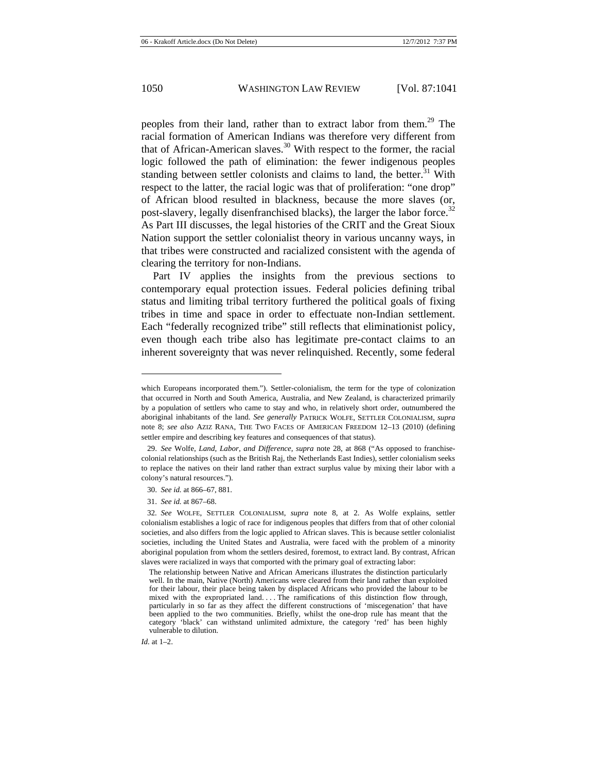peoples from their land, rather than to extract labor from them.<sup>29</sup> The racial formation of American Indians was therefore very different from that of African-American slaves.<sup>30</sup> With respect to the former, the racial logic followed the path of elimination: the fewer indigenous peoples standing between settler colonists and claims to land, the better. $31$  With respect to the latter, the racial logic was that of proliferation: "one drop" of African blood resulted in blackness, because the more slaves (or, post-slavery, legally disenfranchised blacks), the larger the labor force.<sup>32</sup> As Part III discusses, the legal histories of the CRIT and the Great Sioux Nation support the settler colonialist theory in various uncanny ways, in that tribes were constructed and racialized consistent with the agenda of clearing the territory for non-Indians.

Part IV applies the insights from the previous sections to contemporary equal protection issues. Federal policies defining tribal status and limiting tribal territory furthered the political goals of fixing tribes in time and space in order to effectuate non-Indian settlement. Each "federally recognized tribe" still reflects that eliminationist policy, even though each tribe also has legitimate pre-contact claims to an inherent sovereignty that was never relinquished. Recently, some federal

*Id.* at 1–2.

which Europeans incorporated them."). Settler-colonialism, the term for the type of colonization that occurred in North and South America, Australia, and New Zealand, is characterized primarily by a population of settlers who came to stay and who, in relatively short order, outnumbered the aboriginal inhabitants of the land. *See generally* PATRICK WOLFE, SETTLER COLONIALISM, *supra*  note 8; *see also* AZIZ RANA, THE TWO FACES OF AMERICAN FREEDOM 12–13 (2010) (defining settler empire and describing key features and consequences of that status).

<sup>29.</sup> *See* Wolfe, *Land, Labor, and Difference*, *supra* note 28, at 868 ("As opposed to franchisecolonial relationships (such as the British Raj, the Netherlands East Indies), settler colonialism seeks to replace the natives on their land rather than extract surplus value by mixing their labor with a colony's natural resources.").

<sup>30.</sup> *See id.* at 866–67, 881.

<sup>31.</sup> *See id.* at 867–68.

<sup>32</sup>*. See* WOLFE, SETTLER COLONIALISM, *supra* note 8, at 2. As Wolfe explains, settler colonialism establishes a logic of race for indigenous peoples that differs from that of other colonial societies, and also differs from the logic applied to African slaves. This is because settler colonialist societies, including the United States and Australia, were faced with the problem of a minority aboriginal population from whom the settlers desired, foremost, to extract land. By contrast, African slaves were racialized in ways that comported with the primary goal of extracting labor:

The relationship between Native and African Americans illustrates the distinction particularly well. In the main, Native (North) Americans were cleared from their land rather than exploited for their labour, their place being taken by displaced Africans who provided the labour to be mixed with the expropriated land. . . . The ramifications of this distinction flow through, particularly in so far as they affect the different constructions of 'miscegenation' that have been applied to the two communities. Briefly, whilst the one-drop rule has meant that the category 'black' can withstand unlimited admixture, the category 'red' has been highly vulnerable to dilution.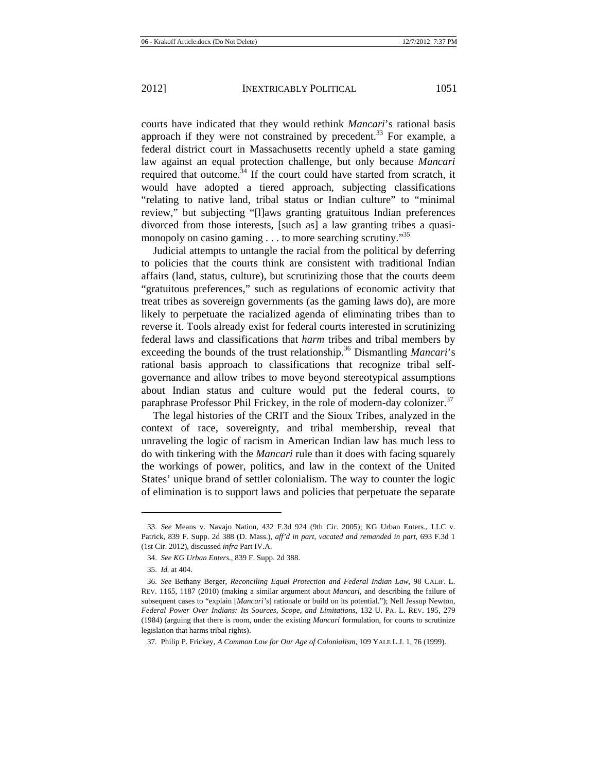required that outcome.<sup>34</sup> If the court could have started from scratch, it would have adopted a tiered approach, subjecting classifications "relating to native land, tribal status or Indian culture" to "minimal review," but subjecting "[l]aws granting gratuitous Indian preferences divorced from those interests, [such as] a law granting tribes a quasimonopoly on casino gaming  $\dots$  to more searching scrutiny.<sup>35</sup>

Judicial attempts to untangle the racial from the political by deferring to policies that the courts think are consistent with traditional Indian affairs (land, status, culture), but scrutinizing those that the courts deem "gratuitous preferences," such as regulations of economic activity that treat tribes as sovereign governments (as the gaming laws do), are more likely to perpetuate the racialized agenda of eliminating tribes than to reverse it. Tools already exist for federal courts interested in scrutinizing federal laws and classifications that *harm* tribes and tribal members by exceeding the bounds of the trust relationship.<sup>36</sup> Dismantling *Mancari's* rational basis approach to classifications that recognize tribal selfgovernance and allow tribes to move beyond stereotypical assumptions about Indian status and culture would put the federal courts, to paraphrase Professor Phil Frickey, in the role of modern-day colonizer.<sup>37</sup>

The legal histories of the CRIT and the Sioux Tribes, analyzed in the context of race, sovereignty, and tribal membership, reveal that unraveling the logic of racism in American Indian law has much less to do with tinkering with the *Mancari* rule than it does with facing squarely the workings of power, politics, and law in the context of the United States' unique brand of settler colonialism. The way to counter the logic of elimination is to support laws and policies that perpetuate the separate

<sup>33.</sup> *See* Means v. Navajo Nation, 432 F.3d 924 (9th Cir. 2005); KG Urban Enters., LLC v. Patrick, 839 F. Supp. 2d 388 (D. Mass.), *aff'd in part, vacated and remanded in part*, 693 F.3d 1 (1st Cir. 2012), discussed *infra* Part IV.A.

<sup>34.</sup> *See KG Urban Enters.*, 839 F. Supp. 2d 388.

<sup>35.</sup> *Id.* at 404.

<sup>36.</sup> *See* Bethany Berger, *Reconciling Equal Protection and Federal Indian Law*, 98 CALIF. L. REV. 1165, 1187 (2010) (making a similar argument about *Mancari*, and describing the failure of subsequent cases to "explain [*Mancari's*] rationale or build on its potential."); Nell Jessup Newton, *Federal Power Over Indians: Its Sources, Scope, and Limitations*, 132 U. PA. L. REV. 195, 279 (1984) (arguing that there is room, under the existing *Mancari* formulation, for courts to scrutinize legislation that harms tribal rights).

<sup>37.</sup> Philip P. Frickey, *A Common Law for Our Age of Colonialism*, 109 YALE L.J. 1, 76 (1999).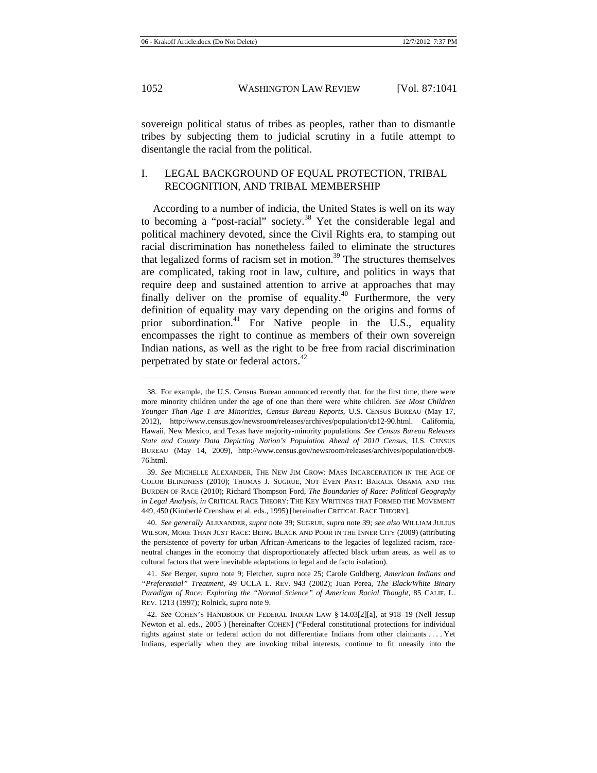sovereign political status of tribes as peoples, rather than to dismantle tribes by subjecting them to judicial scrutiny in a futile attempt to disentangle the racial from the political.

# I. LEGAL BACKGROUND OF EQUAL PROTECTION, TRIBAL RECOGNITION, AND TRIBAL MEMBERSHIP

According to a number of indicia, the United States is well on its way to becoming a "post-racial" society.38 Yet the considerable legal and political machinery devoted, since the Civil Rights era, to stamping out racial discrimination has nonetheless failed to eliminate the structures that legalized forms of racism set in motion. $39$  The structures themselves are complicated, taking root in law, culture, and politics in ways that require deep and sustained attention to arrive at approaches that may finally deliver on the promise of equality.<sup>40</sup> Furthermore, the very definition of equality may vary depending on the origins and forms of prior subordination.<sup>41</sup> For Native people in the U.S., equality encompasses the right to continue as members of their own sovereign Indian nations, as well as the right to be free from racial discrimination perpetrated by state or federal actors.<sup>42</sup>

<sup>38.</sup> For example, the U.S. Census Bureau announced recently that, for the first time, there were more minority children under the age of one than there were white children. *See Most Children Younger Than Age 1 are Minorities, Census Bureau Reports*, U.S. CENSUS BUREAU (May 17, 2012), http://www.census.gov/newsroom/releases/archives/population/cb12-90.html. California, Hawaii, New Mexico, and Texas have majority-minority populations. *See Census Bureau Releases State and County Data Depicting Nation's Population Ahead of 2010 Census*, U.S. CENSUS BUREAU (May 14, 2009), http://www.census.gov/newsroom/releases/archives/population/cb09- 76.html.

<sup>39.</sup> *See* MICHELLE ALEXANDER, THE NEW JIM CROW: MASS INCARCERATION IN THE AGE OF COLOR BLINDNESS (2010); THOMAS J. SUGRUE, NOT EVEN PAST: BARACK OBAMA AND THE BURDEN OF RACE (2010); Richard Thompson Ford, *The Boundaries of Race: Political Geography in Legal Analysis*, *in* CRITICAL RACE THEORY: THE KEY WRITINGS THAT FORMED THE MOVEMENT 449, 450 (Kimberlé Crenshaw et al. eds., 1995) [hereinafter CRITICAL RACE THEORY].

<sup>40.</sup> *See generally* ALEXANDER, *supra* note 39; SUGRUE, *supra* note 39*; see also* WILLIAM JULIUS WILSON, MORE THAN JUST RACE: BEING BLACK AND POOR IN THE INNER CITY (2009) (attributing the persistence of poverty for urban African-Americans to the legacies of legalized racism, raceneutral changes in the economy that disproportionately affected black urban areas, as well as to cultural factors that were inevitable adaptations to legal and de facto isolation).

<sup>41.</sup> *See* Berger, *supra* note 9; Fletcher, *supra* note 25; Carole Goldberg, *American Indians and "Preferential" Treatment*, 49 UCLA L. REV. 943 (2002); Juan Perea, *The Black/White Binary Paradigm of Race: Exploring the "Normal Science" of American Racial Thought*, 85 CALIF. L. REV. 1213 (1997); Rolnick, *supra* note 9.

<sup>42.</sup> *See* COHEN'S HANDBOOK OF FEDERAL INDIAN LAW § 14.03[2][a], at 918–19 (Nell Jessup Newton et al. eds., 2005 ) [hereinafter COHEN] ("Federal constitutional protections for individual rights against state or federal action do not differentiate Indians from other claimants . . . . Yet Indians, especially when they are invoking tribal interests, continue to fit uneasily into the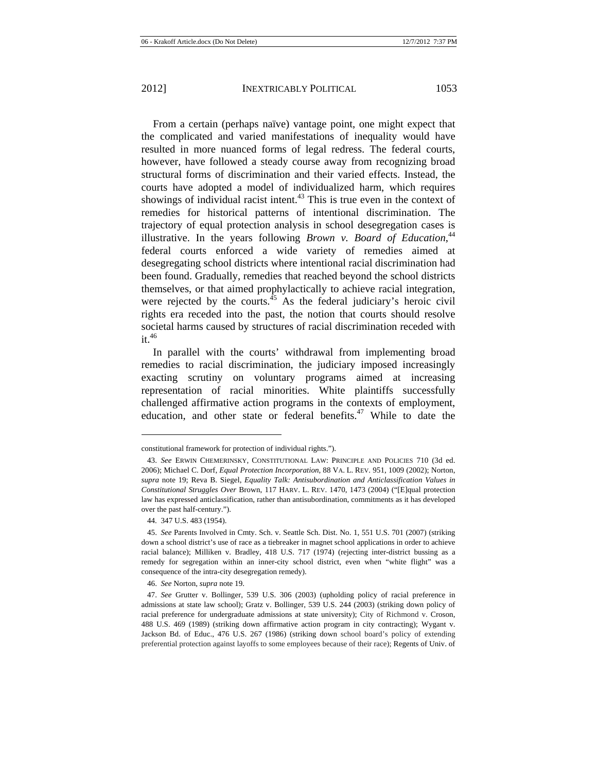From a certain (perhaps naïve) vantage point, one might expect that the complicated and varied manifestations of inequality would have resulted in more nuanced forms of legal redress. The federal courts, however, have followed a steady course away from recognizing broad structural forms of discrimination and their varied effects. Instead, the courts have adopted a model of individualized harm, which requires showings of individual racist intent. $43$  This is true even in the context of remedies for historical patterns of intentional discrimination. The trajectory of equal protection analysis in school desegregation cases is illustrative. In the years following *Brown v. Board of Education*,<sup>44</sup> federal courts enforced a wide variety of remedies aimed at desegregating school districts where intentional racial discrimination had been found. Gradually, remedies that reached beyond the school districts themselves, or that aimed prophylactically to achieve racial integration, were rejected by the courts. $45$  As the federal judiciary's heroic civil rights era receded into the past, the notion that courts should resolve societal harms caused by structures of racial discrimination receded with  $it.<sup>46</sup>$ 

In parallel with the courts' withdrawal from implementing broad remedies to racial discrimination, the judiciary imposed increasingly exacting scrutiny on voluntary programs aimed at increasing representation of racial minorities. White plaintiffs successfully challenged affirmative action programs in the contexts of employment, education, and other state or federal benefits.<sup>47</sup> While to date the

constitutional framework for protection of individual rights.").

<sup>43.</sup> *See* ERWIN CHEMERINSKY, CONSTITUTIONAL LAW: PRINCIPLE AND POLICIES 710 (3d ed. 2006); Michael C. Dorf, *Equal Protection Incorporation*, 88 VA. L. REV. 951, 1009 (2002); Norton, *supra* note 19; Reva B. Siegel, *Equality Talk: Antisubordination and Anticlassification Values in Constitutional Struggles Over* Brown, 117 HARV. L. REV. 1470, 1473 (2004) ("[E]qual protection law has expressed anticlassification, rather than antisubordination, commitments as it has developed over the past half-century.").

<sup>44. 347</sup> U.S. 483 (1954).

<sup>45.</sup> *See* Parents Involved in Cmty. Sch. v. Seattle Sch. Dist. No. 1, 551 U.S. 701 (2007) (striking down a school district's use of race as a tiebreaker in magnet school applications in order to achieve racial balance); Milliken v. Bradley, 418 U.S. 717 (1974) (rejecting inter-district bussing as a remedy for segregation within an inner-city school district, even when "white flight" was a consequence of the intra-city desegregation remedy).

<sup>46.</sup> *See* Norton, *supra* note 19.

<sup>47.</sup> *See* Grutter v. Bollinger, 539 U.S. 306 (2003) (upholding policy of racial preference in admissions at state law school); Gratz v. Bollinger, 539 U.S. 244 (2003) (striking down policy of racial preference for undergraduate admissions at state university); City of Richmond v. Croson, 488 U.S. 469 (1989) (striking down affirmative action program in city contracting); Wygant v. Jackson Bd. of Educ., 476 U.S. 267 (1986) (striking down school board's policy of extending preferential protection against layoffs to some employees because of their race); Regents of Univ. of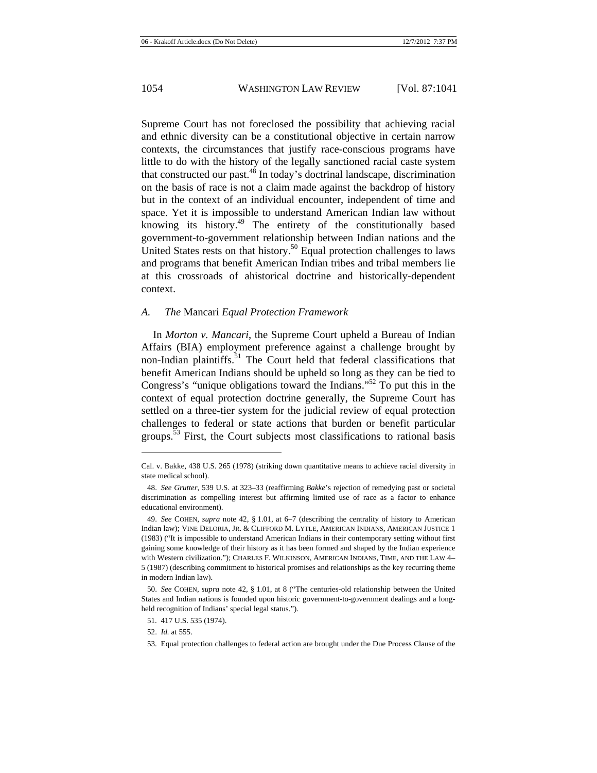Supreme Court has not foreclosed the possibility that achieving racial and ethnic diversity can be a constitutional objective in certain narrow contexts, the circumstances that justify race-conscious programs have little to do with the history of the legally sanctioned racial caste system that constructed our past.<sup>48</sup> In today's doctrinal landscape, discrimination on the basis of race is not a claim made against the backdrop of history but in the context of an individual encounter, independent of time and space. Yet it is impossible to understand American Indian law without knowing its history. $49$  The entirety of the constitutionally based government-to-government relationship between Indian nations and the United States rests on that history.<sup>50</sup> Equal protection challenges to laws and programs that benefit American Indian tribes and tribal members lie at this crossroads of ahistorical doctrine and historically-dependent context.

#### *A. The* Mancari *Equal Protection Framework*

In *Morton v. Mancari*, the Supreme Court upheld a Bureau of Indian Affairs (BIA) employment preference against a challenge brought by non-Indian plaintiffs.<sup>51</sup> The Court held that federal classifications that benefit American Indians should be upheld so long as they can be tied to Congress's "unique obligations toward the Indians."52 To put this in the context of equal protection doctrine generally, the Supreme Court has settled on a three-tier system for the judicial review of equal protection challenges to federal or state actions that burden or benefit particular groups.<sup>53</sup> First, the Court subjects most classifications to rational basis

Cal. v. Bakke, 438 U.S. 265 (1978) (striking down quantitative means to achieve racial diversity in state medical school).

<sup>48.</sup> *See Grutter*, 539 U.S. at 323–33 (reaffirming *Bakke*'s rejection of remedying past or societal discrimination as compelling interest but affirming limited use of race as a factor to enhance educational environment).

<sup>49.</sup> *See* COHEN, *supra* note 42, § 1.01, at 6–7 (describing the centrality of history to American Indian law); VINE DELORIA, JR. & CLIFFORD M. LYTLE, AMERICAN INDIANS, AMERICAN JUSTICE 1 (1983) ("It is impossible to understand American Indians in their contemporary setting without first gaining some knowledge of their history as it has been formed and shaped by the Indian experience with Western civilization."); CHARLES F. WILKINSON, AMERICAN INDIANS, TIME, AND THE LAW 4– 5 (1987) (describing commitment to historical promises and relationships as the key recurring theme in modern Indian law).

<sup>50.</sup> *See* COHEN, *supra* note 42, § 1.01, at 8 ("The centuries-old relationship between the United States and Indian nations is founded upon historic government-to-government dealings and a longheld recognition of Indians' special legal status.").

<sup>51. 417</sup> U.S. 535 (1974).

<sup>52.</sup> *Id.* at 555.

<sup>53.</sup> Equal protection challenges to federal action are brought under the Due Process Clause of the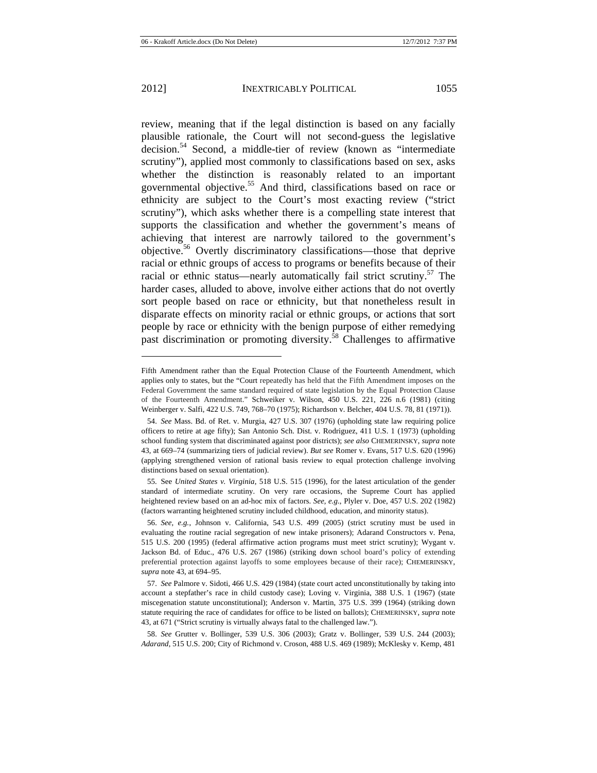review, meaning that if the legal distinction is based on any facially plausible rationale, the Court will not second-guess the legislative decision.<sup>54</sup> Second, a middle-tier of review (known as "intermediate scrutiny"), applied most commonly to classifications based on sex, asks whether the distinction is reasonably related to an important governmental objective.55 And third, classifications based on race or ethnicity are subject to the Court's most exacting review ("strict scrutiny"), which asks whether there is a compelling state interest that supports the classification and whether the government's means of achieving that interest are narrowly tailored to the government's objective.56 Overtly discriminatory classifications—those that deprive racial or ethnic groups of access to programs or benefits because of their racial or ethnic status—nearly automatically fail strict scrutiny.<sup>57</sup> The harder cases, alluded to above, involve either actions that do not overtly sort people based on race or ethnicity, but that nonetheless result in disparate effects on minority racial or ethnic groups, or actions that sort people by race or ethnicity with the benign purpose of either remedying past discrimination or promoting diversity.<sup>58</sup> Challenges to affirmative

Fifth Amendment rather than the Equal Protection Clause of the Fourteenth Amendment, which applies only to states, but the "Court repeatedly has held that the Fifth Amendment imposes on the Federal Government the same standard required of state legislation by the Equal Protection Clause of the Fourteenth Amendment." Schweiker v. Wilson, 450 U.S. 221, 226 n.6 (1981) (citing Weinberger v. Salfi, 422 U.S. 749, 768–70 (1975); Richardson v. Belcher, 404 U.S. 78, 81 (1971)).

<sup>54.</sup> *See* Mass. Bd. of Ret. v. Murgia, 427 U.S. 307 (1976) (upholding state law requiring police officers to retire at age fifty); San Antonio Sch. Dist. v. Rodriguez, 411 U.S. 1 (1973) (upholding school funding system that discriminated against poor districts); *see also* CHEMERINSKY, *supra* note 43, at 669–74 (summarizing tiers of judicial review). *But see* Romer v. Evans, 517 U.S. 620 (1996) (applying strengthened version of rational basis review to equal protection challenge involving distinctions based on sexual orientation).

<sup>55.</sup> See *United States v. Virginia*, 518 U.S. 515 (1996), for the latest articulation of the gender standard of intermediate scrutiny. On very rare occasions, the Supreme Court has applied heightened review based on an ad-hoc mix of factors. *See, e.g.*, Plyler v. Doe, 457 U.S. 202 (1982) (factors warranting heightened scrutiny included childhood, education, and minority status).

<sup>56.</sup> *See, e.g.*, Johnson v. California, 543 U.S. 499 (2005) (strict scrutiny must be used in evaluating the routine racial segregation of new intake prisoners); Adarand Constructors v. Pena, 515 U.S. 200 (1995) (federal affirmative action programs must meet strict scrutiny); Wygant v. Jackson Bd. of Educ., 476 U.S. 267 (1986) (striking down school board's policy of extending preferential protection against layoffs to some employees because of their race); CHEMERINSKY, *supra* note 43, at 694–95.

<sup>57.</sup> *See* Palmore v. Sidoti, 466 U.S. 429 (1984) (state court acted unconstitutionally by taking into account a stepfather's race in child custody case); Loving v. Virginia, 388 U.S. 1 (1967) (state miscegenation statute unconstitutional); Anderson v. Martin, 375 U.S. 399 (1964) (striking down statute requiring the race of candidates for office to be listed on ballots); CHEMERINSKY, *supra* note 43, at 671 ("Strict scrutiny is virtually always fatal to the challenged law.").

<sup>58.</sup> *See* Grutter v. Bollinger, 539 U.S. 306 (2003); Gratz v. Bollinger, 539 U.S. 244 (2003); *Adarand*, 515 U.S. 200; City of Richmond v. Croson, 488 U.S. 469 (1989); McKlesky v. Kemp, 481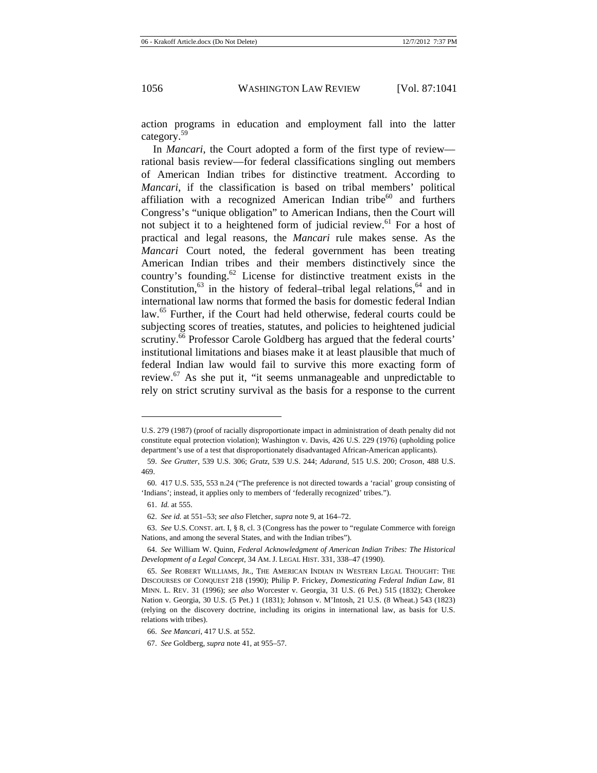action programs in education and employment fall into the latter category.<sup>59</sup>

In *Mancari*, the Court adopted a form of the first type of review rational basis review—for federal classifications singling out members of American Indian tribes for distinctive treatment. According to *Mancari*, if the classification is based on tribal members' political affiliation with a recognized American Indian tribe $60$  and furthers Congress's "unique obligation" to American Indians, then the Court will not subject it to a heightened form of judicial review.<sup>61</sup> For a host of practical and legal reasons, the *Mancari* rule makes sense. As the *Mancari* Court noted, the federal government has been treating American Indian tribes and their members distinctively since the country's founding. $62$  License for distinctive treatment exists in the Constitution, $63$  in the history of federal–tribal legal relations,  $64$  and in international law norms that formed the basis for domestic federal Indian law.<sup>65</sup> Further, if the Court had held otherwise, federal courts could be subjecting scores of treaties, statutes, and policies to heightened judicial scrutiny.<sup>66</sup> Professor Carole Goldberg has argued that the federal courts' institutional limitations and biases make it at least plausible that much of federal Indian law would fail to survive this more exacting form of review. $^{67}$  As she put it, "it seems unmanageable and unpredictable to rely on strict scrutiny survival as the basis for a response to the current

U.S. 279 (1987) (proof of racially disproportionate impact in administration of death penalty did not constitute equal protection violation); Washington v. Davis, 426 U.S. 229 (1976) (upholding police department's use of a test that disproportionately disadvantaged African-American applicants).

<sup>59.</sup> *See Grutter*, 539 U.S. 306; *Gratz*, 539 U.S. 244; *Adarand*, 515 U.S. 200; *Croson*, 488 U.S. 469.

<sup>60. 417</sup> U.S. 535, 553 n.24 ("The preference is not directed towards a 'racial' group consisting of 'Indians'; instead, it applies only to members of 'federally recognized' tribes.").

<sup>61.</sup> *Id.* at 555.

<sup>62.</sup> *See id.* at 551–53; *see also* Fletcher, *supra* note 9, at 164–72.

<sup>63.</sup> *See* U.S. CONST. art. I, § 8, cl. 3 (Congress has the power to "regulate Commerce with foreign Nations, and among the several States, and with the Indian tribes").

<sup>64.</sup> *See* William W. Quinn, *Federal Acknowledgment of American Indian Tribes: The Historical Development of a Legal Concept*, 34 AM. J. LEGAL HIST. 331, 338–47 (1990).

<sup>65.</sup> *See* ROBERT WILLIAMS, JR., THE AMERICAN INDIAN IN WESTERN LEGAL THOUGHT: THE DISCOURSES OF CONQUEST 218 (1990); Philip P. Frickey, *Domesticating Federal Indian Law*, 81 MINN. L. REV. 31 (1996); *see also* Worcester v. Georgia, 31 U.S. (6 Pet.) 515 (1832); Cherokee Nation v. Georgia, 30 U.S. (5 Pet.) 1 (1831); Johnson v. M'Intosh, 21 U.S. (8 Wheat.) 543 (1823) (relying on the discovery doctrine, including its origins in international law, as basis for U.S. relations with tribes).

<sup>66.</sup> *See Mancari*, 417 U.S. at 552.

<sup>67.</sup> *See* Goldberg, *supra* note 41, at 955–57.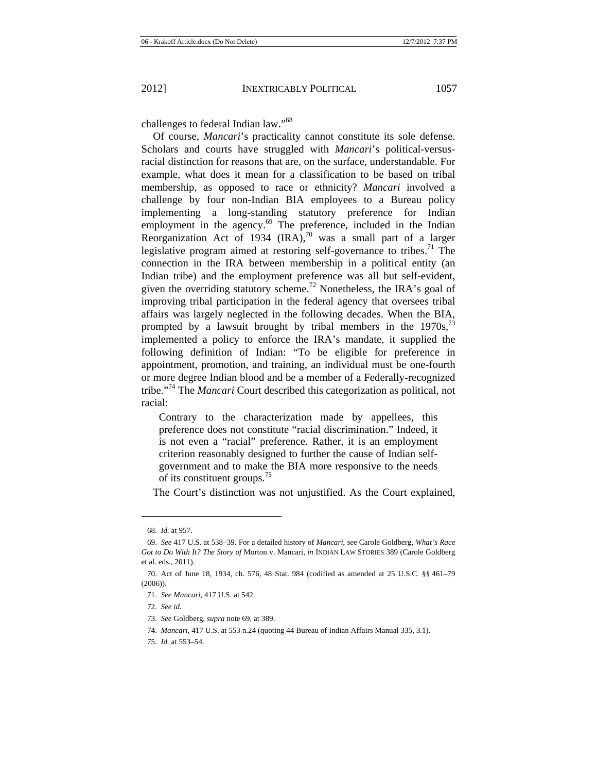challenges to federal Indian law."<sup>68</sup>

Of course, *Mancari*'s practicality cannot constitute its sole defense. Scholars and courts have struggled with *Mancari*'s political-versusracial distinction for reasons that are, on the surface, understandable. For example, what does it mean for a classification to be based on tribal membership, as opposed to race or ethnicity? *Mancari* involved a challenge by four non-Indian BIA employees to a Bureau policy implementing a long-standing statutory preference for Indian employment in the agency.<sup>69</sup> The preference, included in the Indian Reorganization Act of 1934  $\left(\text{IRA}\right)^{70}$  was a small part of a larger legislative program aimed at restoring self-governance to tribes.<sup>71</sup> The connection in the IRA between membership in a political entity (an Indian tribe) and the employment preference was all but self-evident, given the overriding statutory scheme.<sup>72</sup> Nonetheless, the IRA's goal of improving tribal participation in the federal agency that oversees tribal affairs was largely neglected in the following decades. When the BIA, prompted by a lawsuit brought by tribal members in the  $1970s$ ,  $\frac{73}{2}$ implemented a policy to enforce the IRA's mandate, it supplied the following definition of Indian: "To be eligible for preference in appointment, promotion, and training, an individual must be one-fourth or more degree Indian blood and be a member of a Federally-recognized tribe."74 The *Mancari* Court described this categorization as political, not racial:

Contrary to the characterization made by appellees, this preference does not constitute "racial discrimination." Indeed, it is not even a "racial" preference. Rather, it is an employment criterion reasonably designed to further the cause of Indian selfgovernment and to make the BIA more responsive to the needs of its constituent groups.75

The Court's distinction was not unjustified. As the Court explained,

<sup>68.</sup> *Id.* at 957.

<sup>69.</sup> *See* 417 U.S. at 538–39. For a detailed history of *Mancari*, see Carole Goldberg, *What's Race Got to Do With It? The Story of* Morton v. Mancari, *in* INDIAN LAW STORIES 389 (Carole Goldberg et al. eds., 2011).

<sup>70.</sup> Act of June 18, 1934, ch. 576, 48 Stat. 984 (codified as amended at 25 U.S.C. §§ 461–79 (2006)).

<sup>71.</sup> *See Mancari*, 417 U.S. at 542.

<sup>72.</sup> *See id.*

<sup>73.</sup> *See* Goldberg, *supra* note 69, at 389.

<sup>74.</sup> *Mancari*, 417 U.S. at 553 n.24 (quoting 44 Bureau of Indian Affairs Manual 335, 3.1).

<sup>75.</sup> *Id.* at 553–54.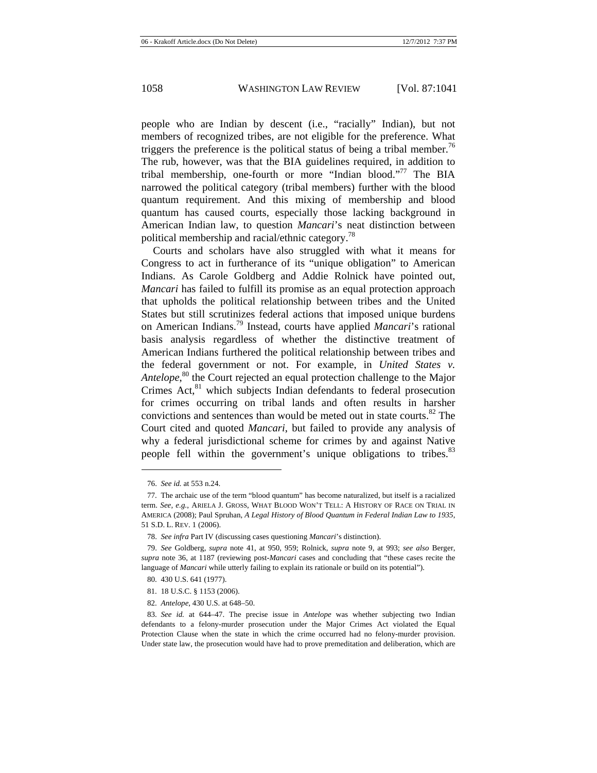people who are Indian by descent (i.e., "racially" Indian), but not members of recognized tribes, are not eligible for the preference. What triggers the preference is the political status of being a tribal member.<sup>76</sup> The rub, however, was that the BIA guidelines required, in addition to tribal membership, one-fourth or more "Indian blood."<sup>77</sup> The BIA narrowed the political category (tribal members) further with the blood quantum requirement. And this mixing of membership and blood quantum has caused courts, especially those lacking background in American Indian law, to question *Mancari*'s neat distinction between political membership and racial/ethnic category.<sup>78</sup>

Courts and scholars have also struggled with what it means for Congress to act in furtherance of its "unique obligation" to American Indians. As Carole Goldberg and Addie Rolnick have pointed out, *Mancari* has failed to fulfill its promise as an equal protection approach that upholds the political relationship between tribes and the United States but still scrutinizes federal actions that imposed unique burdens on American Indians.79 Instead, courts have applied *Mancari*'s rational basis analysis regardless of whether the distinctive treatment of American Indians furthered the political relationship between tribes and the federal government or not. For example, in *United States v. Antelope*, 80 the Court rejected an equal protection challenge to the Major Crimes  $Act<sub>1</sub><sup>81</sup>$  which subjects Indian defendants to federal prosecution for crimes occurring on tribal lands and often results in harsher convictions and sentences than would be meted out in state courts.<sup>82</sup> The Court cited and quoted *Mancari*, but failed to provide any analysis of why a federal jurisdictional scheme for crimes by and against Native people fell within the government's unique obligations to tribes.<sup>83</sup>

<sup>76.</sup> *See id.* at 553 n.24.

<sup>77.</sup> The archaic use of the term "blood quantum" has become naturalized, but itself is a racialized term. *See, e.g.*, ARIELA J. GROSS, WHAT BLOOD WON'T TELL: A HISTORY OF RACE ON TRIAL IN AMERICA (2008); Paul Spruhan, *A Legal History of Blood Quantum in Federal Indian Law to 1935*, 51 S.D. L. REV. 1 (2006).

<sup>78.</sup> *See infra* Part IV (discussing cases questioning *Mancari*'s distinction).

<sup>79.</sup> *See* Goldberg, *supra* note 41, at 950, 959; Rolnick, *supra* note 9, at 993; *see also* Berger, *supra* note 36, at 1187 (reviewing post-*Mancari* cases and concluding that "these cases recite the language of *Mancari* while utterly failing to explain its rationale or build on its potential").

<sup>80. 430</sup> U.S. 641 (1977).

<sup>81. 18</sup> U.S.C. § 1153 (2006).

<sup>82.</sup> *Antelope*, 430 U.S. at 648–50.

<sup>83.</sup> *See id.* at 644–47. The precise issue in *Antelope* was whether subjecting two Indian defendants to a felony-murder prosecution under the Major Crimes Act violated the Equal Protection Clause when the state in which the crime occurred had no felony-murder provision. Under state law, the prosecution would have had to prove premeditation and deliberation, which are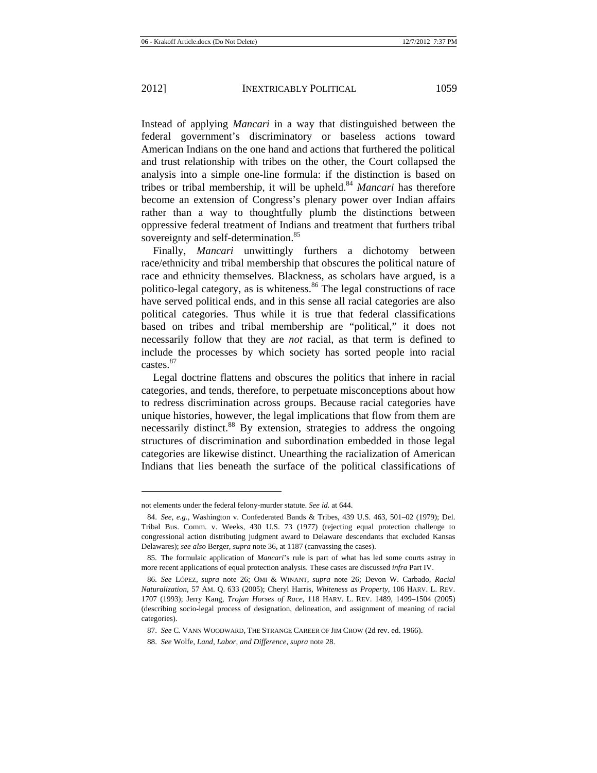Instead of applying *Mancari* in a way that distinguished between the federal government's discriminatory or baseless actions toward American Indians on the one hand and actions that furthered the political and trust relationship with tribes on the other, the Court collapsed the analysis into a simple one-line formula: if the distinction is based on tribes or tribal membership, it will be upheld.<sup>84</sup> *Mancari* has therefore become an extension of Congress's plenary power over Indian affairs rather than a way to thoughtfully plumb the distinctions between oppressive federal treatment of Indians and treatment that furthers tribal sovereignty and self-determination.<sup>85</sup>

Finally, *Mancari* unwittingly furthers a dichotomy between race/ethnicity and tribal membership that obscures the political nature of race and ethnicity themselves. Blackness, as scholars have argued, is a politico-legal category, as is whiteness.<sup>86</sup> The legal constructions of race have served political ends, and in this sense all racial categories are also political categories. Thus while it is true that federal classifications based on tribes and tribal membership are "political," it does not necessarily follow that they are *not* racial, as that term is defined to include the processes by which society has sorted people into racial castes.<sup>87</sup>

Legal doctrine flattens and obscures the politics that inhere in racial categories, and tends, therefore, to perpetuate misconceptions about how to redress discrimination across groups. Because racial categories have unique histories, however, the legal implications that flow from them are necessarily distinct.<sup>88</sup> By extension, strategies to address the ongoing structures of discrimination and subordination embedded in those legal categories are likewise distinct. Unearthing the racialization of American Indians that lies beneath the surface of the political classifications of

not elements under the federal felony-murder statute. *See id.* at 644.

<sup>84.</sup> *See, e.g.*, Washington v. Confederated Bands & Tribes, 439 U.S. 463, 501–02 (1979); Del. Tribal Bus. Comm. v. Weeks, 430 U.S. 73 (1977) (rejecting equal protection challenge to congressional action distributing judgment award to Delaware descendants that excluded Kansas Delawares); *see also* Berger, *supra* note 36, at 1187 (canvassing the cases).

<sup>85.</sup> The formulaic application of *Mancari*'s rule is part of what has led some courts astray in more recent applications of equal protection analysis. These cases are discussed *infra* Part IV.

<sup>86.</sup> *See* LÓPEZ, *supra* note 26; OMI & WINANT, *supra* note 26; Devon W. Carbado, *Racial Naturalization*, 57 AM. Q. 633 (2005); Cheryl Harris, *Whiteness as Property*, 106 HARV. L. REV. 1707 (1993); Jerry Kang, *Trojan Horses of Race*, 118 HARV. L. REV. 1489, 1499–1504 (2005) (describing socio-legal process of designation, delineation, and assignment of meaning of racial categories).

<sup>87.</sup> *See* C. VANN WOODWARD, THE STRANGE CAREER OF JIM CROW (2d rev. ed. 1966).

<sup>88.</sup> *See* Wolfe, *Land, Labor, and Difference*, *supra* note 28.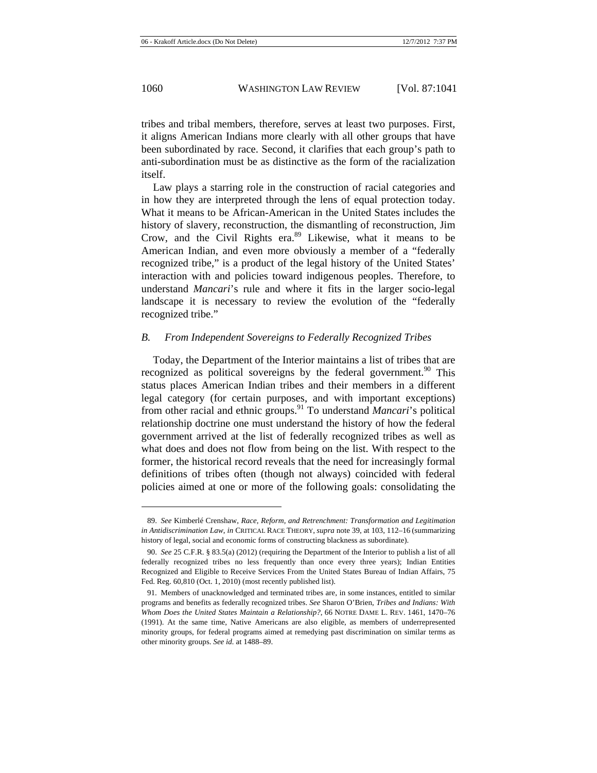tribes and tribal members, therefore, serves at least two purposes. First, it aligns American Indians more clearly with all other groups that have been subordinated by race. Second, it clarifies that each group's path to anti-subordination must be as distinctive as the form of the racialization itself.

Law plays a starring role in the construction of racial categories and in how they are interpreted through the lens of equal protection today. What it means to be African-American in the United States includes the history of slavery, reconstruction, the dismantling of reconstruction, Jim Crow, and the Civil Rights era.<sup>89</sup> Likewise, what it means to be American Indian, and even more obviously a member of a "federally recognized tribe," is a product of the legal history of the United States' interaction with and policies toward indigenous peoples. Therefore, to understand *Mancari*'s rule and where it fits in the larger socio-legal landscape it is necessary to review the evolution of the "federally recognized tribe."

## *B. From Independent Sovereigns to Federally Recognized Tribes*

Today, the Department of the Interior maintains a list of tribes that are recognized as political sovereigns by the federal government.<sup>90</sup> This status places American Indian tribes and their members in a different legal category (for certain purposes, and with important exceptions) from other racial and ethnic groups.91 To understand *Mancari*'s political relationship doctrine one must understand the history of how the federal government arrived at the list of federally recognized tribes as well as what does and does not flow from being on the list. With respect to the former, the historical record reveals that the need for increasingly formal definitions of tribes often (though not always) coincided with federal policies aimed at one or more of the following goals: consolidating the

<sup>89.</sup> *See* Kimberlé Crenshaw, *Race, Reform, and Retrenchment: Transformation and Legitimation in Antidiscrimination Law*, *in* CRITICAL RACE THEORY, *supra* note 39, at 103, 112–16 (summarizing history of legal, social and economic forms of constructing blackness as subordinate).

<sup>90.</sup> *See* 25 C.F.R. § 83.5(a) (2012) (requiring the Department of the Interior to publish a list of all federally recognized tribes no less frequently than once every three years); Indian Entities Recognized and Eligible to Receive Services From the United States Bureau of Indian Affairs, 75 Fed. Reg. 60,810 (Oct. 1, 2010) (most recently published list).

<sup>91.</sup> Members of unacknowledged and terminated tribes are, in some instances, entitled to similar programs and benefits as federally recognized tribes. *See* Sharon O'Brien, *Tribes and Indians: With Whom Does the United States Maintain a Relationship?*, 66 NOTRE DAME L. REV. 1461, 1470–76 (1991). At the same time, Native Americans are also eligible, as members of underrepresented minority groups, for federal programs aimed at remedying past discrimination on similar terms as other minority groups. *See id.* at 1488–89.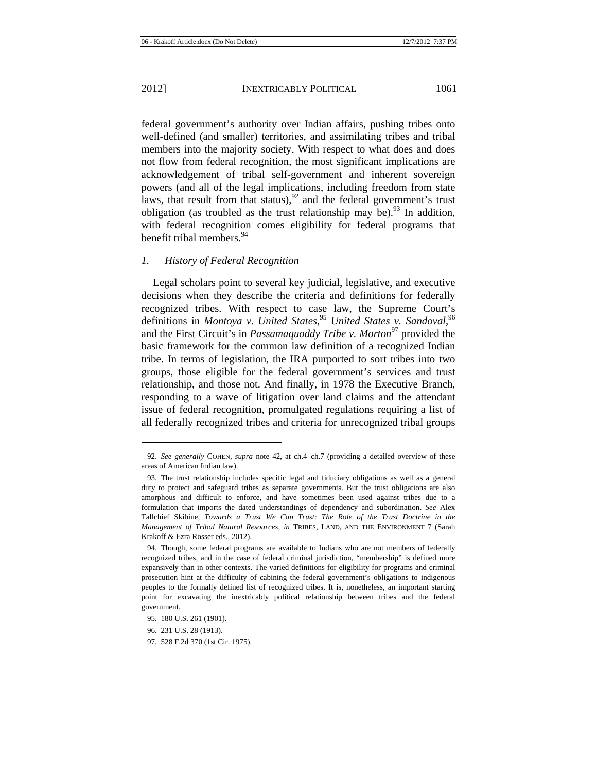federal government's authority over Indian affairs, pushing tribes onto well-defined (and smaller) territories, and assimilating tribes and tribal members into the majority society. With respect to what does and does not flow from federal recognition, the most significant implications are acknowledgement of tribal self-government and inherent sovereign powers (and all of the legal implications, including freedom from state laws, that result from that status),  $92$  and the federal government's trust obligation (as troubled as the trust relationship may be).<sup>93</sup> In addition, with federal recognition comes eligibility for federal programs that benefit tribal members.<sup>94</sup>

## *1. History of Federal Recognition*

Legal scholars point to several key judicial, legislative, and executive decisions when they describe the criteria and definitions for federally recognized tribes. With respect to case law, the Supreme Court's definitions in *Montoya v. United States*, <sup>95</sup> *United States v. Sandoval*, 96 and the First Circuit's in *Passamaquoddy Tribe v. Morton*<sup>97</sup> provided the basic framework for the common law definition of a recognized Indian tribe. In terms of legislation, the IRA purported to sort tribes into two groups, those eligible for the federal government's services and trust relationship, and those not. And finally, in 1978 the Executive Branch, responding to a wave of litigation over land claims and the attendant issue of federal recognition, promulgated regulations requiring a list of all federally recognized tribes and criteria for unrecognized tribal groups

<sup>92.</sup> *See generally* COHEN, *supra* note 42, at ch.4–ch.7 (providing a detailed overview of these areas of American Indian law).

<sup>93.</sup> The trust relationship includes specific legal and fiduciary obligations as well as a general duty to protect and safeguard tribes as separate governments. But the trust obligations are also amorphous and difficult to enforce, and have sometimes been used against tribes due to a formulation that imports the dated understandings of dependency and subordination. *See* Alex Tallchief Skibine, *Towards a Trust We Can Trust: The Role of the Trust Doctrine in the Management of Tribal Natural Resources*, *in* TRIBES, LAND, AND THE ENVIRONMENT 7 (Sarah Krakoff & Ezra Rosser eds., 2012).

<sup>94.</sup> Though, some federal programs are available to Indians who are not members of federally recognized tribes, and in the case of federal criminal jurisdiction, "membership" is defined more expansively than in other contexts. The varied definitions for eligibility for programs and criminal prosecution hint at the difficulty of cabining the federal government's obligations to indigenous peoples to the formally defined list of recognized tribes. It is, nonetheless, an important starting point for excavating the inextricably political relationship between tribes and the federal government.

<sup>95. 180</sup> U.S. 261 (1901).

<sup>96. 231</sup> U.S. 28 (1913).

<sup>97. 528</sup> F.2d 370 (1st Cir. 1975).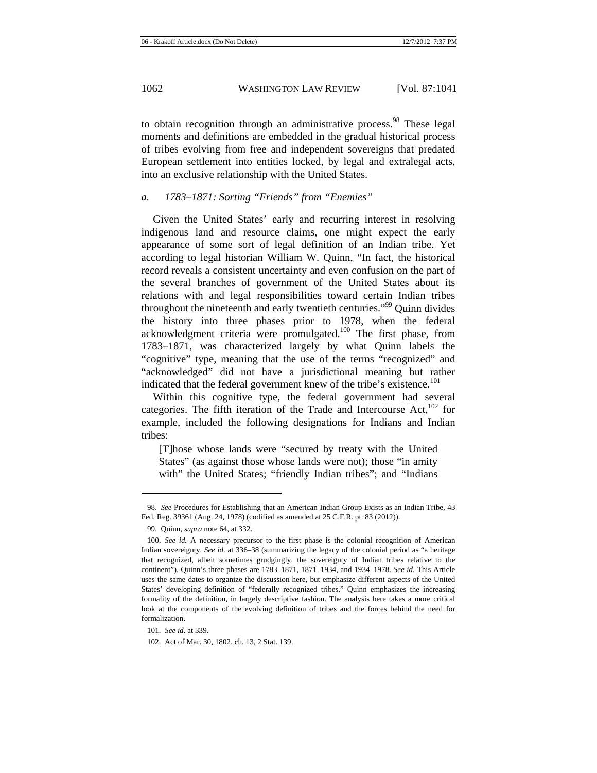to obtain recognition through an administrative process.<sup>98</sup> These legal moments and definitions are embedded in the gradual historical process of tribes evolving from free and independent sovereigns that predated European settlement into entities locked, by legal and extralegal acts, into an exclusive relationship with the United States.

## *a. 1783–1871: Sorting "Friends" from "Enemies"*

Given the United States' early and recurring interest in resolving indigenous land and resource claims, one might expect the early appearance of some sort of legal definition of an Indian tribe. Yet according to legal historian William W. Quinn, "In fact, the historical record reveals a consistent uncertainty and even confusion on the part of the several branches of government of the United States about its relations with and legal responsibilities toward certain Indian tribes throughout the nineteenth and early twentieth centuries."99 Quinn divides the history into three phases prior to 1978, when the federal acknowledgment criteria were promulgated.<sup>100</sup> The first phase, from 1783–1871, was characterized largely by what Quinn labels the "cognitive" type, meaning that the use of the terms "recognized" and "acknowledged" did not have a jurisdictional meaning but rather indicated that the federal government knew of the tribe's existence.<sup>101</sup>

Within this cognitive type, the federal government had several categories. The fifth iteration of the Trade and Intercourse Act, $102$  for example, included the following designations for Indians and Indian tribes:

[T]hose whose lands were "secured by treaty with the United States" (as against those whose lands were not); those "in amity with" the United States; "friendly Indian tribes"; and "Indians

<sup>98.</sup> *See* Procedures for Establishing that an American Indian Group Exists as an Indian Tribe, 43 Fed. Reg. 39361 (Aug. 24, 1978) (codified as amended at 25 C.F.R. pt. 83 (2012)).

<sup>99.</sup> Quinn, *supra* note 64, at 332.

<sup>100.</sup> *See id.* A necessary precursor to the first phase is the colonial recognition of American Indian sovereignty. *See id.* at 336–38 (summarizing the legacy of the colonial period as "a heritage that recognized, albeit sometimes grudgingly, the sovereignty of Indian tribes relative to the continent"). Quinn's three phases are 1783–1871, 1871–1934, and 1934–1978. *See id.* This Article uses the same dates to organize the discussion here, but emphasize different aspects of the United States' developing definition of "federally recognized tribes." Quinn emphasizes the increasing formality of the definition, in largely descriptive fashion. The analysis here takes a more critical look at the components of the evolving definition of tribes and the forces behind the need for formalization.

<sup>101.</sup> *See id.* at 339.

<sup>102.</sup> Act of Mar. 30, 1802, ch. 13, 2 Stat. 139.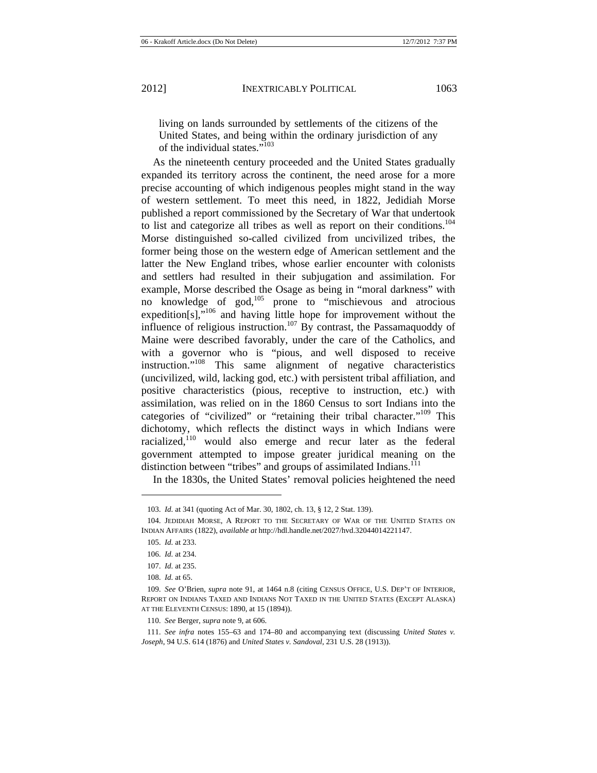living on lands surrounded by settlements of the citizens of the United States, and being within the ordinary jurisdiction of any of the individual states."<sup>103</sup>

As the nineteenth century proceeded and the United States gradually expanded its territory across the continent, the need arose for a more precise accounting of which indigenous peoples might stand in the way of western settlement. To meet this need, in 1822, Jedidiah Morse published a report commissioned by the Secretary of War that undertook to list and categorize all tribes as well as report on their conditions.<sup>104</sup> Morse distinguished so-called civilized from uncivilized tribes, the former being those on the western edge of American settlement and the latter the New England tribes, whose earlier encounter with colonists and settlers had resulted in their subjugation and assimilation. For example, Morse described the Osage as being in "moral darkness" with no knowledge of god,105 prone to "mischievous and atrocious expedition[s],"<sup>106</sup> and having little hope for improvement without the influence of religious instruction.<sup>107</sup> By contrast, the Passamaquoddy of Maine were described favorably, under the care of the Catholics, and with a governor who is "pious, and well disposed to receive instruction."108 This same alignment of negative characteristics (uncivilized, wild, lacking god, etc.) with persistent tribal affiliation, and positive characteristics (pious, receptive to instruction, etc.) with assimilation, was relied on in the 1860 Census to sort Indians into the categories of "civilized" or "retaining their tribal character."<sup>109</sup> This dichotomy, which reflects the distinct ways in which Indians were racialized,<sup>110</sup> would also emerge and recur later as the federal government attempted to impose greater juridical meaning on the distinction between "tribes" and groups of assimilated Indians.<sup>111</sup>

In the 1830s, the United States' removal policies heightened the need

 $\overline{a}$ 

108. *Id.* at 65.

<sup>103.</sup> *Id.* at 341 (quoting Act of Mar. 30, 1802, ch. 13, § 12, 2 Stat. 139).

<sup>104.</sup> JEDIDIAH MORSE, A REPORT TO THE SECRETARY OF WAR OF THE UNITED STATES ON INDIAN AFFAIRS (1822), *available at* http://hdl.handle.net/2027/hvd.32044014221147.

<sup>105.</sup> *Id.* at 233.

<sup>106.</sup> *Id.* at 234.

<sup>107.</sup> *Id.* at 235.

<sup>109.</sup> *See* O'Brien, *supra* note 91, at 1464 n.8 (citing CENSUS OFFICE, U.S. DEP'T OF INTERIOR, REPORT ON INDIANS TAXED AND INDIANS NOT TAXED IN THE UNITED STATES (EXCEPT ALASKA) AT THE ELEVENTH CENSUS: 1890, at 15 (1894)).

<sup>110.</sup> *See* Berger, *supra* note 9, at 606.

<sup>111.</sup> *See infra* notes 155–63 and 174–80 and accompanying text (discussing *United States v. Joseph*, 94 U.S. 614 (1876) and *United States v. Sandoval*, 231 U.S. 28 (1913)).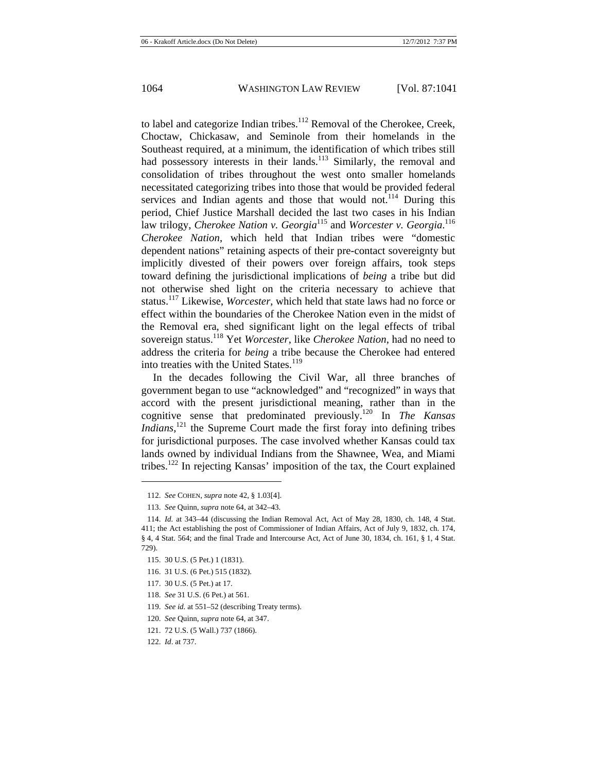to label and categorize Indian tribes.<sup>112</sup> Removal of the Cherokee, Creek, Choctaw, Chickasaw, and Seminole from their homelands in the Southeast required, at a minimum, the identification of which tribes still had possessory interests in their lands.<sup>113</sup> Similarly, the removal and consolidation of tribes throughout the west onto smaller homelands necessitated categorizing tribes into those that would be provided federal services and Indian agents and those that would not.<sup>114</sup> During this period, Chief Justice Marshall decided the last two cases in his Indian law trilogy, *Cherokee Nation v. Georgia*115 and *Worcester v. Georgia*. 116 *Cherokee Nation*, which held that Indian tribes were "domestic dependent nations" retaining aspects of their pre-contact sovereignty but implicitly divested of their powers over foreign affairs, took steps toward defining the jurisdictional implications of *being* a tribe but did not otherwise shed light on the criteria necessary to achieve that status.117 Likewise, *Worcester*, which held that state laws had no force or effect within the boundaries of the Cherokee Nation even in the midst of the Removal era, shed significant light on the legal effects of tribal sovereign status.118 Yet *Worcester*, like *Cherokee Nation*, had no need to address the criteria for *being* a tribe because the Cherokee had entered into treaties with the United States.<sup>119</sup>

In the decades following the Civil War, all three branches of government began to use "acknowledged" and "recognized" in ways that accord with the present jurisdictional meaning, rather than in the cognitive sense that predominated previously.120 In *The Kansas Indians*,<sup>121</sup> the Supreme Court made the first foray into defining tribes for jurisdictional purposes. The case involved whether Kansas could tax lands owned by individual Indians from the Shawnee, Wea, and Miami tribes.122 In rejecting Kansas' imposition of the tax, the Court explained

- 116. 31 U.S. (6 Pet.) 515 (1832).
- 117. 30 U.S. (5 Pet.) at 17.
- 118. *See* 31 U.S. (6 Pet.) at 561.
- 119. *See id.* at 551–52 (describing Treaty terms).
- 120. *See* Quinn, *supra* note 64, at 347.
- 121. 72 U.S. (5 Wall.) 737 (1866).

<sup>112.</sup> *See* COHEN, *supra* note 42, § 1.03[4].

<sup>113.</sup> *See* Quinn, *supra* note 64, at 342–43.

<sup>114.</sup> *Id.* at 343–44 (discussing the Indian Removal Act, Act of May 28, 1830, ch. 148, 4 Stat. 411; the Act establishing the post of Commissioner of Indian Affairs, Act of July 9, 1832, ch. 174, § 4, 4 Stat. 564; and the final Trade and Intercourse Act, Act of June 30, 1834, ch. 161, § 1, 4 Stat. 729).

<sup>115. 30</sup> U.S. (5 Pet.) 1 (1831).

<sup>122.</sup> *Id*. at 737.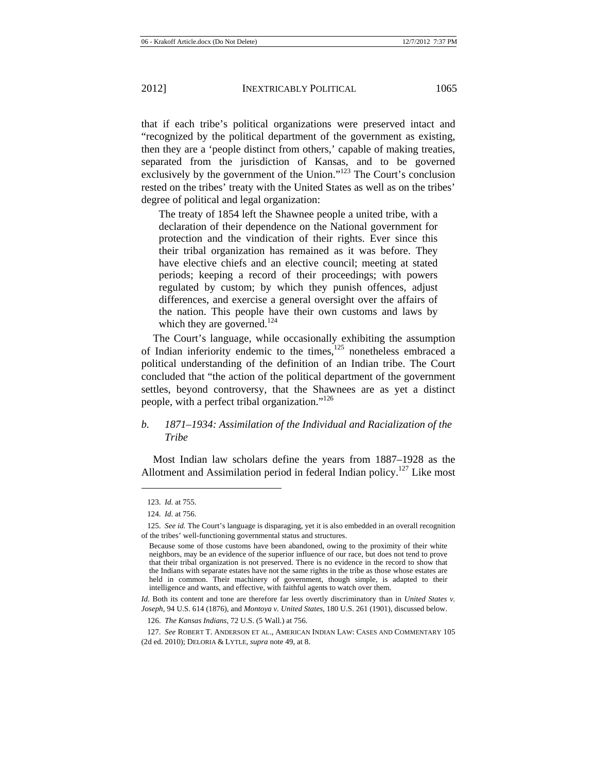separated from the jurisdiction of Kansas, and to be governed exclusively by the government of the Union."<sup>123</sup> The Court's conclusion rested on the tribes' treaty with the United States as well as on the tribes' degree of political and legal organization:

The treaty of 1854 left the Shawnee people a united tribe, with a declaration of their dependence on the National government for protection and the vindication of their rights. Ever since this their tribal organization has remained as it was before. They have elective chiefs and an elective council; meeting at stated periods; keeping a record of their proceedings; with powers regulated by custom; by which they punish offences, adjust differences, and exercise a general oversight over the affairs of the nation. This people have their own customs and laws by which they are governed.<sup>124</sup>

The Court's language, while occasionally exhibiting the assumption of Indian inferiority endemic to the times,<sup>125</sup> nonetheless embraced a political understanding of the definition of an Indian tribe. The Court concluded that "the action of the political department of the government settles, beyond controversy, that the Shawnees are as yet a distinct people, with a perfect tribal organization."126

# *b. 1871–1934: Assimilation of the Individual and Racialization of the Tribe*

Most Indian law scholars define the years from 1887–1928 as the Allotment and Assimilation period in federal Indian policy.<sup>127</sup> Like most

<sup>123.</sup> *Id.* at 755.

<sup>124.</sup> *Id.* at 756.

<sup>125.</sup> *See id.* The Court's language is disparaging, yet it is also embedded in an overall recognition of the tribes' well-functioning governmental status and structures.

Because some of those customs have been abandoned, owing to the proximity of their white neighbors, may be an evidence of the superior influence of our race, but does not tend to prove that their tribal organization is not preserved. There is no evidence in the record to show that the Indians with separate estates have not the same rights in the tribe as those whose estates are held in common. Their machinery of government, though simple, is adapted to their intelligence and wants, and effective, with faithful agents to watch over them.

*Id.* Both its content and tone are therefore far less overtly discriminatory than in *United States v. Joseph*, 94 U.S. 614 (1876), and *Montoya v. United States*, 180 U.S. 261 (1901), discussed below.

<sup>126.</sup> *The Kansas Indians*, 72 U.S. (5 Wall.) at 756.

<sup>127.</sup> *See* ROBERT T. ANDERSON ET AL., AMERICAN INDIAN LAW: CASES AND COMMENTARY 105 (2d ed. 2010); DELORIA & LYTLE, *supra* note 49, at 8.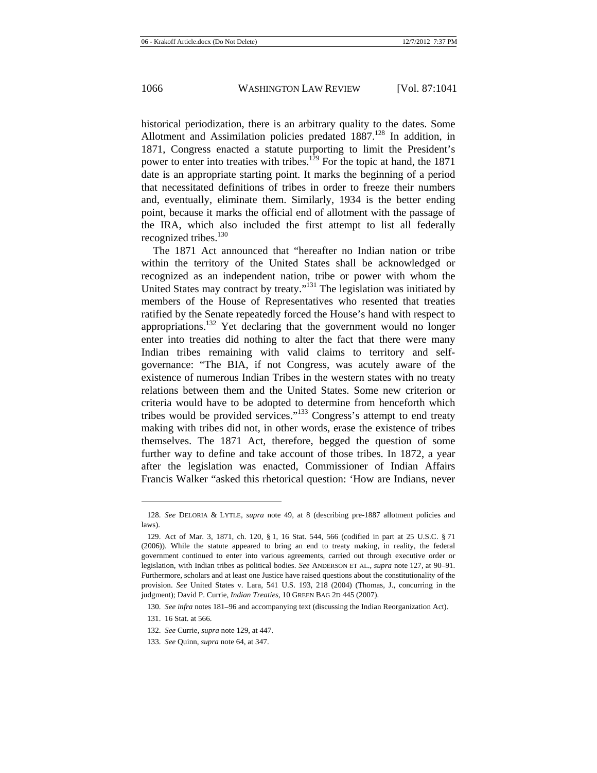historical periodization, there is an arbitrary quality to the dates. Some Allotment and Assimilation policies predated  $1887<sup>128</sup>$  In addition, in 1871, Congress enacted a statute purporting to limit the President's power to enter into treaties with tribes.<sup>129</sup> For the topic at hand, the 1871 date is an appropriate starting point. It marks the beginning of a period that necessitated definitions of tribes in order to freeze their numbers and, eventually, eliminate them. Similarly, 1934 is the better ending point, because it marks the official end of allotment with the passage of the IRA, which also included the first attempt to list all federally recognized tribes.<sup>130</sup>

The 1871 Act announced that "hereafter no Indian nation or tribe within the territory of the United States shall be acknowledged or recognized as an independent nation, tribe or power with whom the United States may contract by treaty."131 The legislation was initiated by members of the House of Representatives who resented that treaties ratified by the Senate repeatedly forced the House's hand with respect to appropriations.<sup>132</sup> Yet declaring that the government would no longer enter into treaties did nothing to alter the fact that there were many Indian tribes remaining with valid claims to territory and selfgovernance: "The BIA, if not Congress, was acutely aware of the existence of numerous Indian Tribes in the western states with no treaty relations between them and the United States. Some new criterion or criteria would have to be adopted to determine from henceforth which tribes would be provided services."<sup>133</sup> Congress's attempt to end treaty making with tribes did not, in other words, erase the existence of tribes themselves. The 1871 Act, therefore, begged the question of some further way to define and take account of those tribes. In 1872, a year after the legislation was enacted, Commissioner of Indian Affairs Francis Walker "asked this rhetorical question: 'How are Indians, never

<sup>128.</sup> *See* DELORIA & LYTLE, *supra* note 49, at 8 (describing pre-1887 allotment policies and laws).

<sup>129.</sup> Act of Mar. 3, 1871, ch. 120, § 1, 16 Stat. 544, 566 (codified in part at 25 U.S.C. § 71 (2006)). While the statute appeared to bring an end to treaty making, in reality, the federal government continued to enter into various agreements, carried out through executive order or legislation, with Indian tribes as political bodies. *See* ANDERSON ET AL., *supra* note 127, at 90–91. Furthermore, scholars and at least one Justice have raised questions about the constitutionality of the provision. *See* United States v. Lara, 541 U.S. 193, 218 (2004) (Thomas, J., concurring in the judgment); David P. Currie, *Indian Treaties*, 10 GREEN BAG 2D 445 (2007).

<sup>130.</sup> *See infra* notes 181–96 and accompanying text (discussing the Indian Reorganization Act).

<sup>131. 16</sup> Stat. at 566.

<sup>132.</sup> *See* Currie, *supra* note 129, at 447.

<sup>133.</sup> *See* Quinn, *supra* note 64, at 347.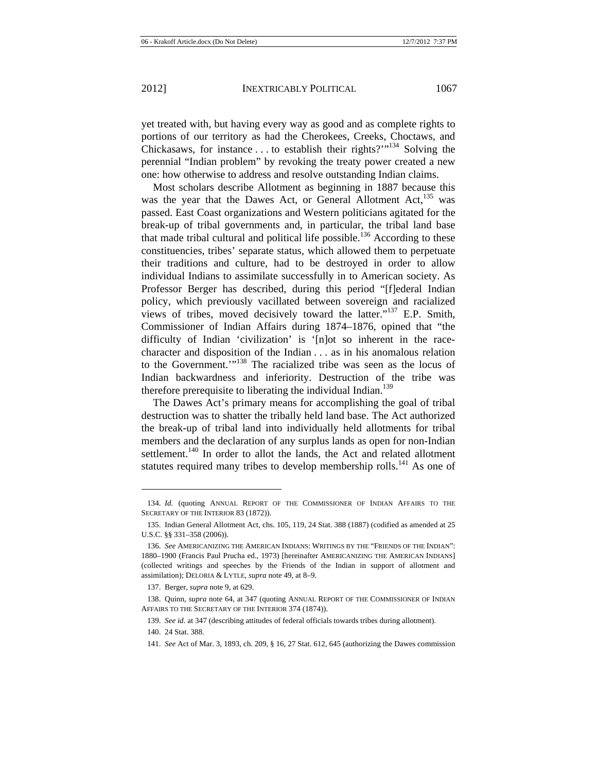perennial "Indian problem" by revoking the treaty power created a new

yet treated with, but having every way as good and as complete rights to portions of our territory as had the Cherokees, Creeks, Choctaws, and Chickasaws, for instance  $\dots$  to establish their rights?"<sup>134</sup> Solving the

one: how otherwise to address and resolve outstanding Indian claims. Most scholars describe Allotment as beginning in 1887 because this was the year that the Dawes Act, or General Allotment Act,<sup>135</sup> was passed. East Coast organizations and Western politicians agitated for the break-up of tribal governments and, in particular, the tribal land base that made tribal cultural and political life possible.<sup>136</sup> According to these constituencies, tribes' separate status, which allowed them to perpetuate their traditions and culture, had to be destroyed in order to allow individual Indians to assimilate successfully in to American society. As Professor Berger has described, during this period "[f]ederal Indian policy, which previously vacillated between sovereign and racialized views of tribes, moved decisively toward the latter."137 E.P. Smith, Commissioner of Indian Affairs during 1874–1876, opined that "the difficulty of Indian 'civilization' is '[n]ot so inherent in the racecharacter and disposition of the Indian . . . as in his anomalous relation to the Government."<sup>138</sup> The racialized tribe was seen as the locus of Indian backwardness and inferiority. Destruction of the tribe was therefore prerequisite to liberating the individual Indian.<sup>139</sup>

The Dawes Act's primary means for accomplishing the goal of tribal destruction was to shatter the tribally held land base. The Act authorized the break-up of tribal land into individually held allotments for tribal members and the declaration of any surplus lands as open for non-Indian settlement.<sup>140</sup> In order to allot the lands, the Act and related allotment statutes required many tribes to develop membership rolls.<sup>141</sup> As one of

<sup>134.</sup> *Id.* (quoting ANNUAL REPORT OF THE COMMISSIONER OF INDIAN AFFAIRS TO THE SECRETARY OF THE INTERIOR 83 (1872)).

<sup>135.</sup> Indian General Allotment Act, chs. 105, 119, 24 Stat. 388 (1887) (codified as amended at 25 U.S.C. §§ 331–358 (2006)).

<sup>136.</sup> *See* AMERICANIZING THE AMERICAN INDIANS: WRITINGS BY THE "FRIENDS OF THE INDIAN": 1880–1900 (Francis Paul Prucha ed., 1973) [hereinafter AMERICANIZING THE AMERICAN INDIANS] (collected writings and speeches by the Friends of the Indian in support of allotment and assimilation); DELORIA & LYTLE, *supra* note 49, at 8–9.

<sup>137.</sup> Berger, *supra* note 9, at 629.

<sup>138.</sup> Quinn, *supra* note 64, at 347 (quoting ANNUAL REPORT OF THE COMMISSIONER OF INDIAN AFFAIRS TO THE SECRETARY OF THE INTERIOR 374 (1874)).

<sup>139.</sup> *See id.* at 347 (describing attitudes of federal officials towards tribes during allotment).

<sup>140. 24</sup> Stat. 388.

<sup>141.</sup> *See* Act of Mar. 3, 1893, ch. 209, § 16, 27 Stat. 612, 645 (authorizing the Dawes commission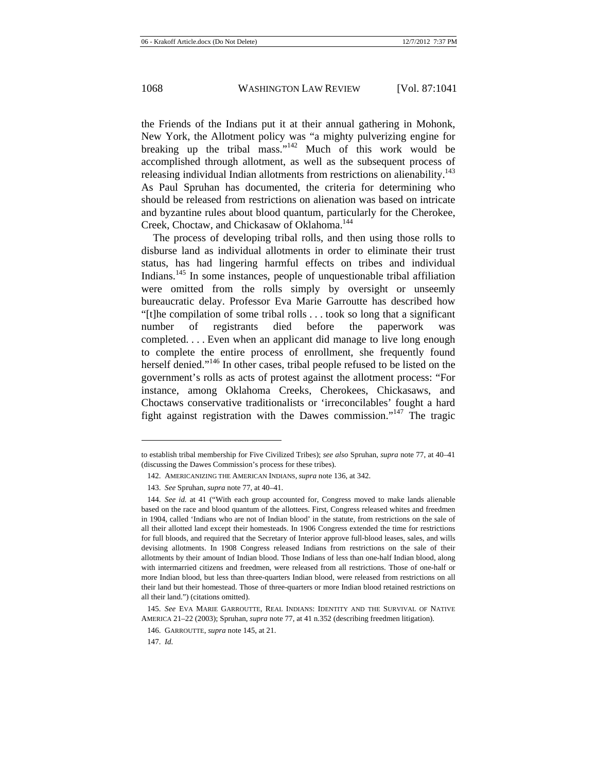the Friends of the Indians put it at their annual gathering in Mohonk, New York, the Allotment policy was "a mighty pulverizing engine for breaking up the tribal mass."142 Much of this work would be accomplished through allotment, as well as the subsequent process of releasing individual Indian allotments from restrictions on alienability.<sup>143</sup> As Paul Spruhan has documented, the criteria for determining who should be released from restrictions on alienation was based on intricate and byzantine rules about blood quantum, particularly for the Cherokee, Creek, Choctaw, and Chickasaw of Oklahoma.144

The process of developing tribal rolls, and then using those rolls to disburse land as individual allotments in order to eliminate their trust status, has had lingering harmful effects on tribes and individual Indians.145 In some instances, people of unquestionable tribal affiliation were omitted from the rolls simply by oversight or unseemly bureaucratic delay. Professor Eva Marie Garroutte has described how "[t]he compilation of some tribal rolls . . . took so long that a significant number of registrants died before the paperwork was completed. . . . Even when an applicant did manage to live long enough to complete the entire process of enrollment, she frequently found herself denied."<sup>146</sup> In other cases, tribal people refused to be listed on the government's rolls as acts of protest against the allotment process: "For instance, among Oklahoma Creeks, Cherokees, Chickasaws, and Choctaws conservative traditionalists or 'irreconcilables' fought a hard fight against registration with the Dawes commission."<sup>147</sup> The tragic

to establish tribal membership for Five Civilized Tribes); *see also* Spruhan, *supra* note 77, at 40–41 (discussing the Dawes Commission's process for these tribes).

<sup>142.</sup> AMERICANIZING THE AMERICAN INDIANS, *supra* note 136, at 342.

<sup>143.</sup> *See* Spruhan, *supra* note 77, at 40–41.

<sup>144.</sup> *See id.* at 41 ("With each group accounted for, Congress moved to make lands alienable based on the race and blood quantum of the allottees. First, Congress released whites and freedmen in 1904, called 'Indians who are not of Indian blood' in the statute, from restrictions on the sale of all their allotted land except their homesteads. In 1906 Congress extended the time for restrictions for full bloods, and required that the Secretary of Interior approve full-blood leases, sales, and wills devising allotments. In 1908 Congress released Indians from restrictions on the sale of their allotments by their amount of Indian blood. Those Indians of less than one-half Indian blood, along with intermarried citizens and freedmen, were released from all restrictions. Those of one-half or more Indian blood, but less than three-quarters Indian blood, were released from restrictions on all their land but their homestead. Those of three-quarters or more Indian blood retained restrictions on all their land.") (citations omitted).

<sup>145.</sup> *See* EVA MARIE GARROUTTE, REAL INDIANS: IDENTITY AND THE SURVIVAL OF NATIVE AMERICA 21–22 (2003); Spruhan, *supra* note 77, at 41 n.352 (describing freedmen litigation).

<sup>146.</sup> GARROUTTE, *supra* note 145, at 21.

<sup>147.</sup> *Id.*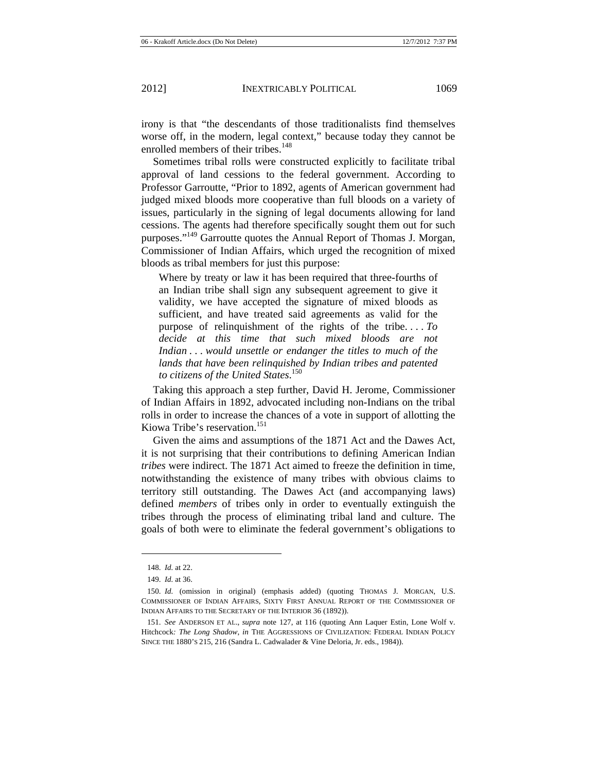irony is that "the descendants of those traditionalists find themselves worse off, in the modern, legal context," because today they cannot be enrolled members of their tribes.<sup>148</sup>

Sometimes tribal rolls were constructed explicitly to facilitate tribal approval of land cessions to the federal government. According to Professor Garroutte, "Prior to 1892, agents of American government had judged mixed bloods more cooperative than full bloods on a variety of issues, particularly in the signing of legal documents allowing for land cessions. The agents had therefore specifically sought them out for such purposes."149 Garroutte quotes the Annual Report of Thomas J. Morgan, Commissioner of Indian Affairs, which urged the recognition of mixed bloods as tribal members for just this purpose:

Where by treaty or law it has been required that three-fourths of an Indian tribe shall sign any subsequent agreement to give it validity, we have accepted the signature of mixed bloods as sufficient, and have treated said agreements as valid for the purpose of relinquishment of the rights of the tribe. . . . *To decide at this time that such mixed bloods are not Indian . . . would unsettle or endanger the titles to much of the lands that have been relinquished by Indian tribes and patented to citizens of the United States*. 150

Taking this approach a step further, David H. Jerome, Commissioner of Indian Affairs in 1892, advocated including non-Indians on the tribal rolls in order to increase the chances of a vote in support of allotting the Kiowa Tribe's reservation.<sup>151</sup>

Given the aims and assumptions of the 1871 Act and the Dawes Act, it is not surprising that their contributions to defining American Indian *tribes* were indirect. The 1871 Act aimed to freeze the definition in time, notwithstanding the existence of many tribes with obvious claims to territory still outstanding. The Dawes Act (and accompanying laws) defined *members* of tribes only in order to eventually extinguish the tribes through the process of eliminating tribal land and culture. The goals of both were to eliminate the federal government's obligations to

<sup>148.</sup> *Id.* at 22.

<sup>149.</sup> *Id.* at 36.

<sup>150.</sup> *Id.* (omission in original) (emphasis added) (quoting THOMAS J. MORGAN, U.S. COMMISSIONER OF INDIAN AFFAIRS, SIXTY FIRST ANNUAL REPORT OF THE COMMISSIONER OF INDIAN AFFAIRS TO THE SECRETARY OF THE INTERIOR 36 (1892)).

<sup>151.</sup> *See* ANDERSON ET AL., *supra* note 127, at 116 (quoting Ann Laquer Estin, Lone Wolf v. Hitchcock*: The Long Shadow*, *in* THE AGGRESSIONS OF CIVILIZATION: FEDERAL INDIAN POLICY SINCE THE 1880'S 215, 216 (Sandra L. Cadwalader & Vine Deloria, Jr. eds., 1984)).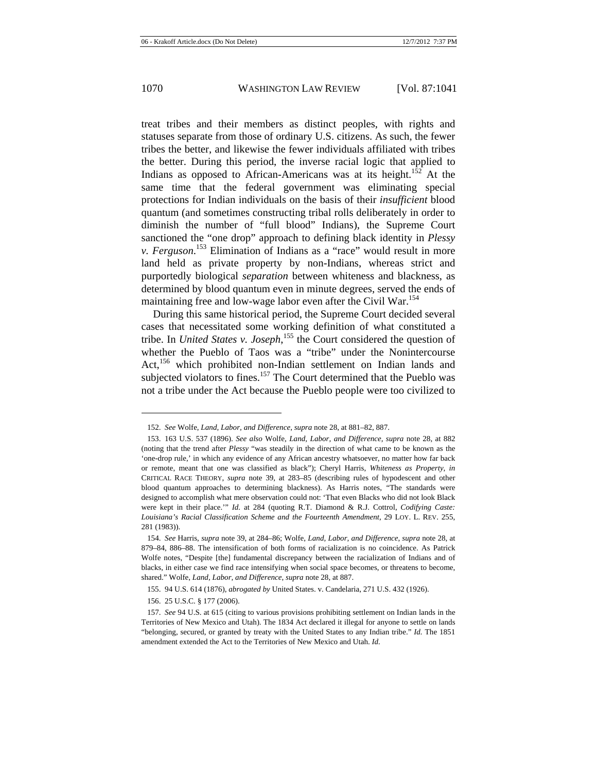treat tribes and their members as distinct peoples, with rights and statuses separate from those of ordinary U.S. citizens. As such, the fewer tribes the better, and likewise the fewer individuals affiliated with tribes the better. During this period, the inverse racial logic that applied to Indians as opposed to African-Americans was at its height.<sup>152</sup> At the same time that the federal government was eliminating special protections for Indian individuals on the basis of their *insufficient* blood quantum (and sometimes constructing tribal rolls deliberately in order to diminish the number of "full blood" Indians), the Supreme Court sanctioned the "one drop" approach to defining black identity in *Plessy v. Ferguson*. 153 Elimination of Indians as a "race" would result in more land held as private property by non-Indians, whereas strict and purportedly biological *separation* between whiteness and blackness, as determined by blood quantum even in minute degrees, served the ends of maintaining free and low-wage labor even after the Civil War.<sup>154</sup>

During this same historical period, the Supreme Court decided several cases that necessitated some working definition of what constituted a tribe. In *United States v. Joseph*, <sup>155</sup> the Court considered the question of whether the Pueblo of Taos was a "tribe" under the Nonintercourse Act,<sup>156</sup> which prohibited non-Indian settlement on Indian lands and subjected violators to fines.<sup>157</sup> The Court determined that the Pueblo was not a tribe under the Act because the Pueblo people were too civilized to

<sup>152.</sup> *See* Wolfe, *Land, Labor, and Difference*, *supra* note 28, at 881–82, 887.

<sup>153. 163</sup> U.S. 537 (1896). *See also* Wolfe, *Land, Labor, and Difference, supra* note 28, at 882 (noting that the trend after *Plessy* "was steadily in the direction of what came to be known as the 'one-drop rule,' in which any evidence of any African ancestry whatsoever, no matter how far back or remote, meant that one was classified as black"); Cheryl Harris, *Whiteness as Property*, *in* CRITICAL RACE THEORY, *supra* note 39, at 283–85 (describing rules of hypodescent and other blood quantum approaches to determining blackness). As Harris notes, "The standards were designed to accomplish what mere observation could not: 'That even Blacks who did not look Black were kept in their place.'" *Id.* at 284 (quoting R.T. Diamond & R.J. Cottrol, *Codifying Caste: Louisiana's Racial Classification Scheme and the Fourteenth Amendment*, 29 LOY. L. REV. 255, 281 (1983)).

<sup>154.</sup> *See* Harris, *supra* note 39, at 284–86; Wolfe, *Land, Labor, and Difference*, *supra* note 28, at 879–84, 886–88. The intensification of both forms of racialization is no coincidence. As Patrick Wolfe notes, "Despite [the] fundamental discrepancy between the racialization of Indians and of blacks, in either case we find race intensifying when social space becomes, or threatens to become, shared." Wolfe, *Land, Labor, and Difference*, *supra* note 28, at 887.

<sup>155. 94</sup> U.S. 614 (1876), *abrogated by* United States. v. Candelaria, 271 U.S. 432 (1926).

<sup>156. 25</sup> U.S.C. § 177 (2006).

<sup>157.</sup> *See* 94 U.S. at 615 (citing to various provisions prohibiting settlement on Indian lands in the Territories of New Mexico and Utah). The 1834 Act declared it illegal for anyone to settle on lands "belonging, secured, or granted by treaty with the United States to any Indian tribe." *Id.* The 1851 amendment extended the Act to the Territories of New Mexico and Utah. *Id.*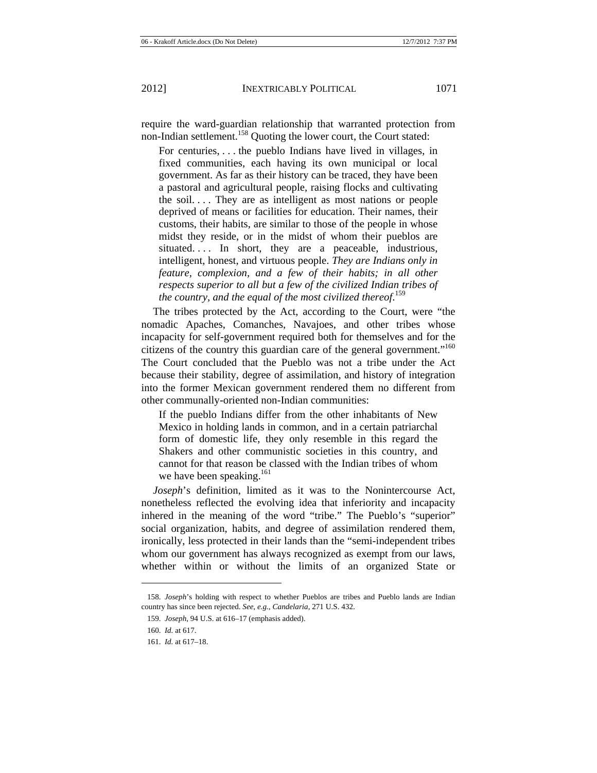require the ward-guardian relationship that warranted protection from non-Indian settlement.<sup>158</sup> Quoting the lower court, the Court stated:

For centuries, . . . the pueblo Indians have lived in villages, in fixed communities, each having its own municipal or local government. As far as their history can be traced, they have been a pastoral and agricultural people, raising flocks and cultivating the soil. . . . They are as intelligent as most nations or people deprived of means or facilities for education. Their names, their customs, their habits, are similar to those of the people in whose midst they reside, or in the midst of whom their pueblos are situated.... In short, they are a peaceable, industrious, intelligent, honest, and virtuous people. *They are Indians only in feature, complexion, and a few of their habits; in all other respects superior to all but a few of the civilized Indian tribes of the country, and the equal of the most civilized thereof*. 159

The tribes protected by the Act, according to the Court, were "the nomadic Apaches, Comanches, Navajoes, and other tribes whose incapacity for self-government required both for themselves and for the citizens of the country this guardian care of the general government."<sup>160</sup> The Court concluded that the Pueblo was not a tribe under the Act because their stability, degree of assimilation, and history of integration into the former Mexican government rendered them no different from other communally-oriented non-Indian communities:

If the pueblo Indians differ from the other inhabitants of New Mexico in holding lands in common, and in a certain patriarchal form of domestic life, they only resemble in this regard the Shakers and other communistic societies in this country, and cannot for that reason be classed with the Indian tribes of whom we have been speaking.<sup>161</sup>

*Joseph*'s definition, limited as it was to the Nonintercourse Act, nonetheless reflected the evolving idea that inferiority and incapacity inhered in the meaning of the word "tribe." The Pueblo's "superior" social organization, habits, and degree of assimilation rendered them, ironically, less protected in their lands than the "semi-independent tribes whom our government has always recognized as exempt from our laws, whether within or without the limits of an organized State or

<sup>158.</sup> *Joseph*'s holding with respect to whether Pueblos are tribes and Pueblo lands are Indian country has since been rejected. *See, e.g.*, *Candelaria*, 271 U.S. 432.

<sup>159.</sup> *Joseph*, 94 U.S. at 616–17 (emphasis added).

<sup>160.</sup> *Id.* at 617.

<sup>161.</sup> *Id.* at 617–18.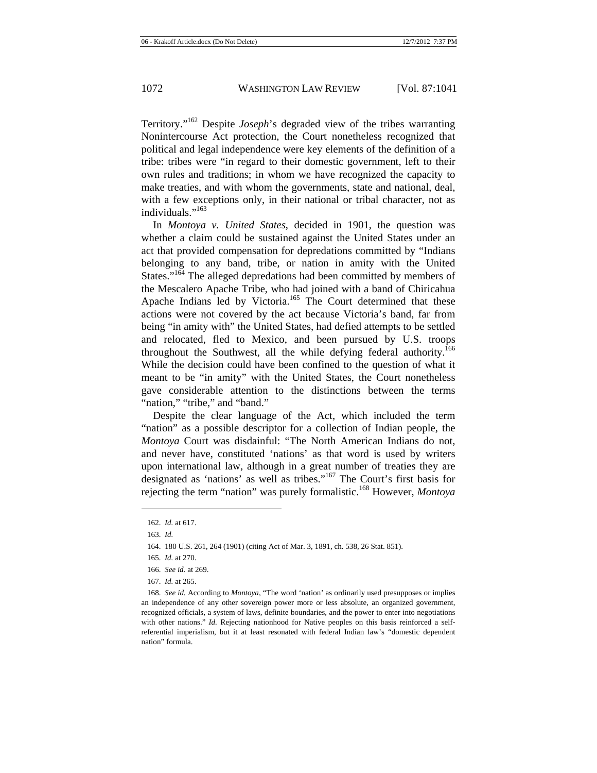Territory."162 Despite *Joseph*'s degraded view of the tribes warranting Nonintercourse Act protection, the Court nonetheless recognized that political and legal independence were key elements of the definition of a tribe: tribes were "in regard to their domestic government, left to their own rules and traditions; in whom we have recognized the capacity to make treaties, and with whom the governments, state and national, deal, with a few exceptions only, in their national or tribal character, not as individuals."<sup>163</sup>

In *Montoya v. United States*, decided in 1901, the question was whether a claim could be sustained against the United States under an act that provided compensation for depredations committed by "Indians belonging to any band, tribe, or nation in amity with the United States."<sup>164</sup> The alleged depredations had been committed by members of the Mescalero Apache Tribe, who had joined with a band of Chiricahua Apache Indians led by Victoria.<sup>165</sup> The Court determined that these actions were not covered by the act because Victoria's band, far from being "in amity with" the United States, had defied attempts to be settled and relocated, fled to Mexico, and been pursued by U.S. troops throughout the Southwest, all the while defying federal authority.<sup>166</sup> While the decision could have been confined to the question of what it meant to be "in amity" with the United States, the Court nonetheless gave considerable attention to the distinctions between the terms "nation," "tribe," and "band."

Despite the clear language of the Act, which included the term "nation" as a possible descriptor for a collection of Indian people, the *Montoya* Court was disdainful: "The North American Indians do not, and never have, constituted 'nations' as that word is used by writers upon international law, although in a great number of treaties they are designated as 'nations' as well as tribes."167 The Court's first basis for rejecting the term "nation" was purely formalistic.168 However, *Montoya*

<sup>162.</sup> *Id.* at 617.

<sup>163.</sup> *Id.*

<sup>164. 180</sup> U.S. 261, 264 (1901) (citing Act of Mar. 3, 1891, ch. 538, 26 Stat. 851).

<sup>165.</sup> *Id.* at 270.

<sup>166.</sup> *See id.* at 269.

<sup>167.</sup> *Id.* at 265.

<sup>168.</sup> *See id.* According to *Montoya*, "The word 'nation' as ordinarily used presupposes or implies an independence of any other sovereign power more or less absolute, an organized government, recognized officials, a system of laws, definite boundaries, and the power to enter into negotiations with other nations." *Id.* Rejecting nationhood for Native peoples on this basis reinforced a selfreferential imperialism, but it at least resonated with federal Indian law's "domestic dependent nation" formula.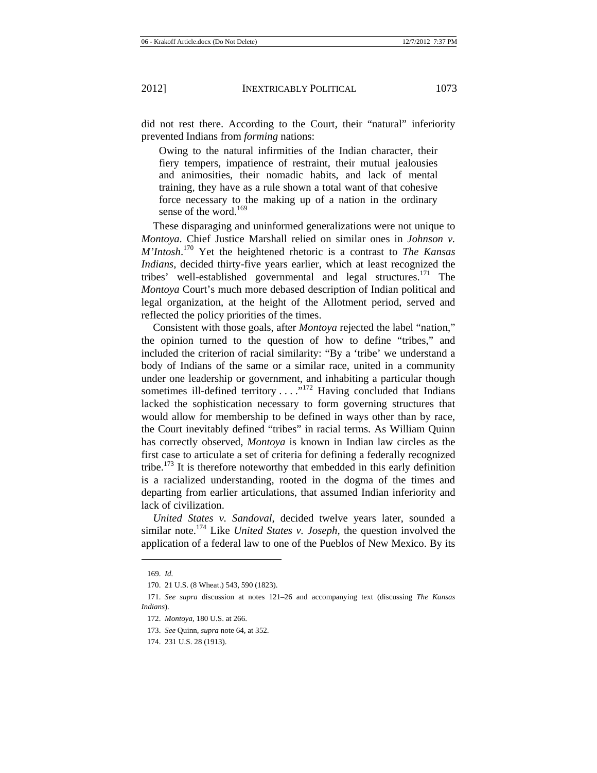did not rest there. According to the Court, their "natural" inferiority prevented Indians from *forming* nations:

Owing to the natural infirmities of the Indian character, their fiery tempers, impatience of restraint, their mutual jealousies and animosities, their nomadic habits, and lack of mental training, they have as a rule shown a total want of that cohesive force necessary to the making up of a nation in the ordinary sense of the word.<sup>169</sup>

These disparaging and uninformed generalizations were not unique to *Montoya*. Chief Justice Marshall relied on similar ones in *Johnson v. M'Intosh*. 170 Yet the heightened rhetoric is a contrast to *The Kansas Indians*, decided thirty-five years earlier, which at least recognized the tribes' well-established governmental and legal structures.<sup>171</sup> The *Montoya* Court's much more debased description of Indian political and legal organization, at the height of the Allotment period, served and reflected the policy priorities of the times.

Consistent with those goals, after *Montoya* rejected the label "nation," the opinion turned to the question of how to define "tribes," and included the criterion of racial similarity: "By a 'tribe' we understand a body of Indians of the same or a similar race, united in a community under one leadership or government, and inhabiting a particular though sometimes ill-defined territory . . . . "<sup>172</sup> Having concluded that Indians lacked the sophistication necessary to form governing structures that would allow for membership to be defined in ways other than by race, the Court inevitably defined "tribes" in racial terms. As William Quinn has correctly observed, *Montoya* is known in Indian law circles as the first case to articulate a set of criteria for defining a federally recognized tribe.<sup>173</sup> It is therefore noteworthy that embedded in this early definition is a racialized understanding, rooted in the dogma of the times and departing from earlier articulations, that assumed Indian inferiority and lack of civilization.

*United States v. Sandoval*, decided twelve years later, sounded a similar note.174 Like *United States v. Joseph,* the question involved the application of a federal law to one of the Pueblos of New Mexico. By its

<sup>169.</sup> *Id.*

<sup>170. 21</sup> U.S. (8 Wheat.) 543, 590 (1823).

<sup>171.</sup> *See supra* discussion at notes 121–26 and accompanying text (discussing *The Kansas Indians*).

<sup>172.</sup> *Montoya*, 180 U.S. at 266.

<sup>173.</sup> *See* Quinn, *supra* note 64, at 352.

<sup>174. 231</sup> U.S. 28 (1913).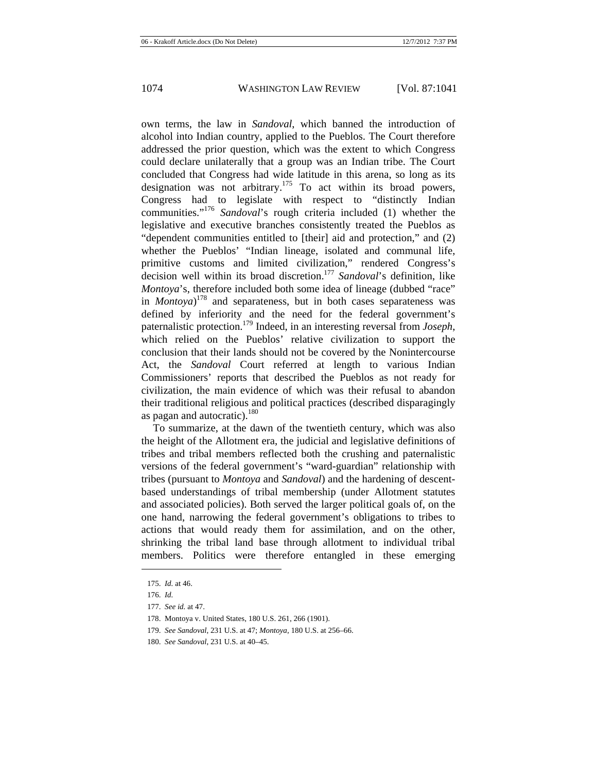own terms, the law in *Sandoval*, which banned the introduction of alcohol into Indian country, applied to the Pueblos. The Court therefore addressed the prior question, which was the extent to which Congress could declare unilaterally that a group was an Indian tribe. The Court concluded that Congress had wide latitude in this arena, so long as its designation was not arbitrary.<sup>175</sup> To act within its broad powers, Congress had to legislate with respect to "distinctly Indian communities."<sup>176</sup> *Sandoval*'s rough criteria included (1) whether the legislative and executive branches consistently treated the Pueblos as "dependent communities entitled to [their] aid and protection," and (2) whether the Pueblos' "Indian lineage, isolated and communal life, primitive customs and limited civilization," rendered Congress's decision well within its broad discretion.177 *Sandoval*'s definition, like *Montoya*'s, therefore included both some idea of lineage (dubbed "race" in *Montoya*) 178 and separateness, but in both cases separateness was defined by inferiority and the need for the federal government's paternalistic protection.179 Indeed, in an interesting reversal from *Joseph*, which relied on the Pueblos' relative civilization to support the conclusion that their lands should not be covered by the Nonintercourse Act, the *Sandoval* Court referred at length to various Indian Commissioners' reports that described the Pueblos as not ready for civilization, the main evidence of which was their refusal to abandon their traditional religious and political practices (described disparagingly as pagan and autocratic).<sup>180</sup>

To summarize, at the dawn of the twentieth century, which was also the height of the Allotment era, the judicial and legislative definitions of tribes and tribal members reflected both the crushing and paternalistic versions of the federal government's "ward-guardian" relationship with tribes (pursuant to *Montoya* and *Sandoval*) and the hardening of descentbased understandings of tribal membership (under Allotment statutes and associated policies). Both served the larger political goals of, on the one hand, narrowing the federal government's obligations to tribes to actions that would ready them for assimilation, and on the other, shrinking the tribal land base through allotment to individual tribal members. Politics were therefore entangled in these emerging

<sup>175.</sup> *Id.* at 46.

<sup>176.</sup> *Id.*

<sup>177.</sup> *See id.* at 47.

<sup>178.</sup> Montoya v. United States, 180 U.S. 261, 266 (1901).

<sup>179.</sup> *See Sandoval*, 231 U.S. at 47; *Montoya*, 180 U.S. at 256–66.

<sup>180.</sup> *See Sandoval*, 231 U.S. at 40–45.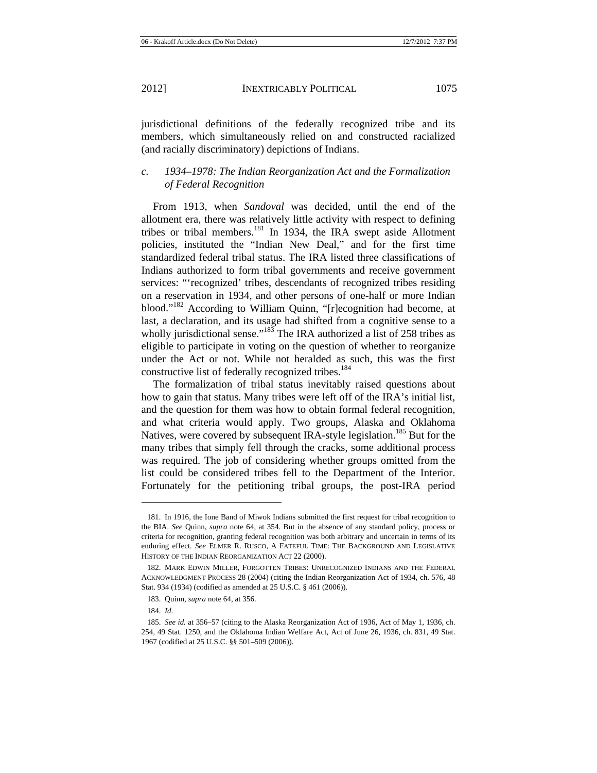jurisdictional definitions of the federally recognized tribe and its members, which simultaneously relied on and constructed racialized (and racially discriminatory) depictions of Indians.

# *c. 1934–1978: The Indian Reorganization Act and the Formalization of Federal Recognition*

From 1913, when *Sandoval* was decided, until the end of the allotment era, there was relatively little activity with respect to defining tribes or tribal members.181 In 1934, the IRA swept aside Allotment policies, instituted the "Indian New Deal," and for the first time standardized federal tribal status. The IRA listed three classifications of Indians authorized to form tribal governments and receive government services: "'recognized' tribes, descendants of recognized tribes residing on a reservation in 1934, and other persons of one-half or more Indian blood."<sup>182</sup> According to William Quinn, "[r]ecognition had become, at last, a declaration, and its usage had shifted from a cognitive sense to a wholly jurisdictional sense."<sup>183</sup> The IRA authorized a list of 258 tribes as eligible to participate in voting on the question of whether to reorganize under the Act or not. While not heralded as such, this was the first constructive list of federally recognized tribes.<sup>184</sup>

The formalization of tribal status inevitably raised questions about how to gain that status. Many tribes were left off of the IRA's initial list, and the question for them was how to obtain formal federal recognition, and what criteria would apply. Two groups, Alaska and Oklahoma Natives, were covered by subsequent IRA-style legislation.<sup>185</sup> But for the many tribes that simply fell through the cracks, some additional process was required. The job of considering whether groups omitted from the list could be considered tribes fell to the Department of the Interior. Fortunately for the petitioning tribal groups, the post-IRA period

<sup>181.</sup> In 1916, the Ione Band of Miwok Indians submitted the first request for tribal recognition to the BIA. *See* Quinn, *supra* note 64, at 354. But in the absence of any standard policy, process or criteria for recognition, granting federal recognition was both arbitrary and uncertain in terms of its enduring effect. *See* ELMER R. RUSCO, A FATEFUL TIME: THE BACKGROUND AND LEGISLATIVE HISTORY OF THE INDIAN REORGANIZATION ACT 22 (2000).

<sup>182.</sup> MARK EDWIN MILLER, FORGOTTEN TRIBES: UNRECOGNIZED INDIANS AND THE FEDERAL ACKNOWLEDGMENT PROCESS 28 (2004) (citing the Indian Reorganization Act of 1934, ch. 576, 48 Stat. 934 (1934) (codified as amended at 25 U.S.C. § 461 (2006)).

<sup>183.</sup> Quinn, *supra* note 64, at 356.

<sup>184.</sup> *Id.*

<sup>185.</sup> *See id.* at 356–57 (citing to the Alaska Reorganization Act of 1936, Act of May 1, 1936, ch. 254, 49 Stat. 1250, and the Oklahoma Indian Welfare Act, Act of June 26, 1936, ch. 831, 49 Stat. 1967 (codified at 25 U.S.C. §§ 501–509 (2006)).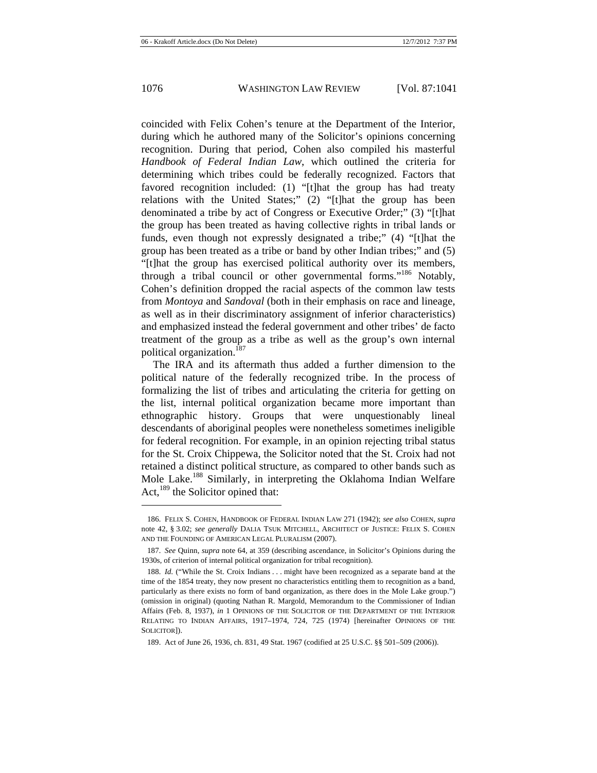coincided with Felix Cohen's tenure at the Department of the Interior, during which he authored many of the Solicitor's opinions concerning recognition. During that period, Cohen also compiled his masterful *Handbook of Federal Indian Law*, which outlined the criteria for determining which tribes could be federally recognized. Factors that favored recognition included: (1) "[t]hat the group has had treaty relations with the United States;" (2) "[t]hat the group has been denominated a tribe by act of Congress or Executive Order;" (3) "[t]hat the group has been treated as having collective rights in tribal lands or funds, even though not expressly designated a tribe;" (4) "[t]hat the group has been treated as a tribe or band by other Indian tribes;" and (5) "[t]hat the group has exercised political authority over its members, through a tribal council or other governmental forms."<sup>186</sup> Notably, Cohen's definition dropped the racial aspects of the common law tests from *Montoya* and *Sandoval* (both in their emphasis on race and lineage, as well as in their discriminatory assignment of inferior characteristics) and emphasized instead the federal government and other tribes' de facto treatment of the group as a tribe as well as the group's own internal political organization.187

The IRA and its aftermath thus added a further dimension to the political nature of the federally recognized tribe. In the process of formalizing the list of tribes and articulating the criteria for getting on the list, internal political organization became more important than ethnographic history. Groups that were unquestionably lineal descendants of aboriginal peoples were nonetheless sometimes ineligible for federal recognition. For example, in an opinion rejecting tribal status for the St. Croix Chippewa, the Solicitor noted that the St. Croix had not retained a distinct political structure, as compared to other bands such as Mole Lake.<sup>188</sup> Similarly, in interpreting the Oklahoma Indian Welfare Act,  $^{189}$  the Solicitor opined that:

<sup>186.</sup> FELIX S. COHEN, HANDBOOK OF FEDERAL INDIAN LAW 271 (1942); *see also* COHEN, *supra* note 42, § 3.02; *see generally* DALIA TSUK MITCHELL, ARCHITECT OF JUSTICE: FELIX S. COHEN AND THE FOUNDING OF AMERICAN LEGAL PLURALISM (2007).

<sup>187.</sup> *See* Quinn, *supra* note 64, at 359 (describing ascendance, in Solicitor's Opinions during the 1930s, of criterion of internal political organization for tribal recognition).

<sup>188.</sup> *Id.* ("While the St. Croix Indians . . . might have been recognized as a separate band at the time of the 1854 treaty, they now present no characteristics entitling them to recognition as a band, particularly as there exists no form of band organization, as there does in the Mole Lake group.") (omission in original) (quoting Nathan R. Margold, Memorandum to the Commissioner of Indian Affairs (Feb. 8, 1937), *in* 1 OPINIONS OF THE SOLICITOR OF THE DEPARTMENT OF THE INTERIOR RELATING TO INDIAN AFFAIRS, 1917–1974, 724, 725 (1974) [hereinafter OPINIONS OF THE SOLICITOR]).

<sup>189.</sup> Act of June 26, 1936, ch. 831, 49 Stat. 1967 (codified at 25 U.S.C. §§ 501–509 (2006)).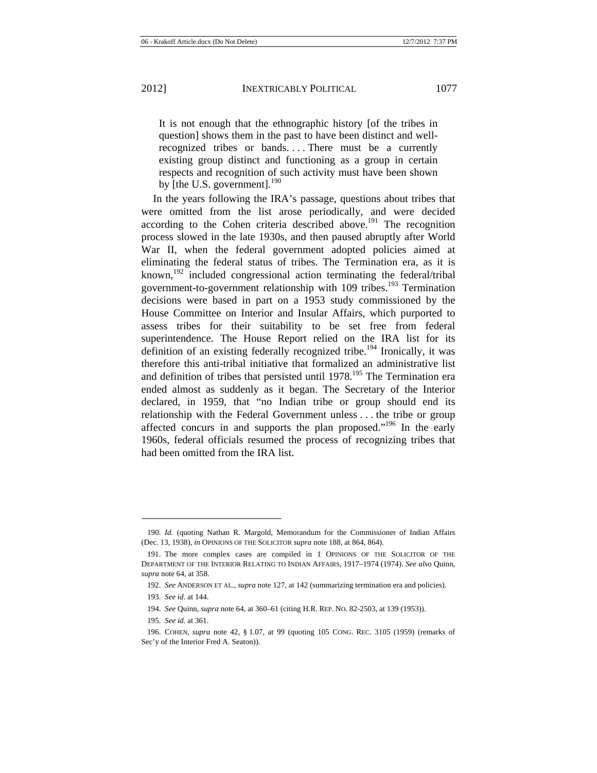It is not enough that the ethnographic history [of the tribes in question] shows them in the past to have been distinct and wellrecognized tribes or bands.... There must be a currently existing group distinct and functioning as a group in certain respects and recognition of such activity must have been shown by [the U.S. government]. $190$ 

In the years following the IRA's passage, questions about tribes that were omitted from the list arose periodically, and were decided according to the Cohen criteria described above.<sup>191</sup> The recognition process slowed in the late 1930s, and then paused abruptly after World War II, when the federal government adopted policies aimed at eliminating the federal status of tribes. The Termination era, as it is known,<sup>192</sup> included congressional action terminating the federal/tribal government-to-government relationship with 109 tribes.<sup>193</sup> Termination decisions were based in part on a 1953 study commissioned by the House Committee on Interior and Insular Affairs, which purported to assess tribes for their suitability to be set free from federal superintendence. The House Report relied on the IRA list for its definition of an existing federally recognized tribe.<sup>194</sup> Ironically, it was therefore this anti-tribal initiative that formalized an administrative list and definition of tribes that persisted until  $1978$ <sup>195</sup>. The Termination era ended almost as suddenly as it began. The Secretary of the Interior declared, in 1959, that "no Indian tribe or group should end its relationship with the Federal Government unless . . . the tribe or group affected concurs in and supports the plan proposed."<sup>196</sup> In the early 1960s, federal officials resumed the process of recognizing tribes that had been omitted from the IRA list.

<sup>190.</sup> *Id.* (quoting Nathan R. Margold, Memorandum for the Commissioner of Indian Affairs (Dec. 13, 1938), *in* OPINIONS OF THE SOLICITOR *supra* note 188, at 864, 864).

<sup>191.</sup> The more complex cases are compiled in 1 OPINIONS OF THE SOLICITOR OF THE DEPARTMENT OF THE INTERIOR RELATING TO INDIAN AFFAIRS, 1917–1974 (1974). *See also* Quinn, *supra* note 64, at 358.

<sup>192.</sup> *See* ANDERSON ET AL., *supra* note 127, at 142 (summarizing termination era and policies).

<sup>193.</sup> *See id*. at 144.

<sup>194.</sup> *See* Quinn, *supra* note 64, at 360–61 (citing H.R. REP. NO. 82-2503, at 139 (1953)).

<sup>195.</sup> *See id.* at 361.

<sup>196.</sup> COHEN, *supra* note 42, § 1.07, at 99 (quoting 105 CONG. REC. 3105 (1959) (remarks of Sec'y of the Interior Fred A. Seaton)).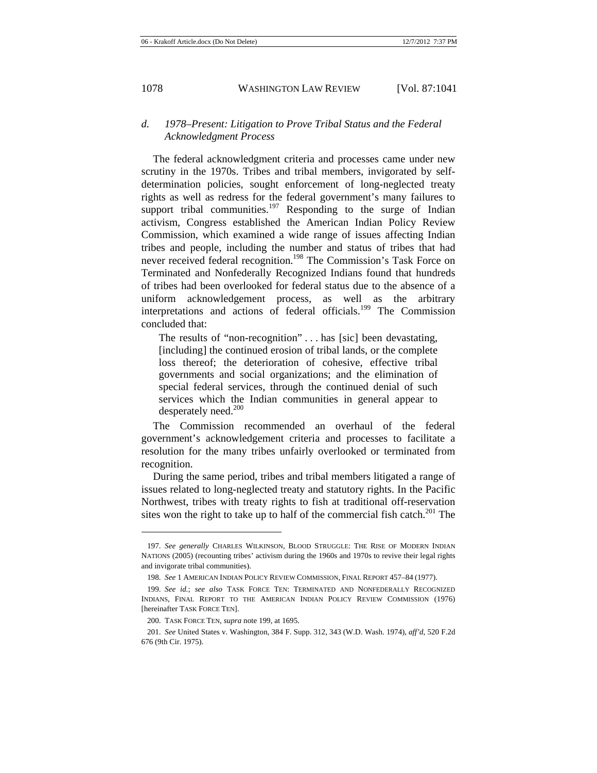# *d. 1978–Present: Litigation to Prove Tribal Status and the Federal Acknowledgment Process*

The federal acknowledgment criteria and processes came under new scrutiny in the 1970s. Tribes and tribal members, invigorated by selfdetermination policies, sought enforcement of long-neglected treaty rights as well as redress for the federal government's many failures to support tribal communities.<sup>197</sup> Responding to the surge of Indian activism, Congress established the American Indian Policy Review Commission, which examined a wide range of issues affecting Indian tribes and people, including the number and status of tribes that had never received federal recognition.<sup>198</sup> The Commission's Task Force on Terminated and Nonfederally Recognized Indians found that hundreds of tribes had been overlooked for federal status due to the absence of a uniform acknowledgement process, as well as the arbitrary interpretations and actions of federal officials.<sup>199</sup> The Commission concluded that:

The results of "non-recognition" . . . has [sic] been devastating, [including] the continued erosion of tribal lands, or the complete loss thereof; the deterioration of cohesive, effective tribal governments and social organizations; and the elimination of special federal services, through the continued denial of such services which the Indian communities in general appear to desperately need.<sup>200</sup>

The Commission recommended an overhaul of the federal government's acknowledgement criteria and processes to facilitate a resolution for the many tribes unfairly overlooked or terminated from recognition.

During the same period, tribes and tribal members litigated a range of issues related to long-neglected treaty and statutory rights. In the Pacific Northwest, tribes with treaty rights to fish at traditional off-reservation sites won the right to take up to half of the commercial fish catch.<sup>201</sup> The

<sup>197.</sup> *See generally* CHARLES WILKINSON, BLOOD STRUGGLE: THE RISE OF MODERN INDIAN NATIONS (2005) (recounting tribes' activism during the 1960s and 1970s to revive their legal rights and invigorate tribal communities).

<sup>198.</sup> *See* 1 AMERICAN INDIAN POLICY REVIEW COMMISSION, FINAL REPORT 457–84 (1977).

<sup>199.</sup> *See id.*; *see also* TASK FORCE TEN: TERMINATED AND NONFEDERALLY RECOGNIZED INDIANS, FINAL REPORT TO THE AMERICAN INDIAN POLICY REVIEW COMMISSION (1976) [hereinafter TASK FORCE TEN].

<sup>200.</sup> TASK FORCE TEN, *supra* note 199, at 1695.

<sup>201.</sup> *See* United States v. Washington, 384 F. Supp. 312, 343 (W.D. Wash. 1974), *aff'd*, 520 F.2d 676 (9th Cir. 1975).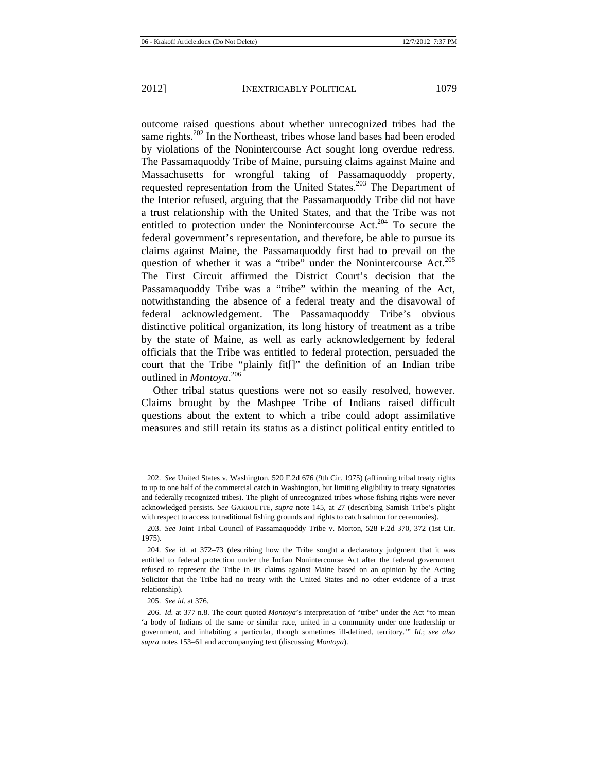outcome raised questions about whether unrecognized tribes had the same rights.<sup>202</sup> In the Northeast, tribes whose land bases had been eroded by violations of the Nonintercourse Act sought long overdue redress. The Passamaquoddy Tribe of Maine, pursuing claims against Maine and Massachusetts for wrongful taking of Passamaquoddy property, requested representation from the United States.<sup>203</sup> The Department of the Interior refused, arguing that the Passamaquoddy Tribe did not have a trust relationship with the United States, and that the Tribe was not entitled to protection under the Nonintercourse  $Act<sup>204</sup>$  To secure the federal government's representation, and therefore, be able to pursue its claims against Maine, the Passamaquoddy first had to prevail on the question of whether it was a "tribe" under the Nonintercourse Act.<sup>205</sup> The First Circuit affirmed the District Court's decision that the Passamaquoddy Tribe was a "tribe" within the meaning of the Act, notwithstanding the absence of a federal treaty and the disavowal of federal acknowledgement. The Passamaquoddy Tribe's obvious distinctive political organization, its long history of treatment as a tribe by the state of Maine, as well as early acknowledgement by federal officials that the Tribe was entitled to federal protection, persuaded the court that the Tribe "plainly fit[]" the definition of an Indian tribe outlined in *Montoya*. 206

Other tribal status questions were not so easily resolved, however. Claims brought by the Mashpee Tribe of Indians raised difficult questions about the extent to which a tribe could adopt assimilative measures and still retain its status as a distinct political entity entitled to

<sup>202.</sup> *See* United States v. Washington, 520 F.2d 676 (9th Cir. 1975) (affirming tribal treaty rights to up to one half of the commercial catch in Washington, but limiting eligibility to treaty signatories and federally recognized tribes). The plight of unrecognized tribes whose fishing rights were never acknowledged persists. *See* GARROUTTE, *supra* note 145, at 27 (describing Samish Tribe's plight with respect to access to traditional fishing grounds and rights to catch salmon for ceremonies).

<sup>203.</sup> *See* Joint Tribal Council of Passamaquoddy Tribe v. Morton, 528 F.2d 370, 372 (1st Cir. 1975).

<sup>204.</sup> *See id.* at 372–73 (describing how the Tribe sought a declaratory judgment that it was entitled to federal protection under the Indian Nonintercourse Act after the federal government refused to represent the Tribe in its claims against Maine based on an opinion by the Acting Solicitor that the Tribe had no treaty with the United States and no other evidence of a trust relationship).

<sup>205.</sup> *See id.* at 376.

<sup>206.</sup> *Id.* at 377 n.8. The court quoted *Montoya*'s interpretation of "tribe" under the Act "to mean 'a body of Indians of the same or similar race, united in a community under one leadership or government, and inhabiting a particular, though sometimes ill-defined, territory.'" *Id.*; *see also supra* notes 153–61 and accompanying text (discussing *Montoya*).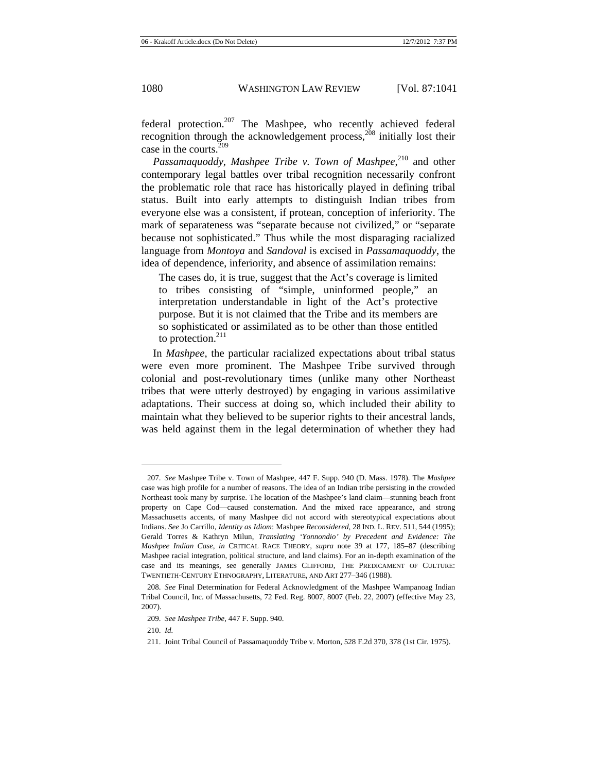*Passamaquoddy*, *Mashpee Tribe v. Town of Mashpee*, 210 and other contemporary legal battles over tribal recognition necessarily confront the problematic role that race has historically played in defining tribal status. Built into early attempts to distinguish Indian tribes from everyone else was a consistent, if protean, conception of inferiority. The mark of separateness was "separate because not civilized," or "separate because not sophisticated." Thus while the most disparaging racialized language from *Montoya* and *Sandoval* is excised in *Passamaquoddy*, the idea of dependence, inferiority, and absence of assimilation remains:

The cases do, it is true, suggest that the Act's coverage is limited to tribes consisting of "simple, uninformed people," an interpretation understandable in light of the Act's protective purpose. But it is not claimed that the Tribe and its members are so sophisticated or assimilated as to be other than those entitled to protection. $^{211}$ 

In *Mashpee*, the particular racialized expectations about tribal status were even more prominent. The Mashpee Tribe survived through colonial and post-revolutionary times (unlike many other Northeast tribes that were utterly destroyed) by engaging in various assimilative adaptations. Their success at doing so, which included their ability to maintain what they believed to be superior rights to their ancestral lands, was held against them in the legal determination of whether they had

<sup>207.</sup> *See* Mashpee Tribe v. Town of Mashpee, 447 F. Supp. 940 (D. Mass. 1978). The *Mashpee* case was high profile for a number of reasons. The idea of an Indian tribe persisting in the crowded Northeast took many by surprise. The location of the Mashpee's land claim—stunning beach front property on Cape Cod—caused consternation. And the mixed race appearance, and strong Massachusetts accents, of many Mashpee did not accord with stereotypical expectations about Indians. *See* Jo Carrillo, *Identity as Idiom*: Mashpee *Reconsidered*, 28 IND. L. REV. 511, 544 (1995); Gerald Torres & Kathryn Milun, *Translating 'Yonnondio' by Precedent and Evidence: The Mashpee Indian Case*, *in* CRITICAL RACE THEORY, *supra* note 39 at 177, 185–87 (describing Mashpee racial integration, political structure, and land claims). For an in-depth examination of the case and its meanings, see generally JAMES CLIFFORD, THE PREDICAMENT OF CULTURE: TWENTIETH-CENTURY ETHNOGRAPHY, LITERATURE, AND ART 277–346 (1988).

<sup>208.</sup> *See* Final Determination for Federal Acknowledgment of the Mashpee Wampanoag Indian Tribal Council, Inc. of Massachusetts, 72 Fed. Reg. 8007, 8007 (Feb. 22, 2007) (effective May 23, 2007).

<sup>209.</sup> *See Mashpee Tribe*, 447 F. Supp. 940.

<sup>210.</sup> *Id.*

<sup>211.</sup> Joint Tribal Council of Passamaquoddy Tribe v. Morton, 528 F.2d 370, 378 (1st Cir. 1975).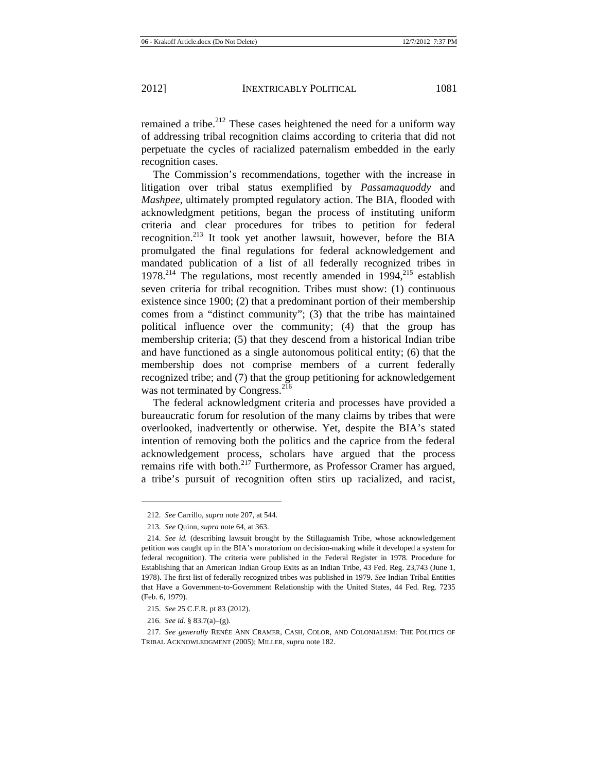remained a tribe.<sup>212</sup> These cases heightened the need for a uniform way of addressing tribal recognition claims according to criteria that did not perpetuate the cycles of racialized paternalism embedded in the early recognition cases.

The Commission's recommendations, together with the increase in litigation over tribal status exemplified by *Passamaquoddy* and *Mashpee*, ultimately prompted regulatory action. The BIA, flooded with acknowledgment petitions, began the process of instituting uniform criteria and clear procedures for tribes to petition for federal recognition.<sup>213</sup> It took yet another lawsuit, however, before the BIA promulgated the final regulations for federal acknowledgement and mandated publication of a list of all federally recognized tribes in  $1978.<sup>214</sup>$  The regulations, most recently amended in  $1994<sup>215</sup>$  establish seven criteria for tribal recognition. Tribes must show: (1) continuous existence since 1900; (2) that a predominant portion of their membership comes from a "distinct community"; (3) that the tribe has maintained political influence over the community; (4) that the group has membership criteria; (5) that they descend from a historical Indian tribe and have functioned as a single autonomous political entity; (6) that the membership does not comprise members of a current federally recognized tribe; and (7) that the group petitioning for acknowledgement was not terminated by Congress.<sup>216</sup>

The federal acknowledgment criteria and processes have provided a bureaucratic forum for resolution of the many claims by tribes that were overlooked, inadvertently or otherwise. Yet, despite the BIA's stated intention of removing both the politics and the caprice from the federal acknowledgement process, scholars have argued that the process remains rife with both.<sup>217</sup> Furthermore, as Professor Cramer has argued, a tribe's pursuit of recognition often stirs up racialized, and racist,

<sup>212.</sup> *See* Carrillo, *supra* note 207, at 544.

<sup>213.</sup> *See* Quinn, *supra* note 64, at 363.

<sup>214.</sup> *See id.* (describing lawsuit brought by the Stillaguamish Tribe, whose acknowledgement petition was caught up in the BIA's moratorium on decision-making while it developed a system for federal recognition). The criteria were published in the Federal Register in 1978. Procedure for Establishing that an American Indian Group Exits as an Indian Tribe, 43 Fed. Reg. 23,743 (June 1, 1978). The first list of federally recognized tribes was published in 1979. *See* Indian Tribal Entities that Have a Government-to-Government Relationship with the United States, 44 Fed. Reg. 7235 (Feb. 6, 1979).

<sup>215.</sup> *See* 25 C.F.R. pt 83 (2012).

<sup>216.</sup> *See id.* § 83.7(a)–(g).

<sup>217.</sup> *See generally* RENÉE ANN CRAMER, CASH, COLOR, AND COLONIALISM: THE POLITICS OF TRIBAL ACKNOWLEDGMENT (2005); MILLER, *supra* note 182.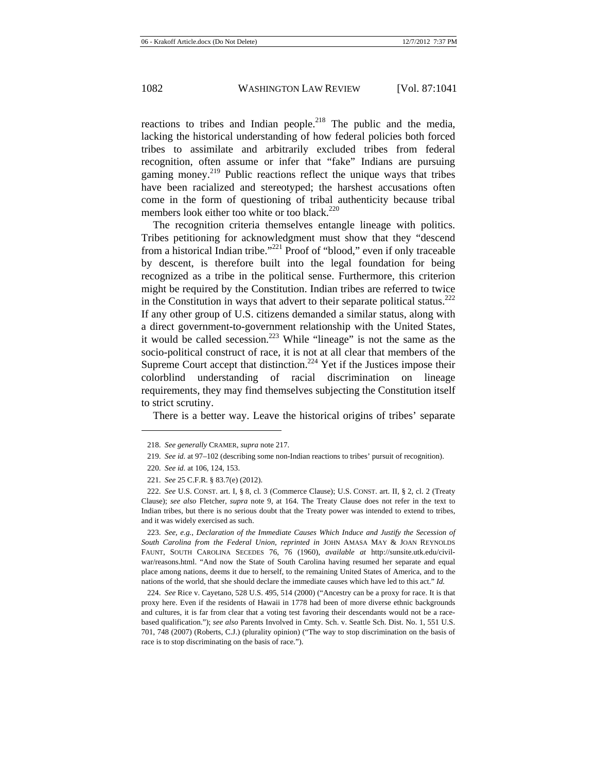reactions to tribes and Indian people. $218$  The public and the media, lacking the historical understanding of how federal policies both forced tribes to assimilate and arbitrarily excluded tribes from federal recognition, often assume or infer that "fake" Indians are pursuing gaming money.<sup>219</sup> Public reactions reflect the unique ways that tribes have been racialized and stereotyped; the harshest accusations often come in the form of questioning of tribal authenticity because tribal members look either too white or too black. $220$ 

The recognition criteria themselves entangle lineage with politics. Tribes petitioning for acknowledgment must show that they "descend from a historical Indian tribe."<sup>221</sup> Proof of "blood," even if only traceable by descent, is therefore built into the legal foundation for being recognized as a tribe in the political sense. Furthermore, this criterion might be required by the Constitution. Indian tribes are referred to twice in the Constitution in ways that advert to their separate political status.<sup>222</sup> If any other group of U.S. citizens demanded a similar status, along with a direct government-to-government relationship with the United States, it would be called secession.<sup>223</sup> While "lineage" is not the same as the socio-political construct of race, it is not at all clear that members of the Supreme Court accept that distinction.<sup>224</sup> Yet if the Justices impose their colorblind understanding of racial discrimination on lineage requirements, they may find themselves subjecting the Constitution itself to strict scrutiny.

There is a better way. Leave the historical origins of tribes' separate

 $\overline{a}$ 

224. *See* Rice v. Cayetano, 528 U.S. 495, 514 (2000) ("Ancestry can be a proxy for race. It is that proxy here. Even if the residents of Hawaii in 1778 had been of more diverse ethnic backgrounds and cultures, it is far from clear that a voting test favoring their descendants would not be a racebased qualification."); *see also* Parents Involved in Cmty. Sch. v. Seattle Sch. Dist. No. 1, 551 U.S. 701, 748 (2007) (Roberts, C.J.) (plurality opinion) ("The way to stop discrimination on the basis of race is to stop discriminating on the basis of race.").

<sup>218.</sup> *See generally* CRAMER, *supra* note 217.

<sup>219.</sup> *See id.* at 97–102 (describing some non-Indian reactions to tribes' pursuit of recognition).

<sup>220.</sup> *See id.* at 106, 124, 153.

<sup>221.</sup> *See* 25 C.F.R. § 83.7(e) (2012).

<sup>222.</sup> *See* U.S. CONST. art. I, § 8, cl. 3 (Commerce Clause); U.S. CONST. art. II, § 2, cl. 2 (Treaty Clause); *see also* Fletcher, *supra* note 9, at 164. The Treaty Clause does not refer in the text to Indian tribes, but there is no serious doubt that the Treaty power was intended to extend to tribes, and it was widely exercised as such.

<sup>223.</sup> *See, e.g.*, *Declaration of the Immediate Causes Which Induce and Justify the Secession of South Carolina from the Federal Union*, *reprinted in* JOHN AMASA MAY & JOAN REYNOLDS FAUNT, SOUTH CAROLINA SECEDES 76, 76 (1960), *available at* http://sunsite.utk.edu/civilwar/reasons.html. "And now the State of South Carolina having resumed her separate and equal place among nations, deems it due to herself, to the remaining United States of America, and to the nations of the world, that she should declare the immediate causes which have led to this act." *Id.*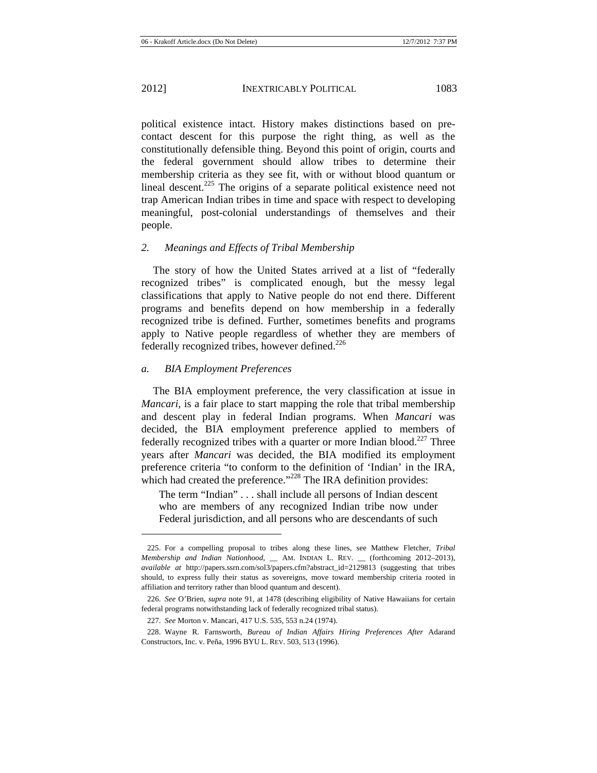political existence intact. History makes distinctions based on precontact descent for this purpose the right thing, as well as the constitutionally defensible thing. Beyond this point of origin, courts and the federal government should allow tribes to determine their membership criteria as they see fit, with or without blood quantum or lineal descent.<sup>225</sup> The origins of a separate political existence need not trap American Indian tribes in time and space with respect to developing meaningful, post-colonial understandings of themselves and their people.

## *2. Meanings and Effects of Tribal Membership*

The story of how the United States arrived at a list of "federally recognized tribes" is complicated enough, but the messy legal classifications that apply to Native people do not end there. Different programs and benefits depend on how membership in a federally recognized tribe is defined. Further, sometimes benefits and programs apply to Native people regardless of whether they are members of federally recognized tribes, however defined. $226$ 

#### *a. BIA Employment Preferences*

The BIA employment preference, the very classification at issue in *Mancari*, is a fair place to start mapping the role that tribal membership and descent play in federal Indian programs. When *Mancari* was decided, the BIA employment preference applied to members of federally recognized tribes with a quarter or more Indian blood.<sup>227</sup> Three years after *Mancari* was decided, the BIA modified its employment preference criteria "to conform to the definition of 'Indian' in the IRA, which had created the preference."<sup>228</sup> The IRA definition provides:

The term "Indian" . . . shall include all persons of Indian descent who are members of any recognized Indian tribe now under Federal jurisdiction, and all persons who are descendants of such

<sup>225.</sup> For a compelling proposal to tribes along these lines, see Matthew Fletcher, *Tribal Membership and Indian Nationhood*, \_\_ AM. INDIAN L. REV. \_\_ (forthcoming 2012–2013), *available at* http://papers.ssrn.com/sol3/papers.cfm?abstract\_id=2129813 (suggesting that tribes should, to express fully their status as sovereigns, move toward membership criteria rooted in affiliation and territory rather than blood quantum and descent).

<sup>226.</sup> *See* O'Brien, *supra* note 91, at 1478 (describing eligibility of Native Hawaiians for certain federal programs notwithstanding lack of federally recognized tribal status).

<sup>227.</sup> *See* Morton v. Mancari, 417 U.S. 535, 553 n.24 (1974).

<sup>228.</sup> Wayne R. Farnsworth, *Bureau of Indian Affairs Hiring Preferences After* Adarand Constructors, Inc. v. Peña, 1996 BYU L. REV. 503, 513 (1996).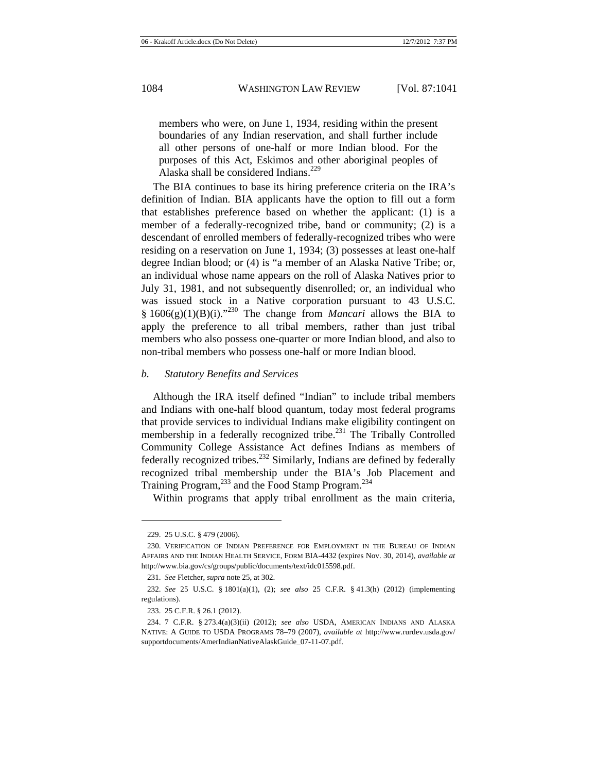members who were, on June 1, 1934, residing within the present boundaries of any Indian reservation, and shall further include all other persons of one-half or more Indian blood. For the purposes of this Act, Eskimos and other aboriginal peoples of Alaska shall be considered Indians.<sup>229</sup>

The BIA continues to base its hiring preference criteria on the IRA's definition of Indian. BIA applicants have the option to fill out a form that establishes preference based on whether the applicant: (1) is a member of a federally-recognized tribe, band or community; (2) is a descendant of enrolled members of federally-recognized tribes who were residing on a reservation on June 1, 1934; (3) possesses at least one-half degree Indian blood; or (4) is "a member of an Alaska Native Tribe; or, an individual whose name appears on the roll of Alaska Natives prior to July 31, 1981, and not subsequently disenrolled; or, an individual who was issued stock in a Native corporation pursuant to 43 U.S.C. §  $1606(g)(1)(B)(i).$ <sup>230</sup> The change from *Mancari* allows the BIA to apply the preference to all tribal members, rather than just tribal members who also possess one-quarter or more Indian blood, and also to non-tribal members who possess one-half or more Indian blood.

#### *b. Statutory Benefits and Services*

Although the IRA itself defined "Indian" to include tribal members and Indians with one-half blood quantum, today most federal programs that provide services to individual Indians make eligibility contingent on membership in a federally recognized tribe.<sup>231</sup> The Tribally Controlled Community College Assistance Act defines Indians as members of federally recognized tribes.<sup>232</sup> Similarly, Indians are defined by federally recognized tribal membership under the BIA's Job Placement and Training Program,<sup>233</sup> and the Food Stamp Program.<sup>234</sup>

Within programs that apply tribal enrollment as the main criteria,

<sup>229. 25</sup> U.S.C. § 479 (2006).

<sup>230.</sup> VERIFICATION OF INDIAN PREFERENCE FOR EMPLOYMENT IN THE BUREAU OF INDIAN AFFAIRS AND THE INDIAN HEALTH SERVICE, FORM BIA-4432 (expires Nov. 30, 2014), *available at* http://www.bia.gov/cs/groups/public/documents/text/idc015598.pdf.

<sup>231.</sup> *See* Fletcher, *supra* note 25, at 302.

<sup>232.</sup> *See* 25 U.S.C. § 1801(a)(1), (2); *see also* 25 C.F.R. § 41.3(h) (2012) (implementing regulations).

<sup>233. 25</sup> C.F.R. § 26.1 (2012).

<sup>234. 7</sup> C.F.R. § 273.4(a)(3)(ii) (2012); *see also* USDA, AMERICAN INDIANS AND ALASKA NATIVE: A GUIDE TO USDA PROGRAMS 78–79 (2007), *available at* http://www.rurdev.usda.gov/ supportdocuments/AmerIndianNativeAlaskGuide\_07-11-07.pdf.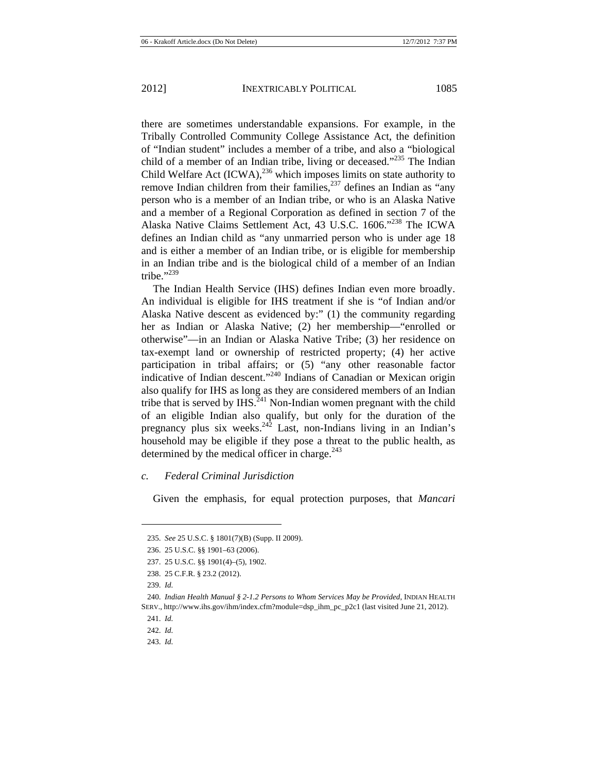there are sometimes understandable expansions. For example, in the Tribally Controlled Community College Assistance Act, the definition of "Indian student" includes a member of a tribe, and also a "biological child of a member of an Indian tribe, living or deceased."<sup>235</sup> The Indian Child Welfare Act  $(ICWA)$ ,<sup>236</sup> which imposes limits on state authority to remove Indian children from their families,<sup>237</sup> defines an Indian as "any person who is a member of an Indian tribe, or who is an Alaska Native and a member of a Regional Corporation as defined in section 7 of the Alaska Native Claims Settlement Act, 43 U.S.C. 1606."<sup>238</sup> The ICWA defines an Indian child as "any unmarried person who is under age 18 and is either a member of an Indian tribe, or is eligible for membership in an Indian tribe and is the biological child of a member of an Indian tribe." $^{3239}$ 

The Indian Health Service (IHS) defines Indian even more broadly. An individual is eligible for IHS treatment if she is "of Indian and/or Alaska Native descent as evidenced by:" (1) the community regarding her as Indian or Alaska Native; (2) her membership—"enrolled or otherwise"—in an Indian or Alaska Native Tribe; (3) her residence on tax-exempt land or ownership of restricted property; (4) her active participation in tribal affairs; or (5) "any other reasonable factor indicative of Indian descent."<sup>240</sup> Indians of Canadian or Mexican origin also qualify for IHS as long as they are considered members of an Indian tribe that is served by  $IHS$ <sup>241</sup> Non-Indian women pregnant with the child of an eligible Indian also qualify, but only for the duration of the pregnancy plus six weeks. $242$  Last, non-Indians living in an Indian's household may be eligible if they pose a threat to the public health, as determined by the medical officer in charge. $^{243}$ 

#### *c. Federal Criminal Jurisdiction*

Given the emphasis, for equal protection purposes, that *Mancari*

 $\overline{a}$ 

243. *Id.*

<sup>235.</sup> *See* 25 U.S.C. § 1801(7)(B) (Supp. II 2009).

<sup>236. 25</sup> U.S.C. §§ 1901–63 (2006).

<sup>237. 25</sup> U.S.C. §§ 1901(4)–(5), 1902.

<sup>238. 25</sup> C.F.R. § 23.2 (2012).

<sup>239.</sup> *Id.*

<sup>240.</sup> *Indian Health Manual § 2-1.2 Persons to Whom Services May be Provided*, INDIAN HEALTH SERV., http://www.ihs.gov/ihm/index.cfm?module=dsp\_ihm\_pc\_p2c1 (last visited June 21, 2012).

<sup>241.</sup> *Id.*

<sup>242.</sup> *Id.*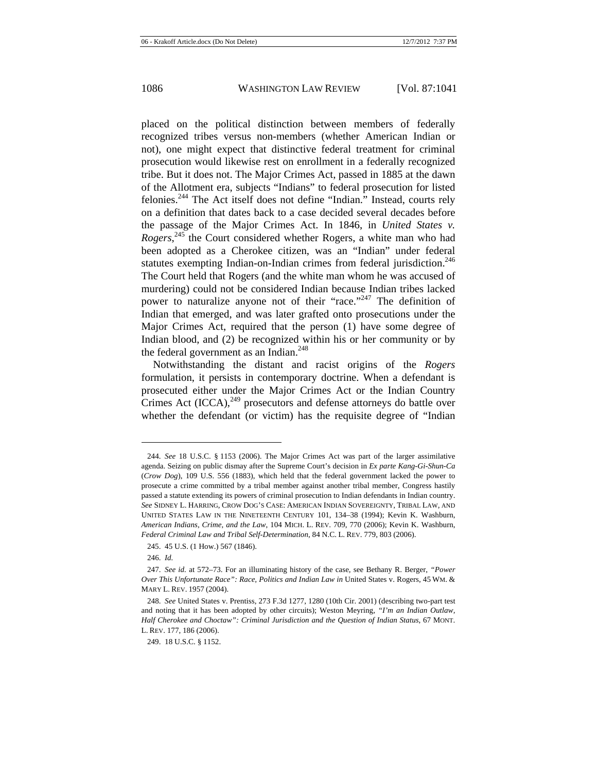placed on the political distinction between members of federally recognized tribes versus non-members (whether American Indian or not), one might expect that distinctive federal treatment for criminal prosecution would likewise rest on enrollment in a federally recognized tribe. But it does not. The Major Crimes Act, passed in 1885 at the dawn of the Allotment era, subjects "Indians" to federal prosecution for listed felonies.244 The Act itself does not define "Indian." Instead, courts rely on a definition that dates back to a case decided several decades before the passage of the Major Crimes Act. In 1846, in *United States v. Rogers*<sup>245</sup>, the Court considered whether Rogers, a white man who had been adopted as a Cherokee citizen, was an "Indian" under federal statutes exempting Indian-on-Indian crimes from federal jurisdiction.<sup>246</sup> The Court held that Rogers (and the white man whom he was accused of murdering) could not be considered Indian because Indian tribes lacked power to naturalize anyone not of their "race."<sup>247</sup> The definition of Indian that emerged, and was later grafted onto prosecutions under the Major Crimes Act, required that the person (1) have some degree of Indian blood, and (2) be recognized within his or her community or by the federal government as an Indian. $248$ 

Notwithstanding the distant and racist origins of the *Rogers* formulation, it persists in contemporary doctrine. When a defendant is prosecuted either under the Major Crimes Act or the Indian Country Crimes Act  $(ICCA)$ ,<sup>249</sup> prosecutors and defense attorneys do battle over whether the defendant (or victim) has the requisite degree of "Indian

<sup>244.</sup> *See* 18 U.S.C. § 1153 (2006). The Major Crimes Act was part of the larger assimilative agenda. Seizing on public dismay after the Supreme Court's decision in *Ex parte Kang-Gi-Shun-Ca*  (*Crow Dog*), 109 U.S. 556 (1883), which held that the federal government lacked the power to prosecute a crime committed by a tribal member against another tribal member, Congress hastily passed a statute extending its powers of criminal prosecution to Indian defendants in Indian country. *See* SIDNEY L. HARRING, CROW DOG'S CASE: AMERICAN INDIAN SOVEREIGNTY, TRIBAL LAW, AND UNITED STATES LAW IN THE NINETEENTH CENTURY 101, 134–38 (1994); Kevin K. Washburn, *American Indians, Crime, and the Law*, 104 MICH. L. REV. 709, 770 (2006); Kevin K. Washburn, *Federal Criminal Law and Tribal Self-Determination*, 84 N.C. L. REV. 779, 803 (2006).

<sup>245. 45</sup> U.S. (1 How.) 567 (1846).

<sup>246.</sup> *Id.*

<sup>247.</sup> *See id.* at 572–73. For an illuminating history of the case, see Bethany R. Berger, *"Power Over This Unfortunate Race": Race, Politics and Indian Law in* United States v. Rogers, 45 WM. & MARY L. REV. 1957 (2004).

<sup>248.</sup> *See* United States v. Prentiss, 273 F.3d 1277, 1280 (10th Cir. 2001) (describing two-part test and noting that it has been adopted by other circuits); Weston Meyring, *"I'm an Indian Outlaw, Half Cherokee and Choctaw": Criminal Jurisdiction and the Question of Indian Status*, 67 MONT. L. REV. 177, 186 (2006).

<sup>249. 18</sup> U.S.C. § 1152.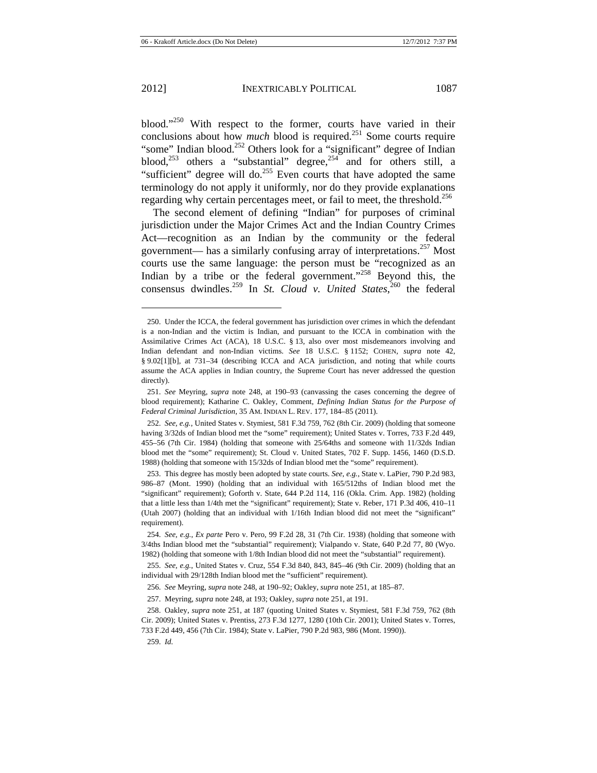$\overline{a}$ 

blood."<sup>250</sup> With respect to the former, courts have varied in their conclusions about how *much* blood is required.<sup>251</sup> Some courts require "some" Indian blood.<sup>252</sup> Others look for a "significant" degree of Indian blood,<sup>253</sup> others a "substantial" degree,<sup>254</sup> and for others still, a "sufficient" degree will do.<sup>255</sup> Even courts that have adopted the same terminology do not apply it uniformly, nor do they provide explanations regarding why certain percentages meet, or fail to meet, the threshold.<sup>256</sup>

The second element of defining "Indian" for purposes of criminal jurisdiction under the Major Crimes Act and the Indian Country Crimes Act—recognition as an Indian by the community or the federal government— has a similarly confusing array of interpretations.<sup>257</sup> Most courts use the same language: the person must be "recognized as an Indian by a tribe or the federal government."<sup>258</sup> Beyond this, the consensus dwindles.259 In *St. Cloud v. United States*, 260 the federal

<sup>250.</sup> Under the ICCA, the federal government has jurisdiction over crimes in which the defendant is a non-Indian and the victim is Indian, and pursuant to the ICCA in combination with the Assimilative Crimes Act (ACA), 18 U.S.C. § 13, also over most misdemeanors involving and Indian defendant and non-Indian victims. *See* 18 U.S.C. § 1152; COHEN, *supra* note 42, § 9.02[1][b], at 731–34 (describing ICCA and ACA jurisdiction, and noting that while courts assume the ACA applies in Indian country, the Supreme Court has never addressed the question directly).

<sup>251.</sup> *See* Meyring, *supra* note 248, at 190–93 (canvassing the cases concerning the degree of blood requirement); Katharine C. Oakley, Comment, *Defining Indian Status for the Purpose of Federal Criminal Jurisdiction*, 35 AM. INDIAN L. REV. 177, 184–85 (2011).

<sup>252.</sup> *See, e.g.*, United States v. Stymiest, 581 F.3d 759, 762 (8th Cir. 2009) (holding that someone having 3/32ds of Indian blood met the "some" requirement); United States v. Torres, 733 F.2d 449, 455–56 (7th Cir. 1984) (holding that someone with 25/64ths and someone with 11/32ds Indian blood met the "some" requirement); St. Cloud v. United States, 702 F. Supp. 1456, 1460 (D.S.D. 1988) (holding that someone with 15/32ds of Indian blood met the "some" requirement).

<sup>253.</sup> This degree has mostly been adopted by state courts. *See, e.g.*, State v. LaPier, 790 P.2d 983, 986–87 (Mont. 1990) (holding that an individual with 165/512ths of Indian blood met the "significant" requirement); Goforth v. State, 644 P.2d 114, 116 (Okla. Crim. App. 1982) (holding that a little less than 1/4th met the "significant" requirement); State v. Reber, 171 P.3d 406, 410–11 (Utah 2007) (holding that an individual with 1/16th Indian blood did not meet the "significant" requirement).

<sup>254.</sup> *See, e.g.*, *Ex parte* Pero v. Pero, 99 F.2d 28, 31 (7th Cir. 1938) (holding that someone with 3/4ths Indian blood met the "substantial" requirement); Vialpando v. State, 640 P.2d 77, 80 (Wyo. 1982) (holding that someone with 1/8th Indian blood did not meet the "substantial" requirement).

<sup>255.</sup> *See, e.g.*, United States v. Cruz, 554 F.3d 840, 843, 845–46 (9th Cir. 2009) (holding that an individual with 29/128th Indian blood met the "sufficient" requirement).

<sup>256.</sup> *See* Meyring, *supra* note 248, at 190–92; Oakley, *supra* note 251, at 185–87.

<sup>257.</sup> Meyring, *supra* note 248, at 193; Oakley, *supra* note 251, at 191.

<sup>258.</sup> Oakley, *supra* note 251, at 187 (quoting United States v. Stymiest, 581 F.3d 759, 762 (8th Cir. 2009); United States v. Prentiss, 273 F.3d 1277, 1280 (10th Cir. 2001); United States v. Torres, 733 F.2d 449, 456 (7th Cir. 1984); State v. LaPier, 790 P.2d 983, 986 (Mont. 1990)).

<sup>259.</sup> *Id.*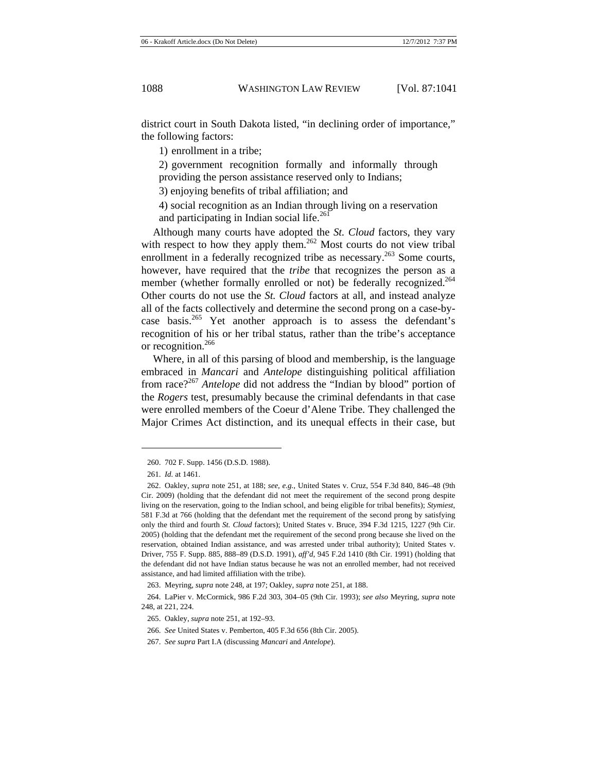district court in South Dakota listed, "in declining order of importance," the following factors:

1) enrollment in a tribe;

2) government recognition formally and informally through providing the person assistance reserved only to Indians;

3) enjoying benefits of tribal affiliation; and

4) social recognition as an Indian through living on a reservation and participating in Indian social life. $^{261}$ 

Although many courts have adopted the *St. Cloud* factors, they vary with respect to how they apply them.<sup>262</sup> Most courts do not view tribal enrollment in a federally recognized tribe as necessary.<sup>263</sup> Some courts, however, have required that the *tribe* that recognizes the person as a member (whether formally enrolled or not) be federally recognized.<sup>264</sup> Other courts do not use the *St. Cloud* factors at all, and instead analyze all of the facts collectively and determine the second prong on a case-bycase basis.<sup>265</sup> Yet another approach is to assess the defendant's recognition of his or her tribal status, rather than the tribe's acceptance or recognition.<sup>266</sup>

Where, in all of this parsing of blood and membership, is the language embraced in *Mancari* and *Antelope* distinguishing political affiliation from race?<sup>267</sup> *Antelope* did not address the "Indian by blood" portion of the *Rogers* test, presumably because the criminal defendants in that case were enrolled members of the Coeur d'Alene Tribe. They challenged the Major Crimes Act distinction, and its unequal effects in their case, but

<sup>260. 702</sup> F. Supp. 1456 (D.S.D. 1988).

<sup>261.</sup> *Id.* at 1461.

<sup>262.</sup> Oakley, *supra* note 251, at 188; *see*, *e.g.*, United States v. Cruz, 554 F.3d 840, 846–48 (9th Cir. 2009) (holding that the defendant did not meet the requirement of the second prong despite living on the reservation, going to the Indian school, and being eligible for tribal benefits); *Stymiest*, 581 F.3d at 766 (holding that the defendant met the requirement of the second prong by satisfying only the third and fourth *St. Cloud* factors); United States v. Bruce, 394 F.3d 1215, 1227 (9th Cir. 2005) (holding that the defendant met the requirement of the second prong because she lived on the reservation, obtained Indian assistance, and was arrested under tribal authority); United States v. Driver, 755 F. Supp. 885, 888–89 (D.S.D. 1991), *aff'd*, 945 F.2d 1410 (8th Cir. 1991) (holding that the defendant did not have Indian status because he was not an enrolled member, had not received assistance, and had limited affiliation with the tribe).

<sup>263.</sup> Meyring, *supra* note 248, at 197; Oakley, *supra* note 251, at 188.

<sup>264.</sup> LaPier v. McCormick, 986 F.2d 303, 304–05 (9th Cir. 1993); *see also* Meyring, *supra* note 248, at 221, 224.

<sup>265.</sup> Oakley, *supra* note 251, at 192–93.

<sup>266.</sup> *See* United States v. Pemberton, 405 F.3d 656 (8th Cir. 2005).

<sup>267.</sup> *See supra* Part I.A (discussing *Mancari* and *Antelope*).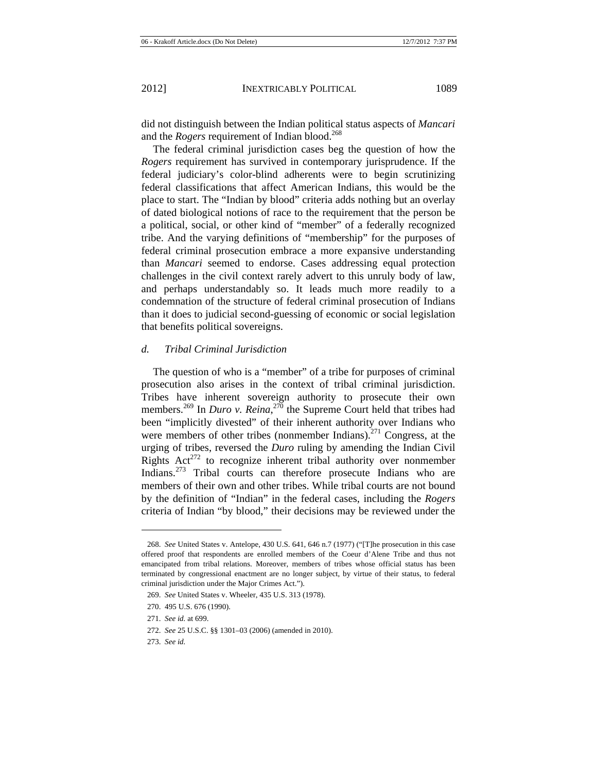did not distinguish between the Indian political status aspects of *Mancari* and the *Rogers* requirement of Indian blood.<sup>268</sup>

The federal criminal jurisdiction cases beg the question of how the *Rogers* requirement has survived in contemporary jurisprudence. If the federal judiciary's color-blind adherents were to begin scrutinizing federal classifications that affect American Indians, this would be the place to start. The "Indian by blood" criteria adds nothing but an overlay of dated biological notions of race to the requirement that the person be a political, social, or other kind of "member" of a federally recognized tribe. And the varying definitions of "membership" for the purposes of federal criminal prosecution embrace a more expansive understanding than *Mancari* seemed to endorse. Cases addressing equal protection challenges in the civil context rarely advert to this unruly body of law, and perhaps understandably so. It leads much more readily to a condemnation of the structure of federal criminal prosecution of Indians than it does to judicial second-guessing of economic or social legislation that benefits political sovereigns.

#### *d. Tribal Criminal Jurisdiction*

The question of who is a "member" of a tribe for purposes of criminal prosecution also arises in the context of tribal criminal jurisdiction. Tribes have inherent sovereign authority to prosecute their own members.<sup>269</sup> In *Duro v. Reina*,<sup>270</sup> the Supreme Court held that tribes had been "implicitly divested" of their inherent authority over Indians who were members of other tribes (nonmember Indians).<sup>271</sup> Congress, at the urging of tribes, reversed the *Duro* ruling by amending the Indian Civil Rights  $Act^{272}$  to recognize inherent tribal authority over nonmember Indians.273 Tribal courts can therefore prosecute Indians who are members of their own and other tribes. While tribal courts are not bound by the definition of "Indian" in the federal cases, including the *Rogers* criteria of Indian "by blood," their decisions may be reviewed under the

<sup>268.</sup> *See* United States v. Antelope, 430 U.S. 641, 646 n.7 (1977) ("[T]he prosecution in this case offered proof that respondents are enrolled members of the Coeur d'Alene Tribe and thus not emancipated from tribal relations. Moreover, members of tribes whose official status has been terminated by congressional enactment are no longer subject, by virtue of their status, to federal criminal jurisdiction under the Major Crimes Act.").

<sup>269.</sup> *See* United States v. Wheeler, 435 U.S. 313 (1978).

<sup>270. 495</sup> U.S. 676 (1990).

<sup>271.</sup> *See id.* at 699.

<sup>272.</sup> *See* 25 U.S.C. §§ 1301–03 (2006) (amended in 2010).

<sup>273.</sup> *See id.*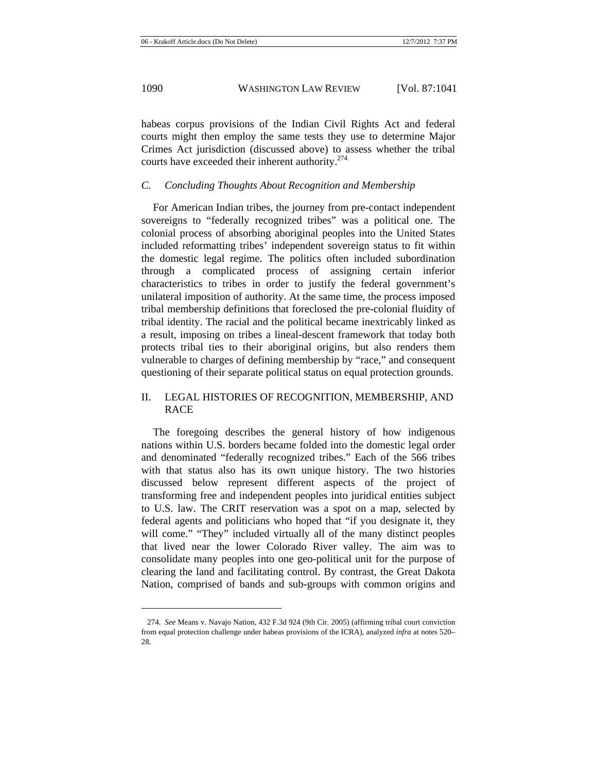habeas corpus provisions of the Indian Civil Rights Act and federal courts might then employ the same tests they use to determine Major Crimes Act jurisdiction (discussed above) to assess whether the tribal courts have exceeded their inherent authority.<sup>274</sup>

## *C. Concluding Thoughts About Recognition and Membership*

For American Indian tribes, the journey from pre-contact independent sovereigns to "federally recognized tribes" was a political one. The colonial process of absorbing aboriginal peoples into the United States included reformatting tribes' independent sovereign status to fit within the domestic legal regime. The politics often included subordination through a complicated process of assigning certain inferior characteristics to tribes in order to justify the federal government's unilateral imposition of authority. At the same time, the process imposed tribal membership definitions that foreclosed the pre-colonial fluidity of tribal identity. The racial and the political became inextricably linked as a result, imposing on tribes a lineal-descent framework that today both protects tribal ties to their aboriginal origins, but also renders them vulnerable to charges of defining membership by "race," and consequent questioning of their separate political status on equal protection grounds.

# II. LEGAL HISTORIES OF RECOGNITION, MEMBERSHIP, AND RACE

The foregoing describes the general history of how indigenous nations within U.S. borders became folded into the domestic legal order and denominated "federally recognized tribes." Each of the 566 tribes with that status also has its own unique history. The two histories discussed below represent different aspects of the project of transforming free and independent peoples into juridical entities subject to U.S. law. The CRIT reservation was a spot on a map, selected by federal agents and politicians who hoped that "if you designate it, they will come." "They" included virtually all of the many distinct peoples that lived near the lower Colorado River valley. The aim was to consolidate many peoples into one geo-political unit for the purpose of clearing the land and facilitating control. By contrast, the Great Dakota Nation, comprised of bands and sub-groups with common origins and

<sup>274.</sup> *See* Means v. Navajo Nation, 432 F.3d 924 (9th Cir. 2005) (affirming tribal court conviction from equal protection challenge under habeas provisions of the ICRA), analyzed *infra* at notes 520– 28.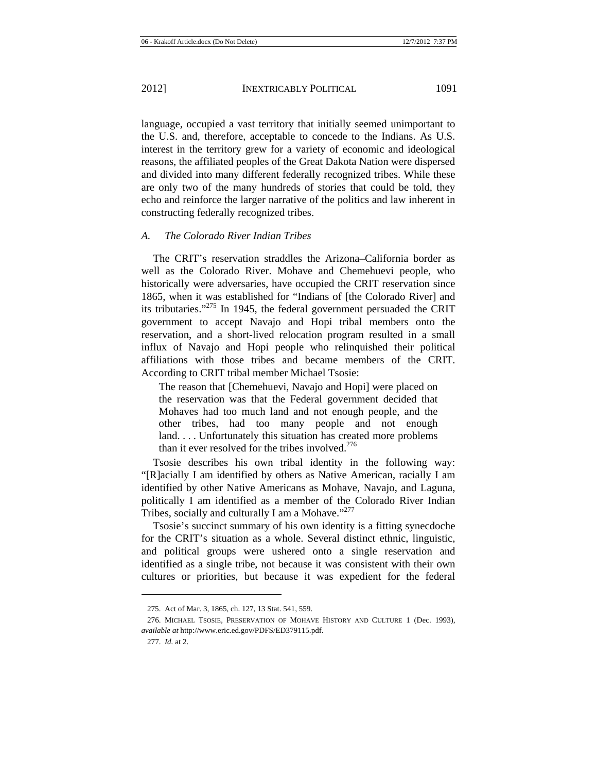language, occupied a vast territory that initially seemed unimportant to the U.S. and, therefore, acceptable to concede to the Indians. As U.S. interest in the territory grew for a variety of economic and ideological reasons, the affiliated peoples of the Great Dakota Nation were dispersed and divided into many different federally recognized tribes. While these are only two of the many hundreds of stories that could be told, they echo and reinforce the larger narrative of the politics and law inherent in constructing federally recognized tribes.

### *A. The Colorado River Indian Tribes*

The CRIT's reservation straddles the Arizona–California border as well as the Colorado River. Mohave and Chemehuevi people, who historically were adversaries, have occupied the CRIT reservation since 1865, when it was established for "Indians of [the Colorado River] and its tributaries."275 In 1945, the federal government persuaded the CRIT government to accept Navajo and Hopi tribal members onto the reservation, and a short-lived relocation program resulted in a small influx of Navajo and Hopi people who relinquished their political affiliations with those tribes and became members of the CRIT. According to CRIT tribal member Michael Tsosie:

The reason that [Chemehuevi, Navajo and Hopi] were placed on the reservation was that the Federal government decided that Mohaves had too much land and not enough people, and the other tribes, had too many people and not enough land. . . . Unfortunately this situation has created more problems than it ever resolved for the tribes involved. $276$ 

Tsosie describes his own tribal identity in the following way: "[R]acially I am identified by others as Native American, racially I am identified by other Native Americans as Mohave, Navajo, and Laguna, politically I am identified as a member of the Colorado River Indian Tribes, socially and culturally I am a Mohave."<sup>277</sup>

Tsosie's succinct summary of his own identity is a fitting synecdoche for the CRIT's situation as a whole. Several distinct ethnic, linguistic, and political groups were ushered onto a single reservation and identified as a single tribe, not because it was consistent with their own cultures or priorities, but because it was expedient for the federal

<sup>275.</sup> Act of Mar. 3, 1865, ch. 127, 13 Stat. 541, 559.

<sup>276.</sup> MICHAEL TSOSIE, PRESERVATION OF MOHAVE HISTORY AND CULTURE 1 (Dec. 1993), *available at* http://www.eric.ed.gov/PDFS/ED379115.pdf.

<sup>277.</sup> *Id.* at 2.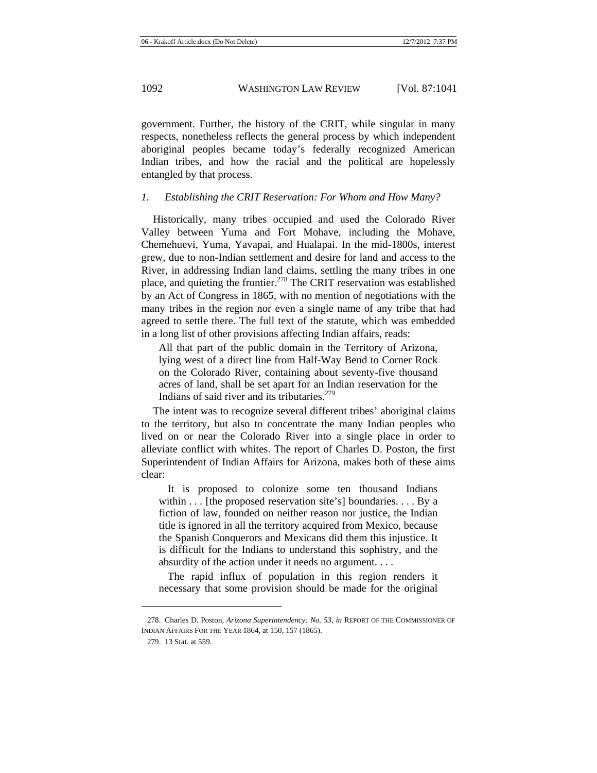government. Further, the history of the CRIT, while singular in many respects, nonetheless reflects the general process by which independent aboriginal peoples became today's federally recognized American Indian tribes, and how the racial and the political are hopelessly entangled by that process.

# *1. Establishing the CRIT Reservation: For Whom and How Many?*

Historically, many tribes occupied and used the Colorado River Valley between Yuma and Fort Mohave, including the Mohave, Chemehuevi, Yuma, Yavapai, and Hualapai. In the mid-1800s, interest grew, due to non-Indian settlement and desire for land and access to the River, in addressing Indian land claims, settling the many tribes in one place, and quieting the frontier.278 The CRIT reservation was established by an Act of Congress in 1865, with no mention of negotiations with the many tribes in the region nor even a single name of any tribe that had agreed to settle there. The full text of the statute, which was embedded in a long list of other provisions affecting Indian affairs, reads:

All that part of the public domain in the Territory of Arizona, lying west of a direct line from Half-Way Bend to Corner Rock on the Colorado River, containing about seventy-five thousand acres of land, shall be set apart for an Indian reservation for the Indians of said river and its tributaries. $279$ 

The intent was to recognize several different tribes' aboriginal claims to the territory, but also to concentrate the many Indian peoples who lived on or near the Colorado River into a single place in order to alleviate conflict with whites. The report of Charles D. Poston, the first Superintendent of Indian Affairs for Arizona, makes both of these aims clear:

 It is proposed to colonize some ten thousand Indians within . . . [the proposed reservation site's] boundaries. . . . By a fiction of law, founded on neither reason nor justice, the Indian title is ignored in all the territory acquired from Mexico, because the Spanish Conquerors and Mexicans did them this injustice. It is difficult for the Indians to understand this sophistry, and the absurdity of the action under it needs no argument. . . .

 The rapid influx of population in this region renders it necessary that some provision should be made for the original

<sup>278.</sup> Charles D. Poston, *Arizona Superintendency: No. 53*, *in* REPORT OF THE COMMISSIONER OF INDIAN AFFAIRS FOR THE YEAR 1864, at 150, 157 (1865).

<sup>279. 13</sup> Stat. at 559.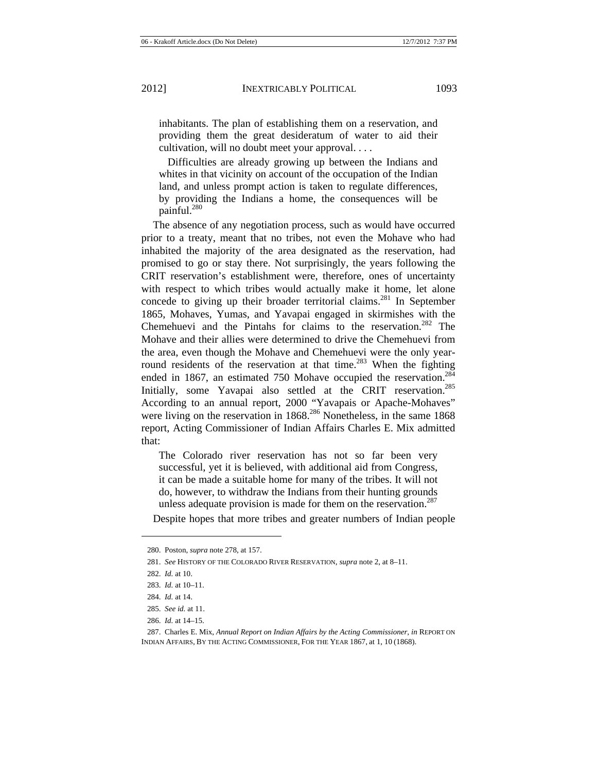inhabitants. The plan of establishing them on a reservation, and providing them the great desideratum of water to aid their cultivation, will no doubt meet your approval. . . .

 Difficulties are already growing up between the Indians and whites in that vicinity on account of the occupation of the Indian land, and unless prompt action is taken to regulate differences, by providing the Indians a home, the consequences will be painful.<sup>280</sup>

The absence of any negotiation process, such as would have occurred prior to a treaty, meant that no tribes, not even the Mohave who had inhabited the majority of the area designated as the reservation, had promised to go or stay there. Not surprisingly, the years following the CRIT reservation's establishment were, therefore, ones of uncertainty with respect to which tribes would actually make it home, let alone concede to giving up their broader territorial claims.<sup>281</sup> In September 1865, Mohaves, Yumas, and Yavapai engaged in skirmishes with the Chemehuevi and the Pintahs for claims to the reservation.<sup>282</sup> The Mohave and their allies were determined to drive the Chemehuevi from the area, even though the Mohave and Chemehuevi were the only yearround residents of the reservation at that time.<sup>283</sup> When the fighting ended in 1867, an estimated 750 Mohave occupied the reservation.<sup>284</sup> Initially, some Yavapai also settled at the CRIT reservation.<sup>285</sup> According to an annual report, 2000 "Yavapais or Apache-Mohaves" were living on the reservation in  $1868$ <sup>286</sup> Nonetheless, in the same  $1868$ report, Acting Commissioner of Indian Affairs Charles E. Mix admitted that:

The Colorado river reservation has not so far been very successful, yet it is believed, with additional aid from Congress, it can be made a suitable home for many of the tribes. It will not do, however, to withdraw the Indians from their hunting grounds unless adequate provision is made for them on the reservation. $287$ 

Despite hopes that more tribes and greater numbers of Indian people

 $\overline{a}$ 

286. *Id.* at 14–15.

<sup>280.</sup> Poston, *supra* note 278, at 157.

<sup>281.</sup> *See* HISTORY OF THE COLORADO RIVER RESERVATION, *supra* note 2, at 8–11.

<sup>282.</sup> *Id.* at 10.

<sup>283.</sup> *Id.* at 10–11.

<sup>284.</sup> *Id.* at 14.

<sup>285.</sup> *See id.* at 11.

<sup>287.</sup> Charles E. Mix, *Annual Report on Indian Affairs by the Acting Commissioner*, *in* REPORT ON INDIAN AFFAIRS, BY THE ACTING COMMISSIONER, FOR THE YEAR 1867, at 1, 10 (1868).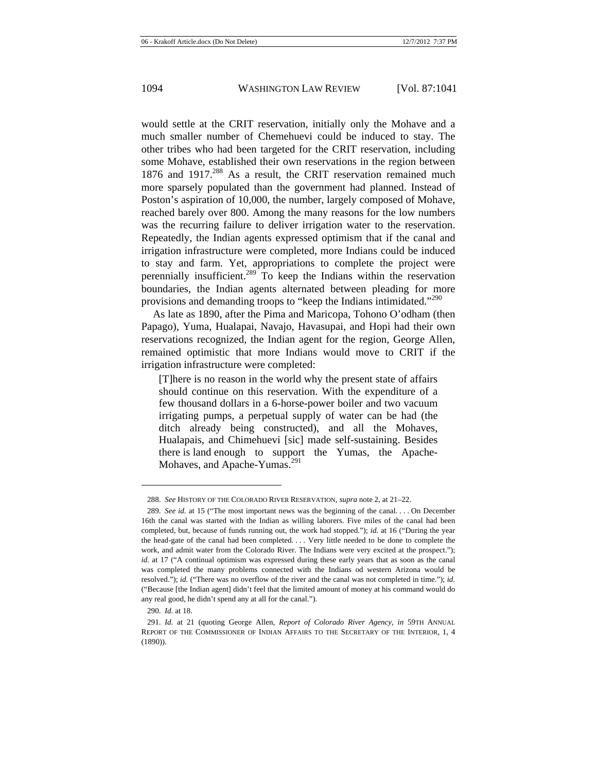would settle at the CRIT reservation, initially only the Mohave and a much smaller number of Chemehuevi could be induced to stay. The other tribes who had been targeted for the CRIT reservation, including some Mohave, established their own reservations in the region between 1876 and 1917.<sup>288</sup> As a result, the CRIT reservation remained much more sparsely populated than the government had planned. Instead of Poston's aspiration of 10,000, the number, largely composed of Mohave, reached barely over 800. Among the many reasons for the low numbers was the recurring failure to deliver irrigation water to the reservation. Repeatedly, the Indian agents expressed optimism that if the canal and irrigation infrastructure were completed, more Indians could be induced to stay and farm. Yet, appropriations to complete the project were perennially insufficient.<sup>289</sup> To keep the Indians within the reservation boundaries, the Indian agents alternated between pleading for more provisions and demanding troops to "keep the Indians intimidated."<sup>290</sup>

As late as 1890, after the Pima and Maricopa, Tohono O'odham (then Papago), Yuma, Hualapai, Navajo, Havasupai, and Hopi had their own reservations recognized, the Indian agent for the region, George Allen, remained optimistic that more Indians would move to CRIT if the irrigation infrastructure were completed:

[T]here is no reason in the world why the present state of affairs should continue on this reservation. With the expenditure of a few thousand dollars in a 6-horse-power boiler and two vacuum irrigating pumps, a perpetual supply of water can be had (the ditch already being constructed), and all the Mohaves, Hualapais, and Chimehuevi [sic] made self-sustaining. Besides there is land enough to support the Yumas, the Apache-Mohaves, and Apache-Yumas.<sup>291</sup>

<sup>288.</sup> *See* HISTORY OF THE COLORADO RIVER RESERVATION, *supra* note 2, at 21–22.

<sup>289.</sup> *See id.* at 15 ("The most important news was the beginning of the canal. . . . On December 16th the canal was started with the Indian as willing laborers. Five miles of the canal had been completed, but, because of funds running out, the work had stopped."); *id.* at 16 ("During the year the head-gate of the canal had been completed. . . . Very little needed to be done to complete the work, and admit water from the Colorado River. The Indians were very excited at the prospect."); *id.* at 17 ("A continual optimism was expressed during these early years that as soon as the canal was completed the many problems connected with the Indians od western Arizona would be resolved."); *id.* ("There was no overflow of the river and the canal was not completed in time."); *id.* ("Because [the Indian agent] didn't feel that the limited amount of money at his command would do any real good, he didn't spend any at all for the canal.").

<sup>290.</sup> *Id.* at 18.

<sup>291.</sup> *Id.* at 21 (quoting George Allen, *Report of Colorado River Agency*, *in* 59TH ANNUAL REPORT OF THE COMMISSIONER OF INDIAN AFFAIRS TO THE SECRETARY OF THE INTERIOR, 1, 4 (1890)).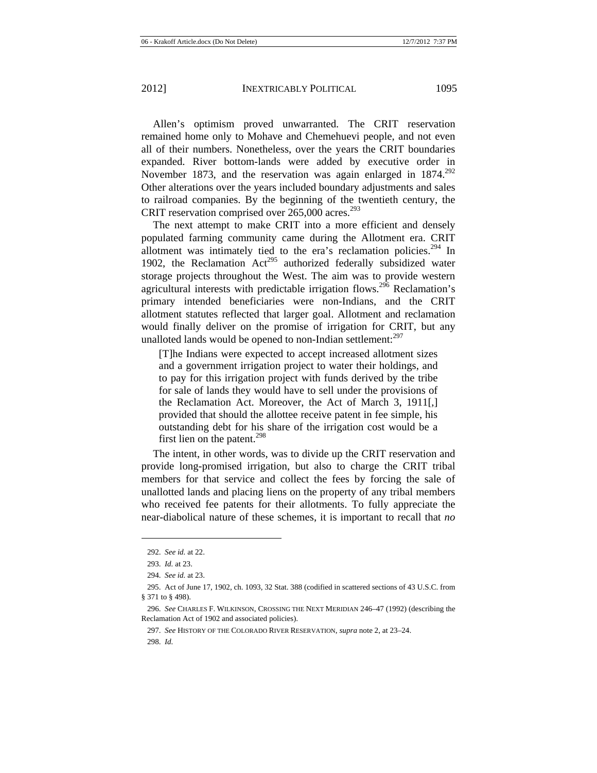Allen's optimism proved unwarranted. The CRIT reservation remained home only to Mohave and Chemehuevi people, and not even all of their numbers. Nonetheless, over the years the CRIT boundaries expanded. River bottom-lands were added by executive order in November 1873, and the reservation was again enlarged in 1874.<sup>292</sup> Other alterations over the years included boundary adjustments and sales to railroad companies. By the beginning of the twentieth century, the CRIT reservation comprised over  $265,000$  acres.<sup>293</sup>

The next attempt to make CRIT into a more efficient and densely populated farming community came during the Allotment era. CRIT allotment was intimately tied to the era's reclamation policies.<sup>294</sup> In 1902, the Reclamation  $Act^{295}$  authorized federally subsidized water storage projects throughout the West. The aim was to provide western agricultural interests with predictable irrigation flows.<sup>296</sup> Reclamation's primary intended beneficiaries were non-Indians, and the CRIT allotment statutes reflected that larger goal. Allotment and reclamation would finally deliver on the promise of irrigation for CRIT, but any unalloted lands would be opened to non-Indian settlement: $297$ 

[T]he Indians were expected to accept increased allotment sizes and a government irrigation project to water their holdings, and to pay for this irrigation project with funds derived by the tribe for sale of lands they would have to sell under the provisions of the Reclamation Act. Moreover, the Act of March 3, 1911[,] provided that should the allottee receive patent in fee simple, his outstanding debt for his share of the irrigation cost would be a first lien on the patent. $298$ 

The intent, in other words, was to divide up the CRIT reservation and provide long-promised irrigation, but also to charge the CRIT tribal members for that service and collect the fees by forcing the sale of unallotted lands and placing liens on the property of any tribal members who received fee patents for their allotments. To fully appreciate the near-diabolical nature of these schemes, it is important to recall that *no* 

<sup>292.</sup> *See id.* at 22.

<sup>293.</sup> *Id.* at 23.

<sup>294.</sup> *See id.* at 23.

<sup>295.</sup> Act of June 17, 1902, ch. 1093, 32 Stat. 388 (codified in scattered sections of 43 U.S.C. from § 371 to § 498).

<sup>296.</sup> *See* CHARLES F. WILKINSON, CROSSING THE NEXT MERIDIAN 246–47 (1992) (describing the Reclamation Act of 1902 and associated policies).

<sup>297.</sup> *See* HISTORY OF THE COLORADO RIVER RESERVATION, *supra* note 2, at 23–24.

<sup>298.</sup> *Id.*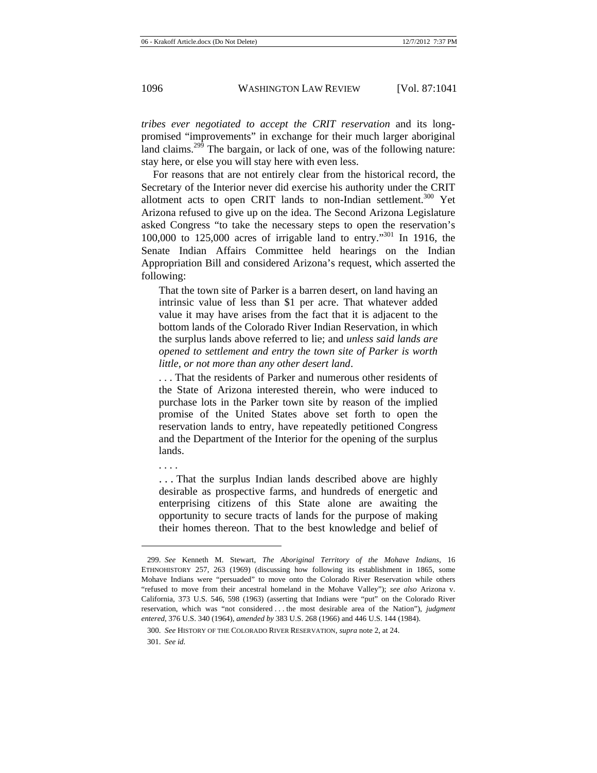*tribes ever negotiated to accept the CRIT reservation* and its longpromised "improvements" in exchange for their much larger aboriginal land claims.<sup>299</sup> The bargain, or lack of one, was of the following nature: stay here, or else you will stay here with even less.

For reasons that are not entirely clear from the historical record, the Secretary of the Interior never did exercise his authority under the CRIT allotment acts to open CRIT lands to non-Indian settlement.<sup>300</sup> Yet Arizona refused to give up on the idea. The Second Arizona Legislature asked Congress "to take the necessary steps to open the reservation's 100,000 to 125,000 acres of irrigable land to entry."301 In 1916, the Senate Indian Affairs Committee held hearings on the Indian Appropriation Bill and considered Arizona's request, which asserted the following:

That the town site of Parker is a barren desert, on land having an intrinsic value of less than \$1 per acre. That whatever added value it may have arises from the fact that it is adjacent to the bottom lands of the Colorado River Indian Reservation, in which the surplus lands above referred to lie; and *unless said lands are opened to settlement and entry the town site of Parker is worth little, or not more than any other desert land*.

. . . That the residents of Parker and numerous other residents of the State of Arizona interested therein, who were induced to purchase lots in the Parker town site by reason of the implied promise of the United States above set forth to open the reservation lands to entry, have repeatedly petitioned Congress and the Department of the Interior for the opening of the surplus lands.

. . . .

. . . That the surplus Indian lands described above are highly desirable as prospective farms, and hundreds of energetic and enterprising citizens of this State alone are awaiting the opportunity to secure tracts of lands for the purpose of making their homes thereon. That to the best knowledge and belief of

<sup>299.</sup> *See* Kenneth M. Stewart, *The Aboriginal Territory of the Mohave Indians*, 16 ETHNOHISTORY 257, 263 (1969) (discussing how following its establishment in 1865, some Mohave Indians were "persuaded" to move onto the Colorado River Reservation while others "refused to move from their ancestral homeland in the Mohave Valley"); *see also* Arizona v. California, 373 U.S. 546, 598 (1963) (asserting that Indians were "put" on the Colorado River reservation, which was "not considered . . . the most desirable area of the Nation"), *judgment entered*, 376 U.S. 340 (1964), *amended by* 383 U.S. 268 (1966) and 446 U.S. 144 (1984).

<sup>300.</sup> *See* HISTORY OF THE COLORADO RIVER RESERVATION, *supra* note 2, at 24.

<sup>301.</sup> *See id.*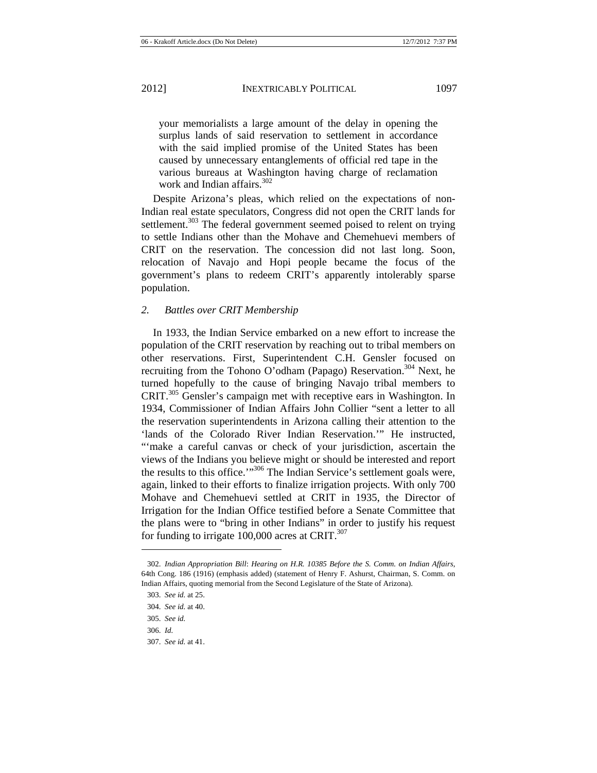your memorialists a large amount of the delay in opening the surplus lands of said reservation to settlement in accordance with the said implied promise of the United States has been caused by unnecessary entanglements of official red tape in the various bureaus at Washington having charge of reclamation work and Indian affairs.<sup>302</sup>

Despite Arizona's pleas, which relied on the expectations of non-Indian real estate speculators, Congress did not open the CRIT lands for settlement.<sup>303</sup> The federal government seemed poised to relent on trying to settle Indians other than the Mohave and Chemehuevi members of CRIT on the reservation. The concession did not last long. Soon, relocation of Navajo and Hopi people became the focus of the government's plans to redeem CRIT's apparently intolerably sparse population.

## *2. Battles over CRIT Membership*

In 1933, the Indian Service embarked on a new effort to increase the population of the CRIT reservation by reaching out to tribal members on other reservations. First, Superintendent C.H. Gensler focused on recruiting from the Tohono O'odham (Papago) Reservation.<sup>304</sup> Next, he turned hopefully to the cause of bringing Navajo tribal members to CRIT.305 Gensler's campaign met with receptive ears in Washington. In 1934, Commissioner of Indian Affairs John Collier "sent a letter to all the reservation superintendents in Arizona calling their attention to the 'lands of the Colorado River Indian Reservation.'" He instructed, "'make a careful canvas or check of your jurisdiction, ascertain the views of the Indians you believe might or should be interested and report the results to this office.'"306 The Indian Service's settlement goals were, again, linked to their efforts to finalize irrigation projects. With only 700 Mohave and Chemehuevi settled at CRIT in 1935, the Director of Irrigation for the Indian Office testified before a Senate Committee that the plans were to "bring in other Indians" in order to justify his request for funding to irrigate  $100,000$  acres at CRIT.<sup>307</sup>

<sup>302.</sup> *Indian Appropriation Bill*: *Hearing on H.R. 10385 Before the S. Comm. on Indian Affairs*, 64th Cong. 186 (1916) (emphasis added) (statement of Henry F. Ashurst, Chairman, S. Comm. on Indian Affairs, quoting memorial from the Second Legislature of the State of Arizona).

<sup>303.</sup> *See id.* at 25.

<sup>304.</sup> *See id.* at 40.

<sup>305.</sup> *See id.*

<sup>306.</sup> *Id.*

<sup>307.</sup> *See id.* at 41.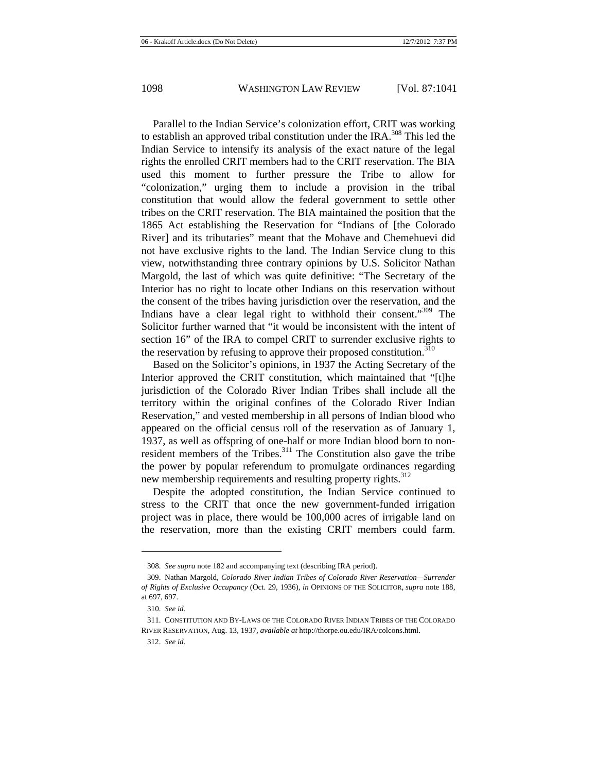Parallel to the Indian Service's colonization effort, CRIT was working to establish an approved tribal constitution under the IRA.<sup>308</sup> This led the Indian Service to intensify its analysis of the exact nature of the legal rights the enrolled CRIT members had to the CRIT reservation. The BIA used this moment to further pressure the Tribe to allow for "colonization," urging them to include a provision in the tribal constitution that would allow the federal government to settle other tribes on the CRIT reservation. The BIA maintained the position that the 1865 Act establishing the Reservation for "Indians of [the Colorado River] and its tributaries" meant that the Mohave and Chemehuevi did not have exclusive rights to the land. The Indian Service clung to this view, notwithstanding three contrary opinions by U.S. Solicitor Nathan Margold, the last of which was quite definitive: "The Secretary of the Interior has no right to locate other Indians on this reservation without the consent of the tribes having jurisdiction over the reservation, and the Indians have a clear legal right to withhold their consent."<sup>309</sup> The Solicitor further warned that "it would be inconsistent with the intent of section 16" of the IRA to compel CRIT to surrender exclusive rights to the reservation by refusing to approve their proposed constitution.<sup>310</sup>

Based on the Solicitor's opinions, in 1937 the Acting Secretary of the Interior approved the CRIT constitution, which maintained that "[t]he jurisdiction of the Colorado River Indian Tribes shall include all the territory within the original confines of the Colorado River Indian Reservation," and vested membership in all persons of Indian blood who appeared on the official census roll of the reservation as of January 1, 1937, as well as offspring of one-half or more Indian blood born to nonresident members of the Tribes. $311$  The Constitution also gave the tribe the power by popular referendum to promulgate ordinances regarding new membership requirements and resulting property rights.<sup>312</sup>

Despite the adopted constitution, the Indian Service continued to stress to the CRIT that once the new government-funded irrigation project was in place, there would be 100,000 acres of irrigable land on the reservation, more than the existing CRIT members could farm.

<sup>308.</sup> *See supra* note 182 and accompanying text (describing IRA period).

<sup>309.</sup> Nathan Margold, *Colorado River Indian Tribes of Colorado River Reservation—Surrender of Rights of Exclusive Occupancy* (Oct. 29, 1936), *in* OPINIONS OF THE SOLICITOR, *supra* note 188, at 697, 697.

<sup>310.</sup> *See id.*

<sup>311.</sup> CONSTITUTION AND BY-LAWS OF THE COLORADO RIVER INDIAN TRIBES OF THE COLORADO RIVER RESERVATION, Aug. 13, 1937, *available at* http://thorpe.ou.edu/IRA/colcons.html.

<sup>312.</sup> *See id.*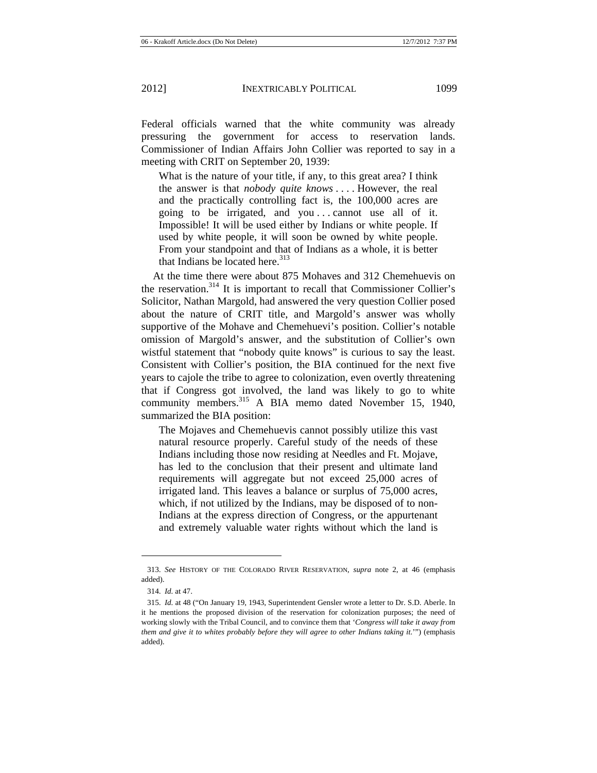Federal officials warned that the white community was already pressuring the government for access to reservation lands. Commissioner of Indian Affairs John Collier was reported to say in a meeting with CRIT on September 20, 1939:

What is the nature of your title, if any, to this great area? I think the answer is that *nobody quite knows* . . . . However, the real and the practically controlling fact is, the 100,000 acres are going to be irrigated, and you . . . cannot use all of it. Impossible! It will be used either by Indians or white people. If used by white people, it will soon be owned by white people. From your standpoint and that of Indians as a whole, it is better that Indians be located here. $313$ 

At the time there were about 875 Mohaves and 312 Chemehuevis on the reservation.<sup>314</sup> It is important to recall that Commissioner Collier's Solicitor, Nathan Margold, had answered the very question Collier posed about the nature of CRIT title, and Margold's answer was wholly supportive of the Mohave and Chemehuevi's position. Collier's notable omission of Margold's answer, and the substitution of Collier's own wistful statement that "nobody quite knows" is curious to say the least. Consistent with Collier's position, the BIA continued for the next five years to cajole the tribe to agree to colonization, even overtly threatening that if Congress got involved, the land was likely to go to white community members.<sup>315</sup> A BIA memo dated November 15, 1940, summarized the BIA position:

The Mojaves and Chemehuevis cannot possibly utilize this vast natural resource properly. Careful study of the needs of these Indians including those now residing at Needles and Ft. Mojave, has led to the conclusion that their present and ultimate land requirements will aggregate but not exceed 25,000 acres of irrigated land. This leaves a balance or surplus of 75,000 acres, which, if not utilized by the Indians, may be disposed of to non-Indians at the express direction of Congress, or the appurtenant and extremely valuable water rights without which the land is

<sup>313.</sup> *See* HISTORY OF THE COLORADO RIVER RESERVATION, *supra* note 2, at 46 (emphasis added).

<sup>314.</sup> *Id.* at 47.

<sup>315.</sup> *Id.* at 48 ("On January 19, 1943, Superintendent Gensler wrote a letter to Dr. S.D. Aberle. In it he mentions the proposed division of the reservation for colonization purposes; the need of working slowly with the Tribal Council, and to convince them that '*Congress will take it away from them and give it to whites probably before they will agree to other Indians taking it.*"") (emphasis added).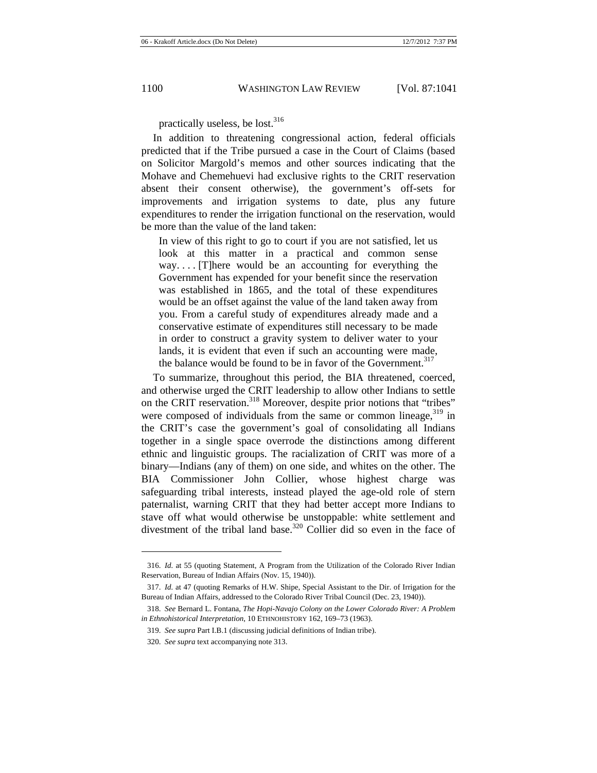practically useless, be lost. $316$ 

In addition to threatening congressional action, federal officials predicted that if the Tribe pursued a case in the Court of Claims (based on Solicitor Margold's memos and other sources indicating that the Mohave and Chemehuevi had exclusive rights to the CRIT reservation absent their consent otherwise), the government's off-sets for improvements and irrigation systems to date, plus any future expenditures to render the irrigation functional on the reservation, would be more than the value of the land taken:

In view of this right to go to court if you are not satisfied, let us look at this matter in a practical and common sense way. . . . [T]here would be an accounting for everything the Government has expended for your benefit since the reservation was established in 1865, and the total of these expenditures would be an offset against the value of the land taken away from you. From a careful study of expenditures already made and a conservative estimate of expenditures still necessary to be made in order to construct a gravity system to deliver water to your lands, it is evident that even if such an accounting were made, the balance would be found to be in favor of the Government.<sup>317</sup>

To summarize, throughout this period, the BIA threatened, coerced, and otherwise urged the CRIT leadership to allow other Indians to settle on the CRIT reservation.<sup>318</sup> Moreover, despite prior notions that "tribes" were composed of individuals from the same or common lineage,  $319$  in the CRIT's case the government's goal of consolidating all Indians together in a single space overrode the distinctions among different ethnic and linguistic groups. The racialization of CRIT was more of a binary—Indians (any of them) on one side, and whites on the other. The BIA Commissioner John Collier, whose highest charge was safeguarding tribal interests, instead played the age-old role of stern paternalist, warning CRIT that they had better accept more Indians to stave off what would otherwise be unstoppable: white settlement and divestment of the tribal land base.<sup>320</sup> Collier did so even in the face of

<sup>316.</sup> *Id.* at 55 (quoting Statement, A Program from the Utilization of the Colorado River Indian Reservation, Bureau of Indian Affairs (Nov. 15, 1940)).

<sup>317.</sup> *Id.* at 47 (quoting Remarks of H.W. Shipe, Special Assistant to the Dir. of Irrigation for the Bureau of Indian Affairs, addressed to the Colorado River Tribal Council (Dec. 23, 1940)).

<sup>318.</sup> *See* Bernard L. Fontana, *The Hopi-Navajo Colony on the Lower Colorado River: A Problem in Ethnohistorical Interpretation*, 10 ETHNOHISTORY 162, 169–73 (1963).

<sup>319.</sup> *See supra* Part I.B.1 (discussing judicial definitions of Indian tribe).

<sup>320.</sup> *See supra* text accompanying note 313.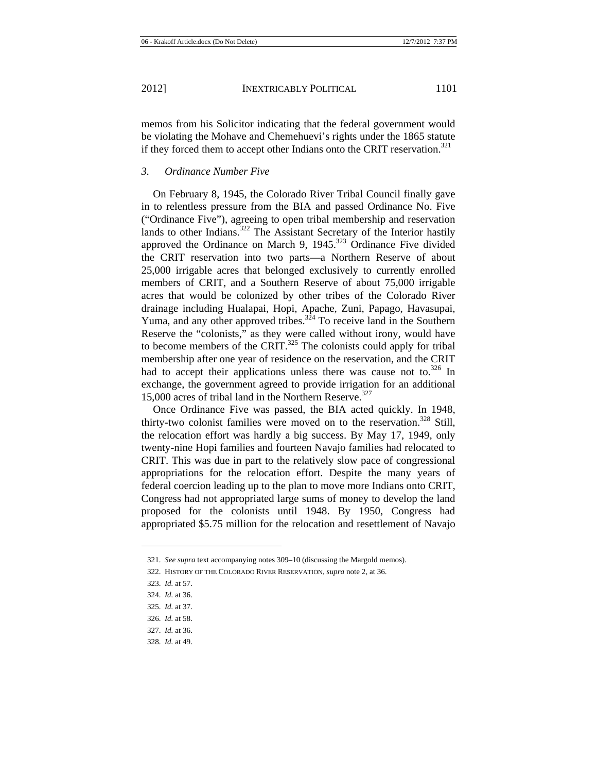memos from his Solicitor indicating that the federal government would be violating the Mohave and Chemehuevi's rights under the 1865 statute if they forced them to accept other Indians onto the CRIT reservation.<sup>321</sup>

#### *3. Ordinance Number Five*

On February 8, 1945, the Colorado River Tribal Council finally gave in to relentless pressure from the BIA and passed Ordinance No. Five ("Ordinance Five"), agreeing to open tribal membership and reservation lands to other Indians.<sup>322</sup> The Assistant Secretary of the Interior hastily approved the Ordinance on March 9, 1945.<sup>323</sup> Ordinance Five divided the CRIT reservation into two parts—a Northern Reserve of about 25,000 irrigable acres that belonged exclusively to currently enrolled members of CRIT, and a Southern Reserve of about 75,000 irrigable acres that would be colonized by other tribes of the Colorado River drainage including Hualapai, Hopi, Apache, Zuni, Papago, Havasupai, Yuma, and any other approved tribes.<sup> $3\overline{2}4$ </sup> To receive land in the Southern Reserve the "colonists," as they were called without irony, would have to become members of the CRIT. $^{325}$  The colonists could apply for tribal membership after one year of residence on the reservation, and the CRIT had to accept their applications unless there was cause not to.<sup>326</sup> In exchange, the government agreed to provide irrigation for an additional 15,000 acres of tribal land in the Northern Reserve.<sup>327</sup>

Once Ordinance Five was passed, the BIA acted quickly. In 1948, thirty-two colonist families were moved on to the reservation.<sup>328</sup> Still, the relocation effort was hardly a big success. By May 17, 1949, only twenty-nine Hopi families and fourteen Navajo families had relocated to CRIT. This was due in part to the relatively slow pace of congressional appropriations for the relocation effort. Despite the many years of federal coercion leading up to the plan to move more Indians onto CRIT, Congress had not appropriated large sums of money to develop the land proposed for the colonists until 1948. By 1950, Congress had appropriated \$5.75 million for the relocation and resettlement of Navajo

323. *Id.* at 57.

328. *Id.* at 49.

<sup>321.</sup> *See supra* text accompanying notes 309–10 (discussing the Margold memos).

<sup>322.</sup> HISTORY OF THE COLORADO RIVER RESERVATION*, supra* note 2, at 36.

<sup>324.</sup> *Id.* at 36.

<sup>325.</sup> *Id.* at 37.

<sup>326.</sup> *Id.* at 58.

<sup>327.</sup> *Id.* at 36.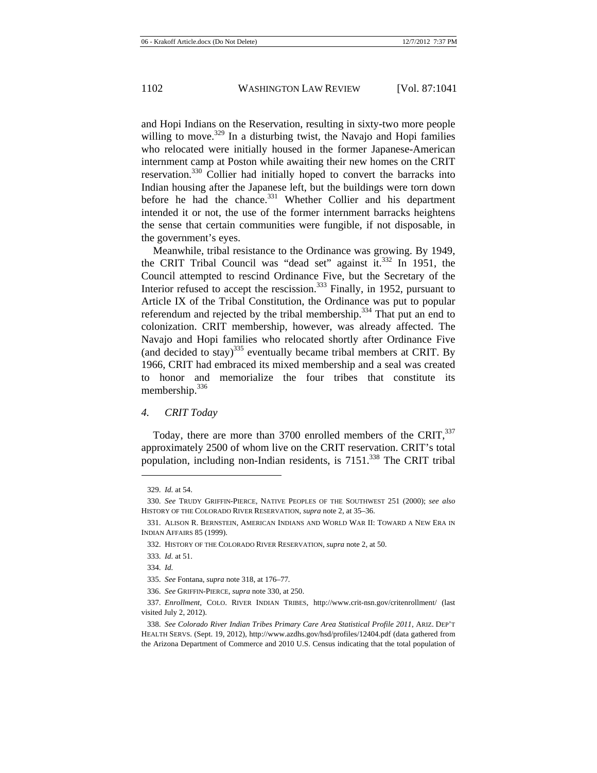and Hopi Indians on the Reservation, resulting in sixty-two more people willing to move.<sup>329</sup> In a disturbing twist, the Navajo and Hopi families who relocated were initially housed in the former Japanese-American internment camp at Poston while awaiting their new homes on the CRIT reservation.<sup>330</sup> Collier had initially hoped to convert the barracks into Indian housing after the Japanese left, but the buildings were torn down before he had the chance. $331$  Whether Collier and his department intended it or not, the use of the former internment barracks heightens the sense that certain communities were fungible, if not disposable, in the government's eyes.

Meanwhile, tribal resistance to the Ordinance was growing. By 1949, the CRIT Tribal Council was "dead set" against it. $332$  In 1951, the Council attempted to rescind Ordinance Five, but the Secretary of the Interior refused to accept the rescission.<sup>333</sup> Finally, in 1952, pursuant to Article IX of the Tribal Constitution, the Ordinance was put to popular referendum and rejected by the tribal membership.<sup>334</sup> That put an end to colonization. CRIT membership, however, was already affected. The Navajo and Hopi families who relocated shortly after Ordinance Five (and decided to stay)<sup>335</sup> eventually became tribal members at CRIT. By 1966, CRIT had embraced its mixed membership and a seal was created to honor and memorialize the four tribes that constitute its membership.<sup>336</sup>

#### *4. CRIT Today*

Today, there are more than  $3700$  enrolled members of the CRIT,  $337$ approximately 2500 of whom live on the CRIT reservation. CRIT's total population, including non-Indian residents, is  $7151$ <sup>338</sup>. The CRIT tribal

<sup>329.</sup> *Id.* at 54.

<sup>330.</sup> *See* TRUDY GRIFFIN-PIERCE, NATIVE PEOPLES OF THE SOUTHWEST 251 (2000); *see also*  HISTORY OF THE COLORADO RIVER RESERVATION, *supra* note 2, at 35–36.

<sup>331.</sup> ALISON R. BERNSTEIN, AMERICAN INDIANS AND WORLD WAR II: TOWARD A NEW ERA IN INDIAN AFFAIRS 85 (1999).

<sup>332.</sup> HISTORY OF THE COLORADO RIVER RESERVATION, *supra* note 2, at 50.

<sup>333.</sup> *Id.* at 51.

<sup>334.</sup> *Id.*

<sup>335.</sup> *See* Fontana, *supra* note 318, at 176–77*.*

<sup>336.</sup> *See* GRIFFIN-PIERCE, *supra* note 330, at 250.

<sup>337.</sup> *Enrollment*, COLO. RIVER INDIAN TRIBES, http://www.crit-nsn.gov/critenrollment/ (last visited July 2, 2012).

<sup>338.</sup> *See Colorado River Indian Tribes Primary Care Area Statistical Profile 2011*, ARIZ. DEP'T HEALTH SERVS. (Sept. 19, 2012), http://www.azdhs.gov/hsd/profiles/12404.pdf (data gathered from the Arizona Department of Commerce and 2010 U.S. Census indicating that the total population of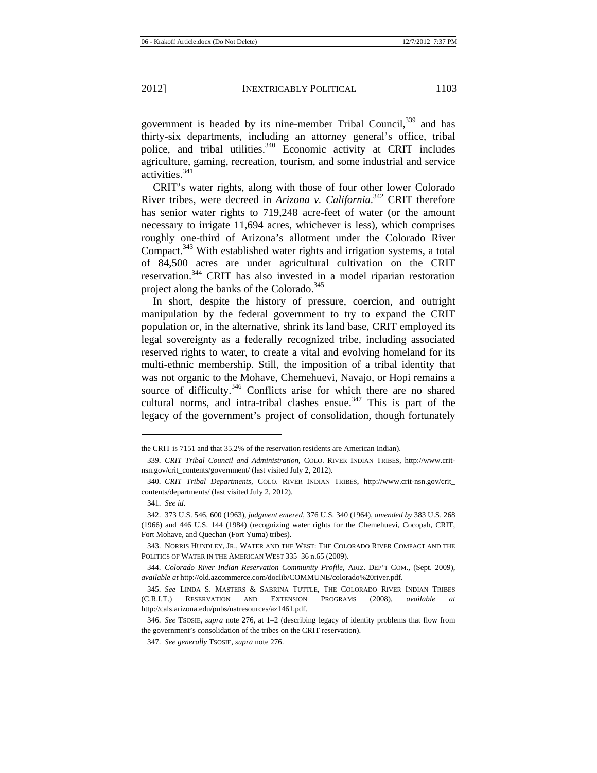government is headed by its nine-member Tribal Council,<sup>339</sup> and has thirty-six departments, including an attorney general's office, tribal police, and tribal utilities.<sup>340</sup> Economic activity at CRIT includes agriculture, gaming, recreation, tourism, and some industrial and service activities.<sup>341</sup>

CRIT's water rights, along with those of four other lower Colorado River tribes, were decreed in *Arizona v. California*. 342 CRIT therefore has senior water rights to 719,248 acre-feet of water (or the amount necessary to irrigate 11,694 acres, whichever is less), which comprises roughly one-third of Arizona's allotment under the Colorado River Compact.<sup>343</sup> With established water rights and irrigation systems, a total of 84,500 acres are under agricultural cultivation on the CRIT reservation.344 CRIT has also invested in a model riparian restoration project along the banks of the Colorado.<sup>345</sup>

In short, despite the history of pressure, coercion, and outright manipulation by the federal government to try to expand the CRIT population or, in the alternative, shrink its land base, CRIT employed its legal sovereignty as a federally recognized tribe, including associated reserved rights to water, to create a vital and evolving homeland for its multi-ethnic membership. Still, the imposition of a tribal identity that was not organic to the Mohave, Chemehuevi, Navajo, or Hopi remains a source of difficulty.<sup>346</sup> Conflicts arise for which there are no shared cultural norms, and intra-tribal clashes ensue.<sup>347</sup> This is part of the legacy of the government's project of consolidation, though fortunately

the CRIT is 7151 and that 35.2% of the reservation residents are American Indian).

<sup>339.</sup> *CRIT Tribal Council and Administration*, COLO. RIVER INDIAN TRIBES, http://www.critnsn.gov/crit\_contents/government/ (last visited July 2, 2012).

<sup>340.</sup> *CRIT Tribal Departments*, COLO. RIVER INDIAN TRIBES, http://www.crit-nsn.gov/crit\_ contents/departments/ (last visited July 2, 2012).

<sup>341.</sup> *See id.*

<sup>342. 373</sup> U.S. 546, 600 (1963), *judgment entered*, 376 U.S. 340 (1964), *amended by* 383 U.S. 268 (1966) and 446 U.S. 144 (1984) (recognizing water rights for the Chemehuevi, Cocopah, CRIT, Fort Mohave, and Quechan (Fort Yuma) tribes).

<sup>343.</sup> NORRIS HUNDLEY, JR., WATER AND THE WEST: THE COLORADO RIVER COMPACT AND THE POLITICS OF WATER IN THE AMERICAN WEST 335–36 n.65 (2009).

<sup>344.</sup> *Colorado River Indian Reservation Community Profile*, ARIZ. DEP'T COM., (Sept. 2009), *available at* http://old.azcommerce.com/doclib/COMMUNE/colorado%20river.pdf.

<sup>345.</sup> *See* LINDA S. MASTERS & SABRINA TUTTLE, THE COLORADO RIVER INDIAN TRIBES (C.R.I.T.) RESERVATION AND EXTENSION PROGRAMS (2008), *available* http://cals.arizona.edu/pubs/natresources/az1461.pdf.

<sup>346.</sup> *See* TSOSIE, *supra* note 276, at 1–2 (describing legacy of identity problems that flow from the government's consolidation of the tribes on the CRIT reservation).

<sup>347.</sup> *See generally* TSOSIE, *supra* note 276.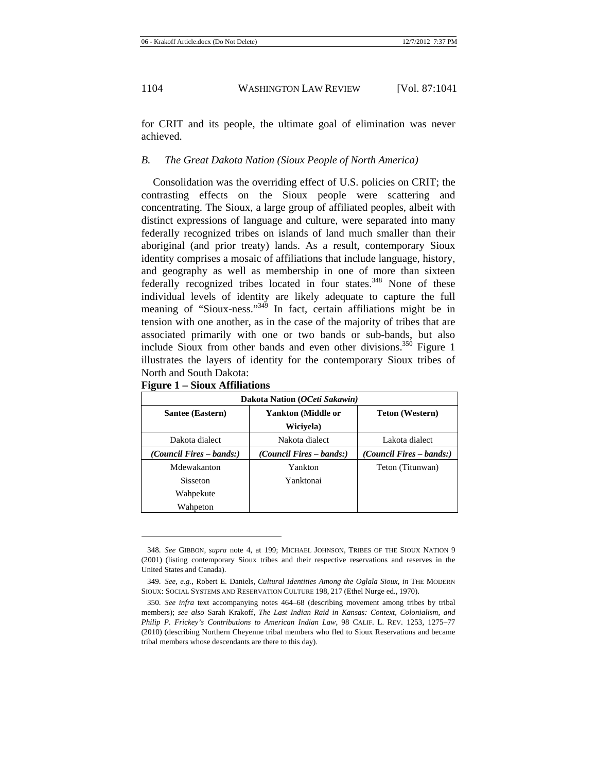for CRIT and its people, the ultimate goal of elimination was never achieved.

#### *B. The Great Dakota Nation (Sioux People of North America)*

Consolidation was the overriding effect of U.S. policies on CRIT; the contrasting effects on the Sioux people were scattering and concentrating. The Sioux, a large group of affiliated peoples, albeit with distinct expressions of language and culture, were separated into many federally recognized tribes on islands of land much smaller than their aboriginal (and prior treaty) lands. As a result, contemporary Sioux identity comprises a mosaic of affiliations that include language, history, and geography as well as membership in one of more than sixteen federally recognized tribes located in four states.<sup>348</sup> None of these individual levels of identity are likely adequate to capture the full meaning of "Sioux-ness."<sup>349</sup> In fact, certain affiliations might be in tension with one another, as in the case of the majority of tribes that are associated primarily with one or two bands or sub-bands, but also include Sioux from other bands and even other divisions.<sup>350</sup> Figure 1 illustrates the layers of identity for the contemporary Sioux tribes of North and South Dakota:

|  |  |  | <b>Figure 1 – Sioux Affiliations</b> |
|--|--|--|--------------------------------------|
|--|--|--|--------------------------------------|

| Dakota Nation (OCeti Sakawin) |                                 |                                 |  |  |  |  |
|-------------------------------|---------------------------------|---------------------------------|--|--|--|--|
| Santee (Eastern)              | Yankton (Middle or              | <b>Teton</b> (Western)          |  |  |  |  |
|                               | Wicivela)                       |                                 |  |  |  |  |
| Dakota dialect                | Nakota dialect                  | Lakota dialect                  |  |  |  |  |
| (Council Fires – bands:)      | <i>(Council Fires – bands:)</i> | <i>(Council Fires – bands:)</i> |  |  |  |  |
| Mdewakanton                   | Yankton                         | Teton (Titunwan)                |  |  |  |  |
| <b>Sisseton</b>               | Yanktonai                       |                                 |  |  |  |  |
| Wahpekute                     |                                 |                                 |  |  |  |  |
| Wahpeton                      |                                 |                                 |  |  |  |  |

<sup>348.</sup> *See* GIBBON, *supra* note 4, at 199; MICHAEL JOHNSON, TRIBES OF THE SIOUX NATION 9 (2001) (listing contemporary Sioux tribes and their respective reservations and reserves in the United States and Canada).

<sup>349.</sup> *See, e.g.*, Robert E. Daniels, *Cultural Identities Among the Oglala Sioux*, *in* THE MODERN SIOUX: SOCIAL SYSTEMS AND RESERVATION CULTURE 198, 217 (Ethel Nurge ed., 1970).

<sup>350.</sup> *See infra* text accompanying notes 464–68 (describing movement among tribes by tribal members); *see also* Sarah Krakoff, *The Last Indian Raid in Kansas: Context, Colonialism, and Philip P. Frickey's Contributions to American Indian Law*, 98 CALIF. L. REV. 1253, 1275–77 (2010) (describing Northern Cheyenne tribal members who fled to Sioux Reservations and became tribal members whose descendants are there to this day).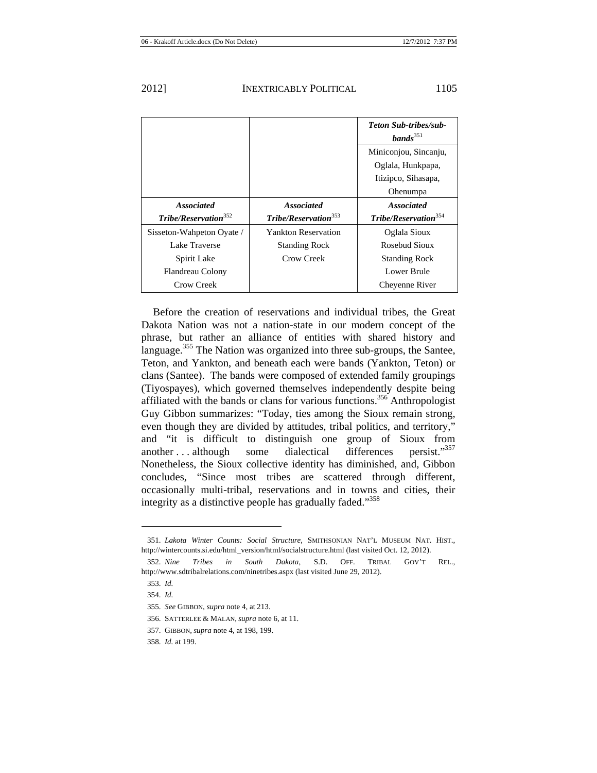| UΙ | ∠ |  |  |
|----|---|--|--|
|    |   |  |  |
|    |   |  |  |

|                                  |                                  | <b>Teton Sub-tribes/sub-</b><br>bands <sup>351</sup> |
|----------------------------------|----------------------------------|------------------------------------------------------|
|                                  |                                  | Miniconjou, Sincanju,                                |
|                                  |                                  | Oglala, Hunkpapa,                                    |
|                                  |                                  | Itizipco, Sihasapa,                                  |
|                                  |                                  | Ohenumpa                                             |
| <b>Associated</b>                | <b>Associated</b>                | <b>Associated</b>                                    |
| Tribe/Reservation <sup>352</sup> | Tribe/Reservation <sup>353</sup> | Tribe/Reservation <sup>354</sup>                     |
| Sisseton-Wahpeton Oyate /        | <b>Yankton Reservation</b>       | Oglala Sioux                                         |
| Lake Traverse                    | <b>Standing Rock</b>             | Rosebud Sioux                                        |
| Spirit Lake                      | Crow Creek                       | <b>Standing Rock</b>                                 |
| Flandreau Colony                 |                                  | Lower Brule                                          |
| Crow Creek                       |                                  | Cheyenne River                                       |

Before the creation of reservations and individual tribes, the Great Dakota Nation was not a nation-state in our modern concept of the phrase, but rather an alliance of entities with shared history and language.<sup>355</sup> The Nation was organized into three sub-groups, the Santee, Teton, and Yankton, and beneath each were bands (Yankton, Teton) or clans (Santee). The bands were composed of extended family groupings (Tiyospayes), which governed themselves independently despite being affiliated with the bands or clans for various functions.<sup>356</sup> Anthropologist Guy Gibbon summarizes: "Today, ties among the Sioux remain strong, even though they are divided by attitudes, tribal politics, and territory," and "it is difficult to distinguish one group of Sioux from another ... although some dialectical differences persist."<sup>357</sup> Nonetheless, the Sioux collective identity has diminished, and, Gibbon concludes, "Since most tribes are scattered through different, occasionally multi-tribal, reservations and in towns and cities, their integrity as a distinctive people has gradually faded."<sup>358</sup>

<sup>351.</sup> *Lakota Winter Counts: Social Structure*, SMITHSONIAN NAT'L MUSEUM NAT. HIST., http://wintercounts.si.edu/html\_version/html/socialstructure.html (last visited Oct. 12, 2012).

<sup>352.</sup> *Nine Tribes in South Dakota*, S.D. OFF. TRIBAL GOV'T REL., http://www.sdtribalrelations.com/ninetribes.aspx (last visited June 29, 2012).

<sup>353.</sup> *Id.*

<sup>354.</sup> *Id.*

<sup>355.</sup> *See* GIBBON, *supra* note 4, at 213.

<sup>356.</sup> SATTERLEE & MALAN, *supra* note 6, at 11.

<sup>357.</sup> GIBBON, *supra* note 4, at 198, 199.

<sup>358.</sup> *Id.* at 199.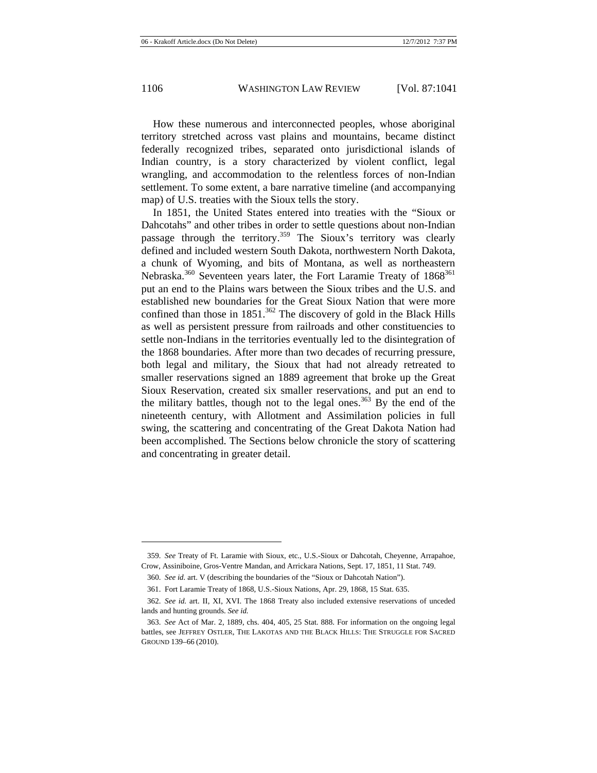How these numerous and interconnected peoples, whose aboriginal territory stretched across vast plains and mountains, became distinct federally recognized tribes, separated onto jurisdictional islands of Indian country, is a story characterized by violent conflict, legal wrangling, and accommodation to the relentless forces of non-Indian settlement. To some extent, a bare narrative timeline (and accompanying map) of U.S. treaties with the Sioux tells the story.

In 1851, the United States entered into treaties with the "Sioux or Dahcotahs" and other tribes in order to settle questions about non-Indian passage through the territory.<sup>359</sup> The Sioux's territory was clearly defined and included western South Dakota, northwestern North Dakota, a chunk of Wyoming, and bits of Montana, as well as northeastern Nebraska.<sup>360</sup> Seventeen years later, the Fort Laramie Treaty of 1868<sup>361</sup> put an end to the Plains wars between the Sioux tribes and the U.S. and established new boundaries for the Great Sioux Nation that were more confined than those in  $1851$ .<sup>362</sup> The discovery of gold in the Black Hills as well as persistent pressure from railroads and other constituencies to settle non-Indians in the territories eventually led to the disintegration of the 1868 boundaries. After more than two decades of recurring pressure, both legal and military, the Sioux that had not already retreated to smaller reservations signed an 1889 agreement that broke up the Great Sioux Reservation, created six smaller reservations, and put an end to the military battles, though not to the legal ones.<sup>363</sup> By the end of the nineteenth century, with Allotment and Assimilation policies in full swing, the scattering and concentrating of the Great Dakota Nation had been accomplished. The Sections below chronicle the story of scattering and concentrating in greater detail.

<sup>359.</sup> *See* Treaty of Ft. Laramie with Sioux, etc., U.S.-Sioux or Dahcotah, Cheyenne, Arrapahoe, Crow, Assiniboine, Gros-Ventre Mandan, and Arrickara Nations, Sept. 17, 1851, 11 Stat. 749.

<sup>360.</sup> *See id.* art. V (describing the boundaries of the "Sioux or Dahcotah Nation").

<sup>361.</sup> Fort Laramie Treaty of 1868, U.S.-Sioux Nations, Apr. 29, 1868, 15 Stat. 635.

<sup>362.</sup> *See id.* art. II, XI, XVI. The 1868 Treaty also included extensive reservations of unceded lands and hunting grounds. *See id.*

<sup>363.</sup> *See* Act of Mar. 2, 1889, chs. 404, 405, 25 Stat. 888. For information on the ongoing legal battles, see JEFFREY OSTLER, THE LAKOTAS AND THE BLACK HILLS: THE STRUGGLE FOR SACRED GROUND 139–66 (2010).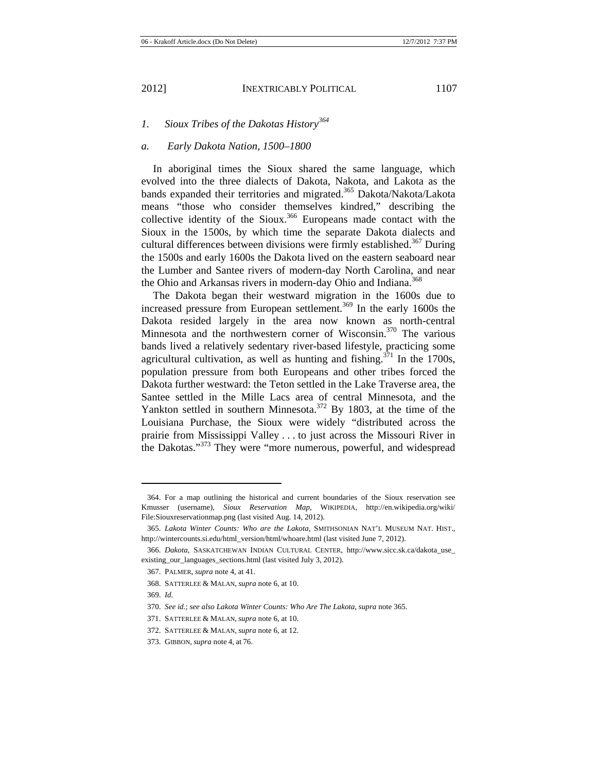## *1. Sioux Tribes of the Dakotas History<sup>364</sup>*

### *a. Early Dakota Nation, 1500–1800*

In aboriginal times the Sioux shared the same language, which evolved into the three dialects of Dakota, Nakota, and Lakota as the bands expanded their territories and migrated.<sup>365</sup> Dakota/Nakota/Lakota means "those who consider themselves kindred," describing the collective identity of the Sioux.<sup>366</sup> Europeans made contact with the Sioux in the 1500s, by which time the separate Dakota dialects and cultural differences between divisions were firmly established.<sup>367</sup> During the 1500s and early 1600s the Dakota lived on the eastern seaboard near the Lumber and Santee rivers of modern-day North Carolina, and near the Ohio and Arkansas rivers in modern-day Ohio and Indiana.<sup>368</sup>

The Dakota began their westward migration in the 1600s due to increased pressure from European settlement.<sup>369</sup> In the early 1600s the Dakota resided largely in the area now known as north-central Minnesota and the northwestern corner of Wisconsin.<sup>370</sup> The various bands lived a relatively sedentary river-based lifestyle, practicing some agricultural cultivation, as well as hunting and fishing.<sup>371</sup> In the 1700s, population pressure from both Europeans and other tribes forced the Dakota further westward: the Teton settled in the Lake Traverse area, the Santee settled in the Mille Lacs area of central Minnesota, and the Yankton settled in southern Minnesota.<sup>372</sup> By 1803, at the time of the Louisiana Purchase, the Sioux were widely "distributed across the prairie from Mississippi Valley . . . to just across the Missouri River in the Dakotas."<sup>373</sup> They were "more numerous, powerful, and widespread

<sup>364.</sup> For a map outlining the historical and current boundaries of the Sioux reservation see Kmusser (username), *Sioux Reservation Map*, WIKIPEDIA, http://en.wikipedia.org/wiki/ File:Siouxreservationmap.png (last visited Aug. 14, 2012).

<sup>365.</sup> *Lakota Winter Counts: Who are the Lakota*, SMITHSONIAN NAT'L MUSEUM NAT. HIST., http://wintercounts.si.edu/html\_version/html/whoare.html (last visited June 7, 2012).

<sup>366.</sup> *Dakota*, SASKATCHEWAN INDIAN CULTURAL CENTER, http://www.sicc.sk.ca/dakota\_use\_ existing\_our\_languages\_sections.html (last visited July 3, 2012).

<sup>367.</sup> PALMER, *supra* note 4, at 41.

<sup>368.</sup> SATTERLEE & MALAN, *supra* note 6, at 10.

<sup>369.</sup> *Id.*

<sup>370.</sup> *See id.*; *see also Lakota Winter Counts: Who Are The Lakota*, *supra* note 365.

<sup>371.</sup> SATTERLEE & MALAN, *supra* note 6, at 10.

<sup>372.</sup> SATTERLEE & MALAN, *supra* note 6, at 12.

<sup>373.</sup> GIBBON, *supra* note 4, at 76.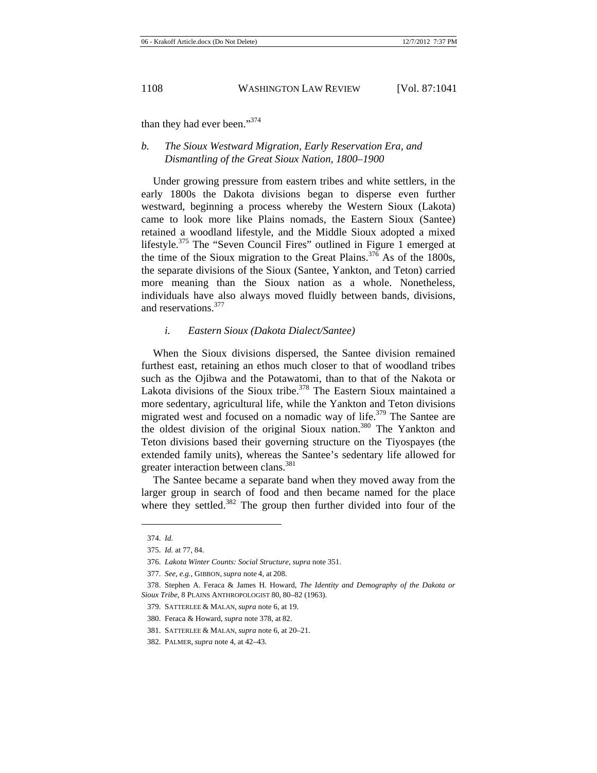than they had ever been."374

# *b. The Sioux Westward Migration, Early Reservation Era, and Dismantling of the Great Sioux Nation, 1800–1900*

Under growing pressure from eastern tribes and white settlers, in the early 1800s the Dakota divisions began to disperse even further westward, beginning a process whereby the Western Sioux (Lakota) came to look more like Plains nomads, the Eastern Sioux (Santee) retained a woodland lifestyle, and the Middle Sioux adopted a mixed lifestyle.375 The "Seven Council Fires" outlined in Figure 1 emerged at the time of the Sioux migration to the Great Plains.<sup>376</sup> As of the 1800s, the separate divisions of the Sioux (Santee, Yankton, and Teton) carried more meaning than the Sioux nation as a whole. Nonetheless, individuals have also always moved fluidly between bands, divisions, and reservations.<sup>377</sup>

## *i. Eastern Sioux (Dakota Dialect/Santee)*

When the Sioux divisions dispersed, the Santee division remained furthest east, retaining an ethos much closer to that of woodland tribes such as the Ojibwa and the Potawatomi, than to that of the Nakota or Lakota divisions of the Sioux tribe.<sup>378</sup> The Eastern Sioux maintained a more sedentary, agricultural life, while the Yankton and Teton divisions migrated west and focused on a nomadic way of life.<sup>379</sup> The Santee are the oldest division of the original Sioux nation.<sup>380</sup> The Yankton and Teton divisions based their governing structure on the Tiyospayes (the extended family units), whereas the Santee's sedentary life allowed for greater interaction between clans.<sup>381</sup>

The Santee became a separate band when they moved away from the larger group in search of food and then became named for the place where they settled.<sup>382</sup> The group then further divided into four of the

<sup>374.</sup> *Id.*

<sup>375.</sup> *Id.* at 77, 84.

<sup>376.</sup> *Lakota Winter Counts: Social Structure*, *supra* note 351.

<sup>377.</sup> *See, e.g.*, GIBBON, *supra* note 4, at 208.

<sup>378.</sup> Stephen A. Feraca & James H. Howard, *The Identity and Demography of the Dakota or Sioux Tribe*, 8 PLAINS ANTHROPOLOGIST 80, 80–82 (1963).

<sup>379.</sup> SATTERLEE & MALAN, *supra* note 6, at 19.

<sup>380.</sup> Feraca & Howard, *supra* note 378, at 82.

<sup>381.</sup> SATTERLEE & MALAN, *supra* note 6, at 20–21.

<sup>382.</sup> PALMER, *supra* note 4, at 42–43.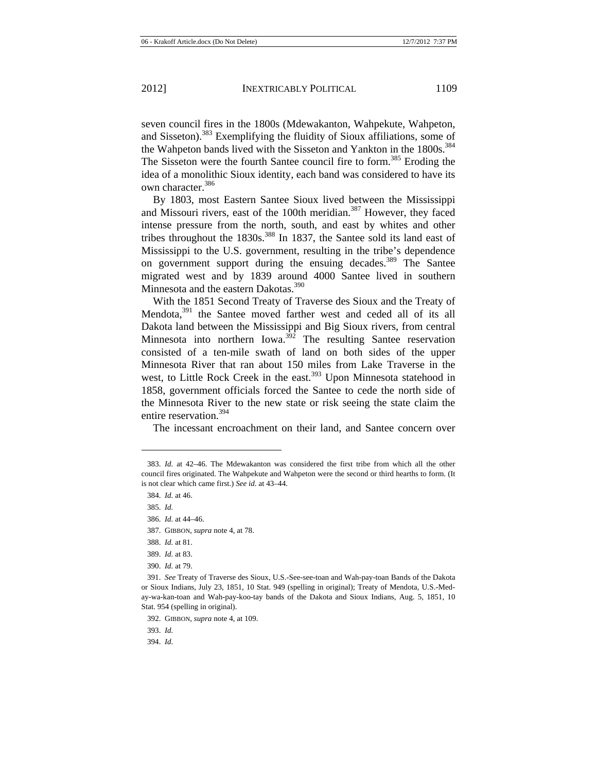seven council fires in the 1800s (Mdewakanton, Wahpekute, Wahpeton, and Sisseton).<sup>383</sup> Exemplifying the fluidity of Sioux affiliations, some of the Wahpeton bands lived with the Sisseton and Yankton in the 1800s.<sup>384</sup> The Sisseton were the fourth Santee council fire to form.<sup>385</sup> Eroding the idea of a monolithic Sioux identity, each band was considered to have its own character.<sup>386</sup>

By 1803, most Eastern Santee Sioux lived between the Mississippi and Missouri rivers, east of the 100th meridian.<sup>387</sup> However, they faced intense pressure from the north, south, and east by whites and other tribes throughout the  $1830s$ .<sup>388</sup> In 1837, the Santee sold its land east of Mississippi to the U.S. government, resulting in the tribe's dependence on government support during the ensuing decades.<sup>389</sup> The Santee migrated west and by 1839 around 4000 Santee lived in southern Minnesota and the eastern Dakotas.<sup>390</sup>

With the 1851 Second Treaty of Traverse des Sioux and the Treaty of Mendota,<sup>391</sup> the Santee moved farther west and ceded all of its all Dakota land between the Mississippi and Big Sioux rivers, from central Minnesota into northern Iowa. $3\frac{3}{2}$  The resulting Santee reservation consisted of a ten-mile swath of land on both sides of the upper Minnesota River that ran about 150 miles from Lake Traverse in the west, to Little Rock Creek in the east.<sup>393</sup> Upon Minnesota statehood in 1858, government officials forced the Santee to cede the north side of the Minnesota River to the new state or risk seeing the state claim the entire reservation.<sup>394</sup>

The incessant encroachment on their land, and Santee concern over

<sup>383.</sup> *Id.* at 42–46. The Mdewakanton was considered the first tribe from which all the other council fires originated. The Wahpekute and Wahpeton were the second or third hearths to form. (It is not clear which came first.) *See id.* at 43–44.

<sup>384.</sup> *Id.* at 46.

<sup>385.</sup> *Id.*

<sup>386.</sup> *Id.* at 44–46.

<sup>387.</sup> GIBBON, *supra* note 4, at 78.

<sup>388.</sup> *Id.* at 81.

<sup>389.</sup> *Id.* at 83.

<sup>390.</sup> *Id.* at 79.

<sup>391.</sup> *See* Treaty of Traverse des Sioux, U.S.-See-see-toan and Wah-pay-toan Bands of the Dakota or Sioux Indians, July 23, 1851, 10 Stat. 949 (spelling in original); Treaty of Mendota, U.S.-Meday-wa-kan-toan and Wah-pay-koo-tay bands of the Dakota and Sioux Indians, Aug. 5, 1851, 10 Stat. 954 (spelling in original).

<sup>392.</sup> GIBBON, *supra* note 4, at 109.

<sup>393.</sup> *Id.* 

<sup>394.</sup> *Id.*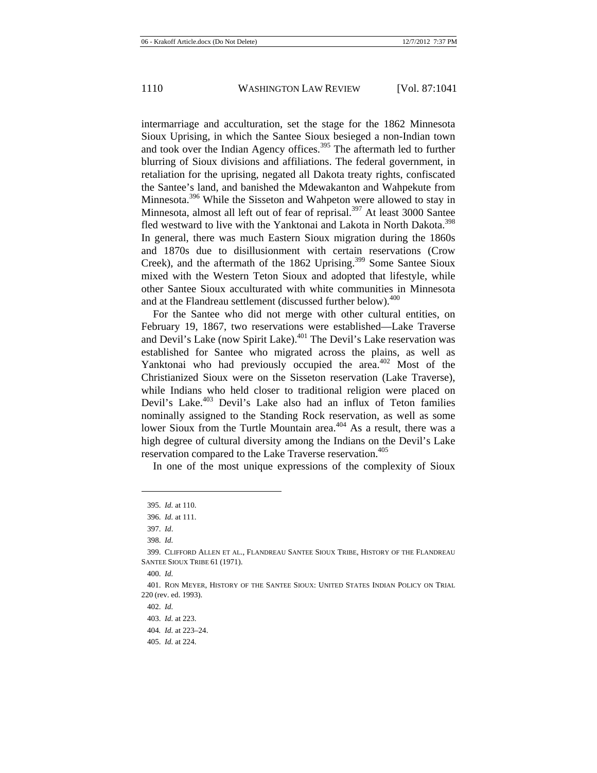intermarriage and acculturation, set the stage for the 1862 Minnesota Sioux Uprising, in which the Santee Sioux besieged a non-Indian town and took over the Indian Agency offices.<sup>395</sup> The aftermath led to further blurring of Sioux divisions and affiliations. The federal government, in retaliation for the uprising, negated all Dakota treaty rights, confiscated the Santee's land, and banished the Mdewakanton and Wahpekute from Minnesota.<sup>396</sup> While the Sisseton and Wahpeton were allowed to stay in Minnesota, almost all left out of fear of reprisal.<sup>397</sup> At least 3000 Santee fled westward to live with the Yanktonai and Lakota in North Dakota.<sup>398</sup> In general, there was much Eastern Sioux migration during the 1860s and 1870s due to disillusionment with certain reservations (Crow Creek), and the aftermath of the 1862 Uprising.<sup>399</sup> Some Santee Sioux mixed with the Western Teton Sioux and adopted that lifestyle, while other Santee Sioux acculturated with white communities in Minnesota and at the Flandreau settlement (discussed further below).<sup>400</sup>

For the Santee who did not merge with other cultural entities, on February 19, 1867, two reservations were established—Lake Traverse and Devil's Lake (now Spirit Lake).401 The Devil's Lake reservation was established for Santee who migrated across the plains, as well as Yanktonai who had previously occupied the area. $402$  Most of the Christianized Sioux were on the Sisseton reservation (Lake Traverse), while Indians who held closer to traditional religion were placed on Devil's Lake.<sup>403</sup> Devil's Lake also had an influx of Teton families nominally assigned to the Standing Rock reservation, as well as some lower Sioux from the Turtle Mountain area.<sup>404</sup> As a result, there was a high degree of cultural diversity among the Indians on the Devil's Lake reservation compared to the Lake Traverse reservation.<sup>405</sup>

In one of the most unique expressions of the complexity of Sioux

<sup>395.</sup> *Id.* at 110.

<sup>396.</sup> *Id.* at 111.

<sup>397.</sup> *Id*.

<sup>398.</sup> *Id.*

<sup>399.</sup> CLIFFORD ALLEN ET AL., FLANDREAU SANTEE SIOUX TRIBE, HISTORY OF THE FLANDREAU SANTEE SIOUX TRIBE 61 (1971).

<sup>400.</sup> *Id.*

<sup>401.</sup> RON MEYER, HISTORY OF THE SANTEE SIOUX: UNITED STATES INDIAN POLICY ON TRIAL 220 (rev. ed. 1993).

<sup>402.</sup> *Id.*

<sup>403.</sup> *Id.* at 223.

<sup>404</sup>*. Id.* at 223–24.

<sup>405.</sup> *Id.* at 224.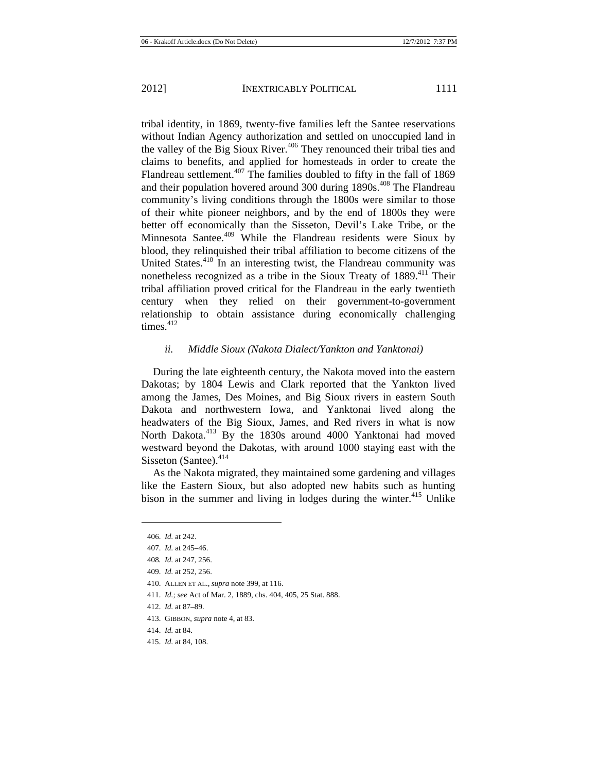tribal identity, in 1869, twenty-five families left the Santee reservations without Indian Agency authorization and settled on unoccupied land in the valley of the Big Sioux River.406 They renounced their tribal ties and claims to benefits, and applied for homesteads in order to create the Flandreau settlement.<sup>407</sup> The families doubled to fifty in the fall of 1869 and their population hovered around 300 during 1890s.<sup>408</sup> The Flandreau community's living conditions through the 1800s were similar to those of their white pioneer neighbors, and by the end of 1800s they were better off economically than the Sisseton, Devil's Lake Tribe, or the Minnesota Santee.<sup>409</sup> While the Flandreau residents were Sioux by blood, they relinquished their tribal affiliation to become citizens of the United States.<sup>410</sup> In an interesting twist, the Flandreau community was nonetheless recognized as a tribe in the Sioux Treaty of 1889.<sup>411</sup> Their tribal affiliation proved critical for the Flandreau in the early twentieth century when they relied on their government-to-government relationship to obtain assistance during economically challenging times. $412$ 

# *ii. Middle Sioux (Nakota Dialect/Yankton and Yanktonai)*

During the late eighteenth century, the Nakota moved into the eastern Dakotas; by 1804 Lewis and Clark reported that the Yankton lived among the James, Des Moines, and Big Sioux rivers in eastern South Dakota and northwestern Iowa, and Yanktonai lived along the headwaters of the Big Sioux, James, and Red rivers in what is now North Dakota.<sup>413</sup> By the 1830s around 4000 Yanktonai had moved westward beyond the Dakotas, with around 1000 staying east with the Sisseton (Santee).<sup>414</sup>

As the Nakota migrated, they maintained some gardening and villages like the Eastern Sioux, but also adopted new habits such as hunting bison in the summer and living in lodges during the winter.<sup>415</sup> Unlike

- 411. *Id.*; *see* Act of Mar. 2, 1889, chs. 404, 405, 25 Stat. 888.
- 412. *Id.* at 87–89.

<sup>406.</sup> *Id.* at 242.

<sup>407.</sup> *Id.* at 245–46.

<sup>408</sup>*. Id.* at 247, 256.

<sup>409.</sup> *Id.* at 252, 256.

<sup>410.</sup> ALLEN ET AL., *supra* note 399, at 116.

<sup>413.</sup> GIBBON, *supra* note 4, at 83.

<sup>414.</sup> *Id.* at 84.

<sup>415.</sup> *Id.* at 84, 108.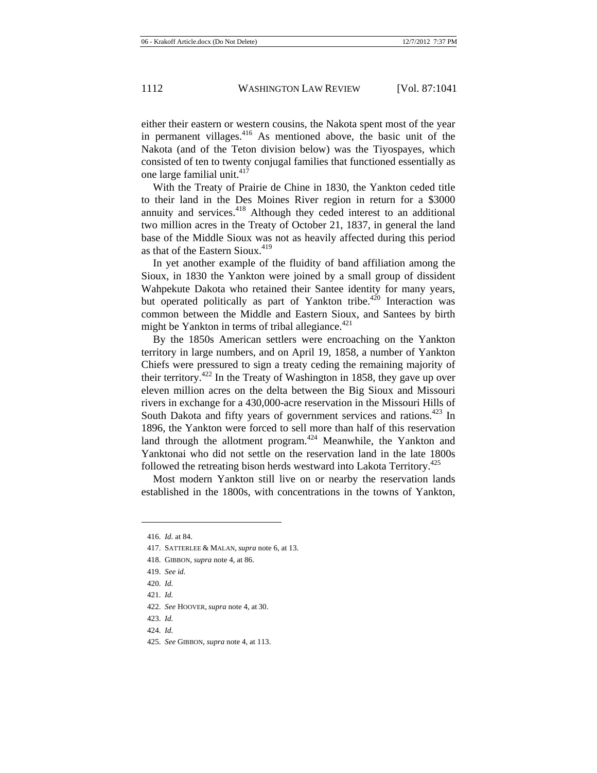either their eastern or western cousins, the Nakota spent most of the year in permanent villages.<sup>416</sup> As mentioned above, the basic unit of the Nakota (and of the Teton division below) was the Tiyospayes, which consisted of ten to twenty conjugal families that functioned essentially as one large familial unit. $417$ 

With the Treaty of Prairie de Chine in 1830, the Yankton ceded title to their land in the Des Moines River region in return for a \$3000 annuity and services.<sup>418</sup> Although they ceded interest to an additional two million acres in the Treaty of October 21, 1837, in general the land base of the Middle Sioux was not as heavily affected during this period as that of the Eastern Sioux.<sup>419</sup>

In yet another example of the fluidity of band affiliation among the Sioux, in 1830 the Yankton were joined by a small group of dissident Wahpekute Dakota who retained their Santee identity for many years, but operated politically as part of Yankton tribe.<sup>420</sup> Interaction was common between the Middle and Eastern Sioux, and Santees by birth might be Yankton in terms of tribal allegiance. $421$ 

By the 1850s American settlers were encroaching on the Yankton territory in large numbers, and on April 19, 1858, a number of Yankton Chiefs were pressured to sign a treaty ceding the remaining majority of their territory.<sup>422</sup> In the Treaty of Washington in 1858, they gave up over eleven million acres on the delta between the Big Sioux and Missouri rivers in exchange for a 430,000-acre reservation in the Missouri Hills of South Dakota and fifty years of government services and rations.<sup>423</sup> In 1896, the Yankton were forced to sell more than half of this reservation land through the allotment program.<sup> $424$ </sup> Meanwhile, the Yankton and Yanktonai who did not settle on the reservation land in the late 1800s followed the retreating bison herds westward into Lakota Territory.<sup>425</sup>

Most modern Yankton still live on or nearby the reservation lands established in the 1800s, with concentrations in the towns of Yankton,

- 417. SATTERLEE & MALAN, *supra* note 6, at 13.
- 418. GIBBON, *supra* note 4, at 86.
- 419. *See id.*
- 420. *Id.*
- 421. *Id.*

- 422. *See* HOOVER, *supra* note 4, at 30.
- 423. *Id.*
- 424. *Id.*
- 425. *See* GIBBON, *supra* note 4, at 113.

<sup>416.</sup> *Id.* at 84.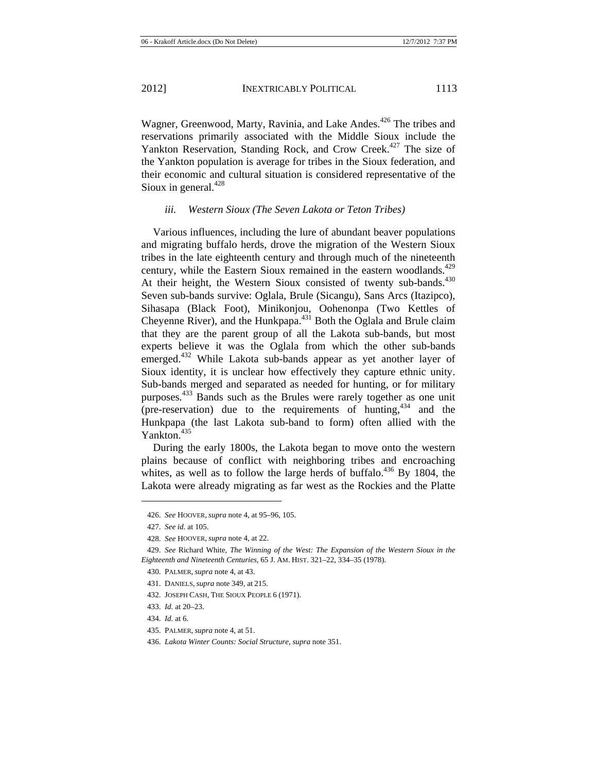Wagner, Greenwood, Marty, Ravinia, and Lake Andes.<sup>426</sup> The tribes and reservations primarily associated with the Middle Sioux include the Yankton Reservation, Standing Rock, and Crow Creek.<sup>427</sup> The size of the Yankton population is average for tribes in the Sioux federation, and their economic and cultural situation is considered representative of the Sioux in general. $428$ 

#### *iii. Western Sioux (The Seven Lakota or Teton Tribes)*

Various influences, including the lure of abundant beaver populations and migrating buffalo herds, drove the migration of the Western Sioux tribes in the late eighteenth century and through much of the nineteenth century, while the Eastern Sioux remained in the eastern woodlands.<sup>429</sup> At their height, the Western Sioux consisted of twenty sub-bands.<sup>430</sup> Seven sub-bands survive: Oglala, Brule (Sicangu), Sans Arcs (Itazipco), Sihasapa (Black Foot), Minikonjou, Oohenonpa (Two Kettles of Cheyenne River), and the Hunkpapa.<sup>431</sup> Both the Oglala and Brule claim that they are the parent group of all the Lakota sub-bands, but most experts believe it was the Oglala from which the other sub-bands emerged.<sup>432</sup> While Lakota sub-bands appear as yet another layer of Sioux identity, it is unclear how effectively they capture ethnic unity. Sub-bands merged and separated as needed for hunting, or for military purposes.<sup>433</sup> Bands such as the Brules were rarely together as one unit (pre-reservation) due to the requirements of hunting,  $434$  and the Hunkpapa (the last Lakota sub-band to form) often allied with the Yankton.<sup>435</sup>

During the early 1800s, the Lakota began to move onto the western plains because of conflict with neighboring tribes and encroaching whites, as well as to follow the large herds of buffalo.<sup>436</sup> By 1804, the Lakota were already migrating as far west as the Rockies and the Platte

 $\overline{a}$ 

435. PALMER, *supra* note 4, at 51.

<sup>426.</sup> *See* HOOVER, *supra* note 4, at 95–96, 105.

<sup>427.</sup> *See id.* at 105.

<sup>428.</sup> *See* HOOVER, *supra* note 4, at 22.

<sup>429.</sup> *See* Richard White, *The Winning of the West: The Expansion of the Western Sioux in the Eighteenth and Nineteenth Centuries*, 65 J. AM. HIST. 321–22, 334–35 (1978).

<sup>430.</sup> PALMER, *supra* note 4, at 43.

<sup>431.</sup> DANIELS, *supra* note 349, at 215.

<sup>432.</sup> JOSEPH CASH, THE SIOUX PEOPLE 6 (1971).

<sup>433.</sup> *Id.* at 20–23.

<sup>434.</sup> *Id.* at 6.

<sup>436.</sup> *Lakota Winter Counts: Social Structure*, *supra* note 351.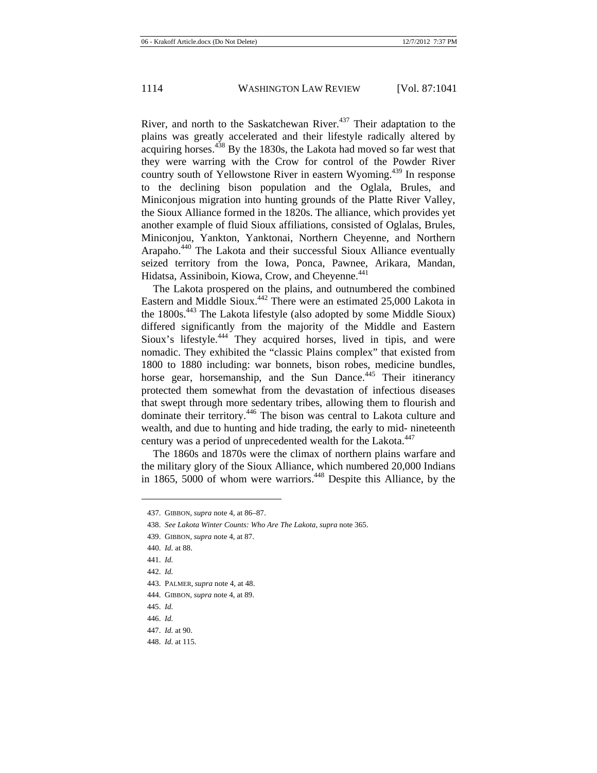River, and north to the Saskatchewan River.<sup>437</sup> Their adaptation to the plains was greatly accelerated and their lifestyle radically altered by acquiring horses.<sup>438</sup> By the 1830s, the Lakota had moved so far west that they were warring with the Crow for control of the Powder River country south of Yellowstone River in eastern Wyoming.<sup>439</sup> In response to the declining bison population and the Oglala, Brules, and Miniconjous migration into hunting grounds of the Platte River Valley, the Sioux Alliance formed in the 1820s. The alliance, which provides yet another example of fluid Sioux affiliations, consisted of Oglalas, Brules, Miniconjou, Yankton, Yanktonai, Northern Cheyenne, and Northern Arapaho.440 The Lakota and their successful Sioux Alliance eventually seized territory from the Iowa, Ponca, Pawnee, Arikara, Mandan, Hidatsa, Assiniboin, Kiowa, Crow, and Cheyenne.<sup>441</sup>

The Lakota prospered on the plains, and outnumbered the combined Eastern and Middle Sioux.<sup>442</sup> There were an estimated  $25,000$  Lakota in the 1800s.<sup>443</sup> The Lakota lifestyle (also adopted by some Middle Sioux) differed significantly from the majority of the Middle and Eastern Sioux's lifestyle.<sup>444</sup> They acquired horses, lived in tipis, and were nomadic. They exhibited the "classic Plains complex" that existed from 1800 to 1880 including: war bonnets, bison robes, medicine bundles, horse gear, horsemanship, and the Sun Dance.<sup>445</sup> Their itinerancy protected them somewhat from the devastation of infectious diseases that swept through more sedentary tribes, allowing them to flourish and dominate their territory.446 The bison was central to Lakota culture and wealth, and due to hunting and hide trading, the early to mid- nineteenth century was a period of unprecedented wealth for the Lakota.<sup>447</sup>

The 1860s and 1870s were the climax of northern plains warfare and the military glory of the Sioux Alliance, which numbered 20,000 Indians in 1865, 5000 of whom were warriors.<sup>448</sup> Despite this Alliance, by the

442. *Id.*

- 443. PALMER, *supra* note 4, at 48.
- 444. GIBBON, *supra* note 4, at 89.
- 445. *Id.*

<sup>437.</sup> GIBBON, *supra* note 4, at 86–87.

<sup>438.</sup> *See Lakota Winter Counts: Who Are The Lakota*, *supra* note 365.

<sup>439.</sup> GIBBON, *supra* note 4, at 87.

<sup>440.</sup> *Id.* at 88.

<sup>441.</sup> *Id.*

<sup>446.</sup> *Id.*

<sup>447.</sup> *Id.* at 90.

<sup>448.</sup> *Id.* at 115.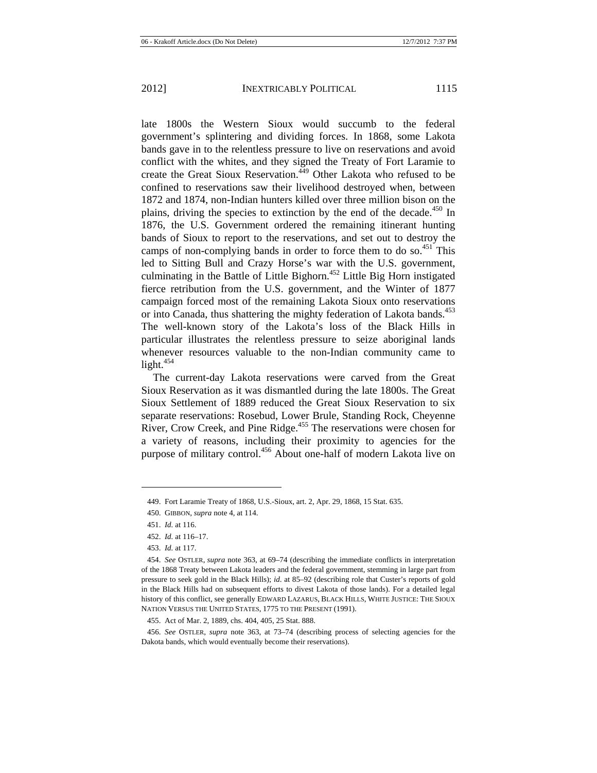late 1800s the Western Sioux would succumb to the federal government's splintering and dividing forces. In 1868, some Lakota bands gave in to the relentless pressure to live on reservations and avoid conflict with the whites, and they signed the Treaty of Fort Laramie to create the Great Sioux Reservation.<sup>449</sup> Other Lakota who refused to be confined to reservations saw their livelihood destroyed when, between 1872 and 1874, non-Indian hunters killed over three million bison on the plains, driving the species to extinction by the end of the decade.<sup>450</sup> In 1876, the U.S. Government ordered the remaining itinerant hunting bands of Sioux to report to the reservations, and set out to destroy the camps of non-complying bands in order to force them to do so.<sup>451</sup> This led to Sitting Bull and Crazy Horse's war with the U.S. government, culminating in the Battle of Little Bighorn.<sup> $452$ </sup> Little Big Horn instigated fierce retribution from the U.S. government, and the Winter of 1877 campaign forced most of the remaining Lakota Sioux onto reservations or into Canada, thus shattering the mighty federation of Lakota bands.<sup>453</sup> The well-known story of the Lakota's loss of the Black Hills in particular illustrates the relentless pressure to seize aboriginal lands whenever resources valuable to the non-Indian community came to light. $454$ 

The current-day Lakota reservations were carved from the Great Sioux Reservation as it was dismantled during the late 1800s. The Great Sioux Settlement of 1889 reduced the Great Sioux Reservation to six separate reservations: Rosebud, Lower Brule, Standing Rock, Cheyenne River, Crow Creek, and Pine Ridge.<sup>455</sup> The reservations were chosen for a variety of reasons, including their proximity to agencies for the purpose of military control.<sup>456</sup> About one-half of modern Lakota live on

453. *Id.* at 117.

456. *See* OSTLER, *supra* note 363, at 73–74 (describing process of selecting agencies for the Dakota bands, which would eventually become their reservations).

<sup>449.</sup> Fort Laramie Treaty of 1868, U.S.-Sioux, art. 2, Apr. 29, 1868, 15 Stat. 635.

<sup>450.</sup> GIBBON, *supra* note 4, at 114.

<sup>451.</sup> *Id.* at 116.

<sup>452.</sup> *Id.* at 116–17.

<sup>454.</sup> *See* OSTLER, *supra* note 363, at 69–74 (describing the immediate conflicts in interpretation of the 1868 Treaty between Lakota leaders and the federal government, stemming in large part from pressure to seek gold in the Black Hills); *id*. at 85–92 (describing role that Custer's reports of gold in the Black Hills had on subsequent efforts to divest Lakota of those lands). For a detailed legal history of this conflict, see generally EDWARD LAZARUS, BLACK HILLS, WHITE JUSTICE: THE SIOUX NATION VERSUS THE UNITED STATES, 1775 TO THE PRESENT (1991).

<sup>455.</sup> Act of Mar. 2, 1889, chs. 404, 405, 25 Stat. 888.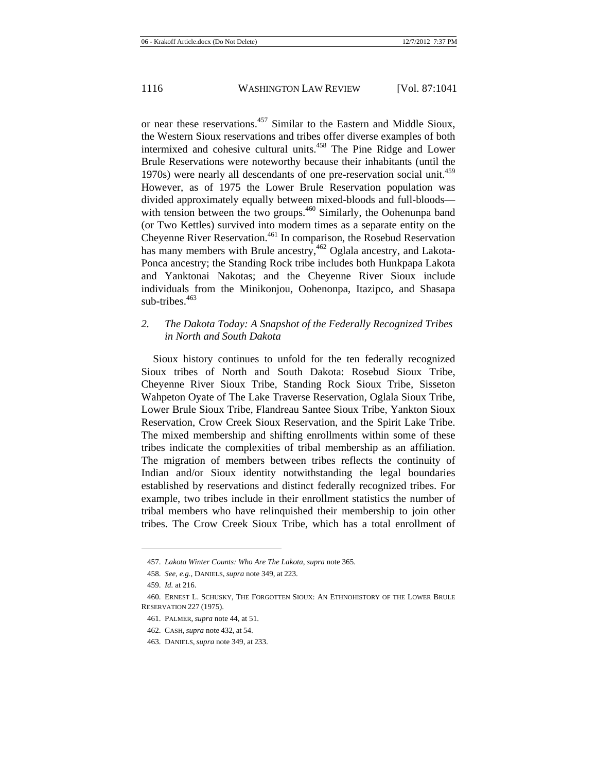or near these reservations.457 Similar to the Eastern and Middle Sioux, the Western Sioux reservations and tribes offer diverse examples of both intermixed and cohesive cultural units.458 The Pine Ridge and Lower Brule Reservations were noteworthy because their inhabitants (until the 1970s) were nearly all descendants of one pre-reservation social unit.<sup>459</sup> However, as of 1975 the Lower Brule Reservation population was divided approximately equally between mixed-bloods and full-bloods with tension between the two groups.<sup>460</sup> Similarly, the Oohenunpa band (or Two Kettles) survived into modern times as a separate entity on the Cheyenne River Reservation.<sup>461</sup> In comparison, the Rosebud Reservation has many members with Brule ancestry,<sup>462</sup> Oglala ancestry, and Lakota-Ponca ancestry; the Standing Rock tribe includes both Hunkpapa Lakota and Yanktonai Nakotas; and the Cheyenne River Sioux include individuals from the Minikonjou, Oohenonpa, Itazipco, and Shasapa sub-tribes.<sup>463</sup>

# *2. The Dakota Today: A Snapshot of the Federally Recognized Tribes in North and South Dakota*

Sioux history continues to unfold for the ten federally recognized Sioux tribes of North and South Dakota: Rosebud Sioux Tribe, Cheyenne River Sioux Tribe, Standing Rock Sioux Tribe, Sisseton Wahpeton Oyate of The Lake Traverse Reservation, Oglala Sioux Tribe, Lower Brule Sioux Tribe, Flandreau Santee Sioux Tribe, Yankton Sioux Reservation, Crow Creek Sioux Reservation, and the Spirit Lake Tribe. The mixed membership and shifting enrollments within some of these tribes indicate the complexities of tribal membership as an affiliation. The migration of members between tribes reflects the continuity of Indian and/or Sioux identity notwithstanding the legal boundaries established by reservations and distinct federally recognized tribes. For example, two tribes include in their enrollment statistics the number of tribal members who have relinquished their membership to join other tribes. The Crow Creek Sioux Tribe, which has a total enrollment of

 $\overline{a}$ 

<sup>457.</sup> *Lakota Winter Counts: Who Are The Lakota*, *supra* note 365.

<sup>458.</sup> *See, e.g.*, DANIELS, *supra* note 349, at 223.

<sup>459.</sup> *Id.* at 216.

<sup>460.</sup> ERNEST L. SCHUSKY, THE FORGOTTEN SIOUX: AN ETHNOHISTORY OF THE LOWER BRULE RESERVATION 227 (1975).

<sup>461.</sup> PALMER, *supra* note 44, at 51.

<sup>462.</sup> CASH, *supra* note 432, at 54.

<sup>463.</sup> DANIELS, *supra* note 349, at 233.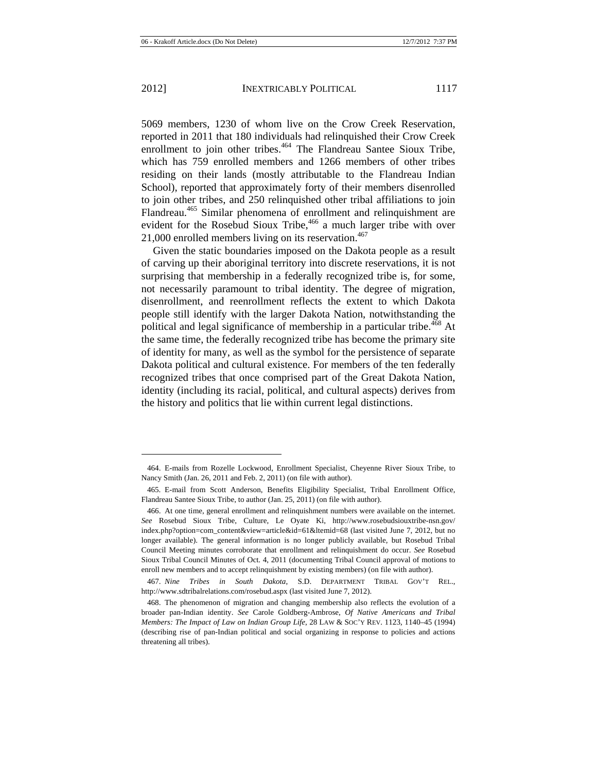$\overline{a}$ 

5069 members, 1230 of whom live on the Crow Creek Reservation, reported in 2011 that 180 individuals had relinquished their Crow Creek enrollment to join other tribes.<sup>464</sup> The Flandreau Santee Sioux Tribe, which has 759 enrolled members and 1266 members of other tribes residing on their lands (mostly attributable to the Flandreau Indian School), reported that approximately forty of their members disenrolled to join other tribes, and 250 relinquished other tribal affiliations to join Flandreau.<sup>465</sup> Similar phenomena of enrollment and relinquishment are evident for the Rosebud Sioux Tribe,<sup>466</sup> a much larger tribe with over 21,000 enrolled members living on its reservation. $467$ 

Given the static boundaries imposed on the Dakota people as a result of carving up their aboriginal territory into discrete reservations, it is not surprising that membership in a federally recognized tribe is, for some, not necessarily paramount to tribal identity. The degree of migration, disenrollment, and reenrollment reflects the extent to which Dakota people still identify with the larger Dakota Nation, notwithstanding the political and legal significance of membership in a particular tribe.<sup>468</sup> At the same time, the federally recognized tribe has become the primary site of identity for many, as well as the symbol for the persistence of separate Dakota political and cultural existence. For members of the ten federally recognized tribes that once comprised part of the Great Dakota Nation, identity (including its racial, political, and cultural aspects) derives from the history and politics that lie within current legal distinctions.

<sup>464.</sup> E-mails from Rozelle Lockwood, Enrollment Specialist, Cheyenne River Sioux Tribe, to Nancy Smith (Jan. 26, 2011 and Feb. 2, 2011) (on file with author).

<sup>465.</sup> E-mail from Scott Anderson, Benefits Eligibility Specialist, Tribal Enrollment Office, Flandreau Santee Sioux Tribe, to author (Jan. 25, 2011) (on file with author).

<sup>466.</sup> At one time, general enrollment and relinquishment numbers were available on the internet. *See* Rosebud Sioux Tribe, Culture, Le Oyate Ki, http://www.rosebudsiouxtribe-nsn.gov/ index.php?option=com\_content&view=article&id=61&ltemid=68 (last visited June 7, 2012, but no longer available). The general information is no longer publicly available, but Rosebud Tribal Council Meeting minutes corroborate that enrollment and relinquishment do occur. *See* Rosebud Sioux Tribal Council Minutes of Oct. 4, 2011 (documenting Tribal Council approval of motions to enroll new members and to accept relinquishment by existing members) (on file with author).

<sup>467.</sup> *Nine Tribes in South Dakota*, S.D. DEPARTMENT TRIBAL GOV'T REL., http://www.sdtribalrelations.com/rosebud.aspx (last visited June 7, 2012).

<sup>468.</sup> The phenomenon of migration and changing membership also reflects the evolution of a broader pan-Indian identity. *See* Carole Goldberg-Ambrose, *Of Native Americans and Tribal Members: The Impact of Law on Indian Group Life*, 28 LAW & SOC'Y REV. 1123, 1140–45 (1994) (describing rise of pan-Indian political and social organizing in response to policies and actions threatening all tribes).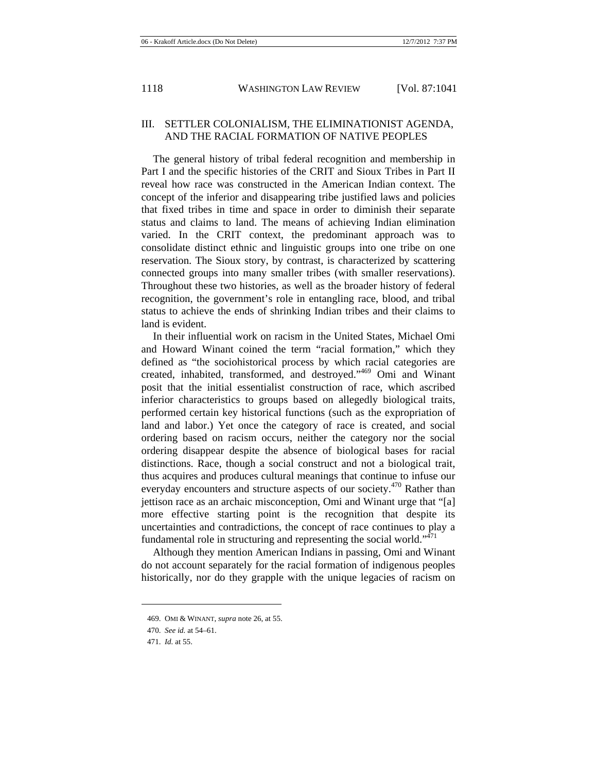### III. SETTLER COLONIALISM, THE ELIMINATIONIST AGENDA, AND THE RACIAL FORMATION OF NATIVE PEOPLES

The general history of tribal federal recognition and membership in Part I and the specific histories of the CRIT and Sioux Tribes in Part II reveal how race was constructed in the American Indian context. The concept of the inferior and disappearing tribe justified laws and policies that fixed tribes in time and space in order to diminish their separate status and claims to land. The means of achieving Indian elimination varied. In the CRIT context, the predominant approach was to consolidate distinct ethnic and linguistic groups into one tribe on one reservation. The Sioux story, by contrast, is characterized by scattering connected groups into many smaller tribes (with smaller reservations). Throughout these two histories, as well as the broader history of federal recognition, the government's role in entangling race, blood, and tribal status to achieve the ends of shrinking Indian tribes and their claims to land is evident.

In their influential work on racism in the United States, Michael Omi and Howard Winant coined the term "racial formation," which they defined as "the sociohistorical process by which racial categories are created, inhabited, transformed, and destroyed."469 Omi and Winant posit that the initial essentialist construction of race, which ascribed inferior characteristics to groups based on allegedly biological traits, performed certain key historical functions (such as the expropriation of land and labor.) Yet once the category of race is created, and social ordering based on racism occurs, neither the category nor the social ordering disappear despite the absence of biological bases for racial distinctions. Race, though a social construct and not a biological trait, thus acquires and produces cultural meanings that continue to infuse our everyday encounters and structure aspects of our society.<sup>470</sup> Rather than jettison race as an archaic misconception, Omi and Winant urge that "[a] more effective starting point is the recognition that despite its uncertainties and contradictions, the concept of race continues to play a fundamental role in structuring and representing the social world." $471$ 

Although they mention American Indians in passing, Omi and Winant do not account separately for the racial formation of indigenous peoples historically, nor do they grapple with the unique legacies of racism on

<sup>469.</sup> OMI & WINANT, *supra* note 26, at 55.

<sup>470.</sup> *See id.* at 54–61.

<sup>471.</sup> *Id.* at 55.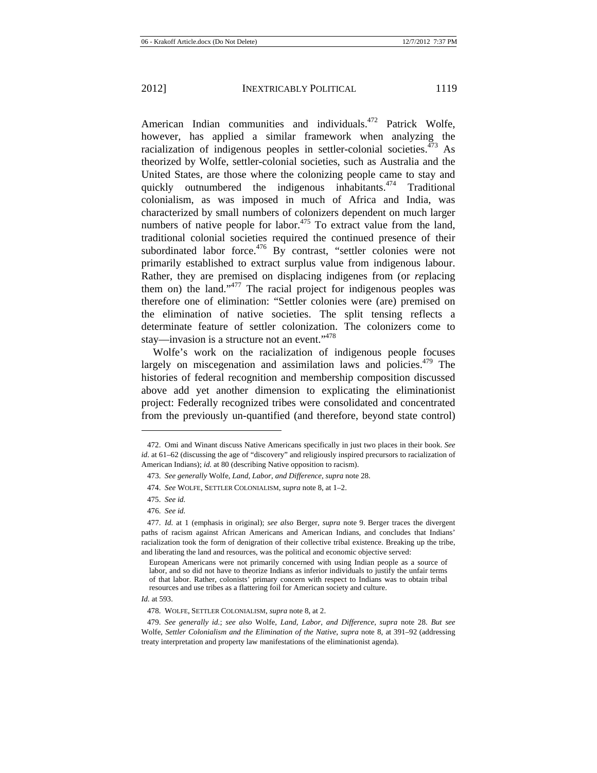American Indian communities and individuals.<sup>472</sup> Patrick Wolfe, however, has applied a similar framework when analyzing the racialization of indigenous peoples in settler-colonial societies. $473$  As theorized by Wolfe, settler-colonial societies, such as Australia and the United States, are those where the colonizing people came to stay and quickly outnumbered the indigenous inhabitants.<sup>474</sup> Traditional colonialism, as was imposed in much of Africa and India, was characterized by small numbers of colonizers dependent on much larger numbers of native people for labor.<sup>475</sup> To extract value from the land, traditional colonial societies required the continued presence of their subordinated labor force. $476$  By contrast, "settler colonies were not primarily established to extract surplus value from indigenous labour. Rather, they are premised on displacing indigenes from (or *re*placing them on) the land."<sup>477</sup> The racial project for indigenous peoples was therefore one of elimination: "Settler colonies were (are) premised on the elimination of native societies. The split tensing reflects a determinate feature of settler colonization. The colonizers come to stay—invasion is a structure not an event."<sup>478</sup>

Wolfe's work on the racialization of indigenous people focuses largely on miscegenation and assimilation laws and policies. $479$  The histories of federal recognition and membership composition discussed above add yet another dimension to explicating the eliminationist project: Federally recognized tribes were consolidated and concentrated from the previously un-quantified (and therefore, beyond state control)

 $\overline{a}$ 

<sup>472.</sup> Omi and Winant discuss Native Americans specifically in just two places in their book. *See id*. at 61–62 (discussing the age of "discovery" and religiously inspired precursors to racialization of American Indians); *id.* at 80 (describing Native opposition to racism).

<sup>473.</sup> *See generally* Wolfe, *Land, Labor, and Difference*, *supra* note 28.

<sup>474.</sup> *See* WOLFE, SETTLER COLONIALISM, *supra* note 8, at 1–2.

<sup>475.</sup> *See id.*

<sup>476.</sup> *See id.*

<sup>477.</sup> *Id.* at 1 (emphasis in original); *see also* Berger, *supra* note 9. Berger traces the divergent paths of racism against African Americans and American Indians, and concludes that Indians' racialization took the form of denigration of their collective tribal existence. Breaking up the tribe, and liberating the land and resources, was the political and economic objective served:

European Americans were not primarily concerned with using Indian people as a source of labor, and so did not have to theorize Indians as inferior individuals to justify the unfair terms of that labor. Rather, colonists' primary concern with respect to Indians was to obtain tribal resources and use tribes as a flattering foil for American society and culture.

*Id.* at 593.

<sup>478.</sup> WOLFE, SETTLER COLONIALISM, *supra* note 8, at 2.

<sup>479.</sup> *See generally id.*; *see also* Wolfe, *Land, Labor, and Difference*, *supra* note 28. *But see* Wolfe, *Settler Colonialism and the Elimination of the Native*, *supra* note 8, at 391–92 (addressing treaty interpretation and property law manifestations of the eliminationist agenda).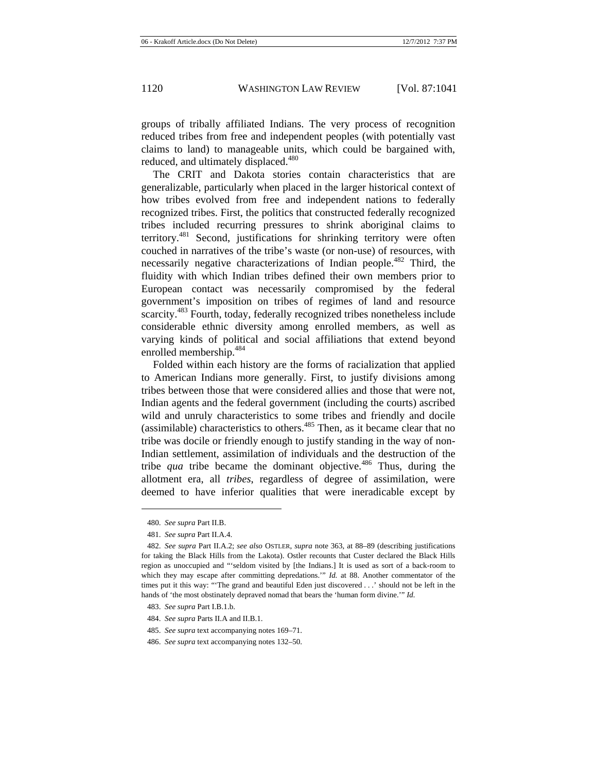groups of tribally affiliated Indians. The very process of recognition reduced tribes from free and independent peoples (with potentially vast claims to land) to manageable units, which could be bargained with, reduced, and ultimately displaced.<sup>480</sup>

The CRIT and Dakota stories contain characteristics that are generalizable, particularly when placed in the larger historical context of how tribes evolved from free and independent nations to federally recognized tribes. First, the politics that constructed federally recognized tribes included recurring pressures to shrink aboriginal claims to territory.<sup>481</sup> Second, justifications for shrinking territory were often couched in narratives of the tribe's waste (or non-use) of resources, with necessarily negative characterizations of Indian people.<sup>482</sup> Third, the fluidity with which Indian tribes defined their own members prior to European contact was necessarily compromised by the federal government's imposition on tribes of regimes of land and resource scarcity.<sup>483</sup> Fourth, today, federally recognized tribes nonetheless include considerable ethnic diversity among enrolled members, as well as varying kinds of political and social affiliations that extend beyond enrolled membership.<sup>484</sup>

Folded within each history are the forms of racialization that applied to American Indians more generally. First, to justify divisions among tribes between those that were considered allies and those that were not, Indian agents and the federal government (including the courts) ascribed wild and unruly characteristics to some tribes and friendly and docile (assimilable) characteristics to others.<sup> $485$ </sup> Then, as it became clear that no tribe was docile or friendly enough to justify standing in the way of non-Indian settlement, assimilation of individuals and the destruction of the tribe *qua* tribe became the dominant objective.<sup>486</sup> Thus, during the allotment era, all *tribes*, regardless of degree of assimilation, were deemed to have inferior qualities that were ineradicable except by

<sup>480.</sup> *See supra* Part II.B.

<sup>481.</sup> *See supra* Part II.A.4.

<sup>482.</sup> *See supra* Part II.A.2; *see also* OSTLER, *supra* note 363, at 88–89 (describing justifications for taking the Black Hills from the Lakota). Ostler recounts that Custer declared the Black Hills region as unoccupied and "'seldom visited by [the Indians.] It is used as sort of a back-room to which they may escape after committing depredations." *Id.* at 88. Another commentator of the times put it this way: "'The grand and beautiful Eden just discovered . . .' should not be left in the hands of 'the most obstinately depraved nomad that bears the 'human form divine.'" *Id.*

<sup>483.</sup> *See supra* Part I.B.1.b.

<sup>484.</sup> *See supra* Parts II.A and II.B.1.

<sup>485.</sup> *See supra* text accompanying notes 169–71.

<sup>486.</sup> *See supra* text accompanying notes 132–50.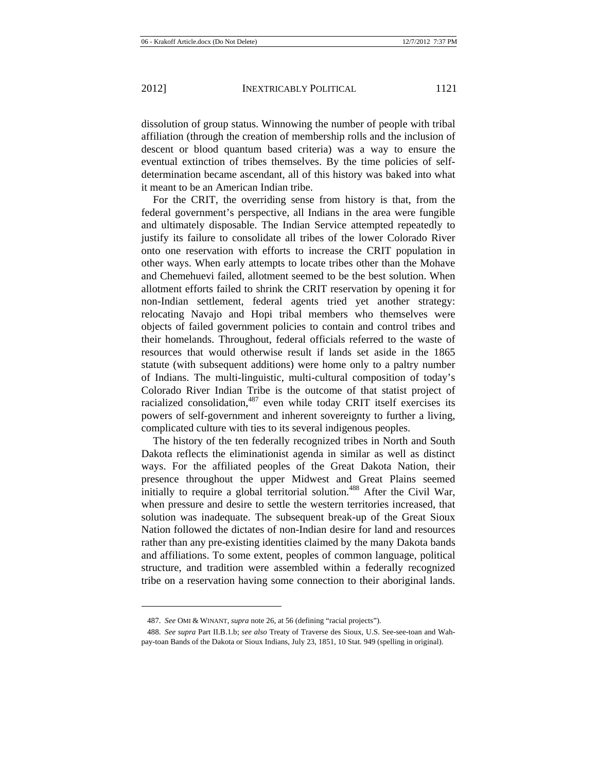$\overline{a}$ 

dissolution of group status. Winnowing the number of people with tribal affiliation (through the creation of membership rolls and the inclusion of descent or blood quantum based criteria) was a way to ensure the eventual extinction of tribes themselves. By the time policies of selfdetermination became ascendant, all of this history was baked into what it meant to be an American Indian tribe.

For the CRIT, the overriding sense from history is that, from the federal government's perspective, all Indians in the area were fungible and ultimately disposable. The Indian Service attempted repeatedly to justify its failure to consolidate all tribes of the lower Colorado River onto one reservation with efforts to increase the CRIT population in other ways. When early attempts to locate tribes other than the Mohave and Chemehuevi failed, allotment seemed to be the best solution. When allotment efforts failed to shrink the CRIT reservation by opening it for non-Indian settlement, federal agents tried yet another strategy: relocating Navajo and Hopi tribal members who themselves were objects of failed government policies to contain and control tribes and their homelands. Throughout, federal officials referred to the waste of resources that would otherwise result if lands set aside in the 1865 statute (with subsequent additions) were home only to a paltry number of Indians. The multi-linguistic, multi-cultural composition of today's Colorado River Indian Tribe is the outcome of that statist project of racialized consolidation, $487$  even while today CRIT itself exercises its powers of self-government and inherent sovereignty to further a living, complicated culture with ties to its several indigenous peoples.

The history of the ten federally recognized tribes in North and South Dakota reflects the eliminationist agenda in similar as well as distinct ways. For the affiliated peoples of the Great Dakota Nation, their presence throughout the upper Midwest and Great Plains seemed initially to require a global territorial solution.<sup>488</sup> After the Civil War, when pressure and desire to settle the western territories increased, that solution was inadequate. The subsequent break-up of the Great Sioux Nation followed the dictates of non-Indian desire for land and resources rather than any pre-existing identities claimed by the many Dakota bands and affiliations. To some extent, peoples of common language, political structure, and tradition were assembled within a federally recognized tribe on a reservation having some connection to their aboriginal lands.

<sup>487.</sup> *See* OMI & WINANT, *supra* note 26, at 56 (defining "racial projects").

<sup>488.</sup> *See supra* Part II.B.1.b; *see also* Treaty of Traverse des Sioux, U.S. See-see-toan and Wahpay-toan Bands of the Dakota or Sioux Indians, July 23, 1851, 10 Stat. 949 (spelling in original).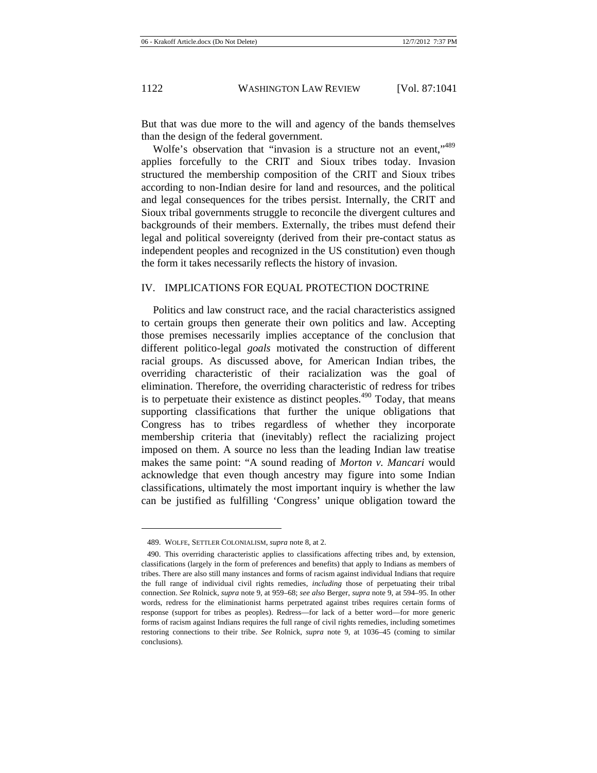But that was due more to the will and agency of the bands themselves than the design of the federal government.

Wolfe's observation that "invasion is a structure not an event,"<sup>489</sup> applies forcefully to the CRIT and Sioux tribes today. Invasion structured the membership composition of the CRIT and Sioux tribes according to non-Indian desire for land and resources, and the political and legal consequences for the tribes persist. Internally, the CRIT and Sioux tribal governments struggle to reconcile the divergent cultures and backgrounds of their members. Externally, the tribes must defend their legal and political sovereignty (derived from their pre-contact status as independent peoples and recognized in the US constitution) even though the form it takes necessarily reflects the history of invasion.

### IV. IMPLICATIONS FOR EQUAL PROTECTION DOCTRINE

Politics and law construct race, and the racial characteristics assigned to certain groups then generate their own politics and law. Accepting those premises necessarily implies acceptance of the conclusion that different politico-legal *goals* motivated the construction of different racial groups. As discussed above, for American Indian tribes, the overriding characteristic of their racialization was the goal of elimination. Therefore, the overriding characteristic of redress for tribes is to perpetuate their existence as distinct peoples.<sup> $490$ </sup> Today, that means supporting classifications that further the unique obligations that Congress has to tribes regardless of whether they incorporate membership criteria that (inevitably) reflect the racializing project imposed on them. A source no less than the leading Indian law treatise makes the same point: "A sound reading of *Morton v. Mancari* would acknowledge that even though ancestry may figure into some Indian classifications, ultimately the most important inquiry is whether the law can be justified as fulfilling 'Congress' unique obligation toward the

<sup>489.</sup> WOLFE, SETTLER COLONIALISM, *supra* note 8, at 2.

<sup>490.</sup> This overriding characteristic applies to classifications affecting tribes and, by extension, classifications (largely in the form of preferences and benefits) that apply to Indians as members of tribes. There are also still many instances and forms of racism against individual Indians that require the full range of individual civil rights remedies, *including* those of perpetuating their tribal connection. *See* Rolnick, *supra* note 9, at 959–68; *see also* Berger, *supra* note 9, at 594–95. In other words, redress for the eliminationist harms perpetrated against tribes requires certain forms of response (support for tribes as peoples). Redress—for lack of a better word—for more generic forms of racism against Indians requires the full range of civil rights remedies, including sometimes restoring connections to their tribe. *See* Rolnick, *supra* note 9, at 1036–45 (coming to similar conclusions).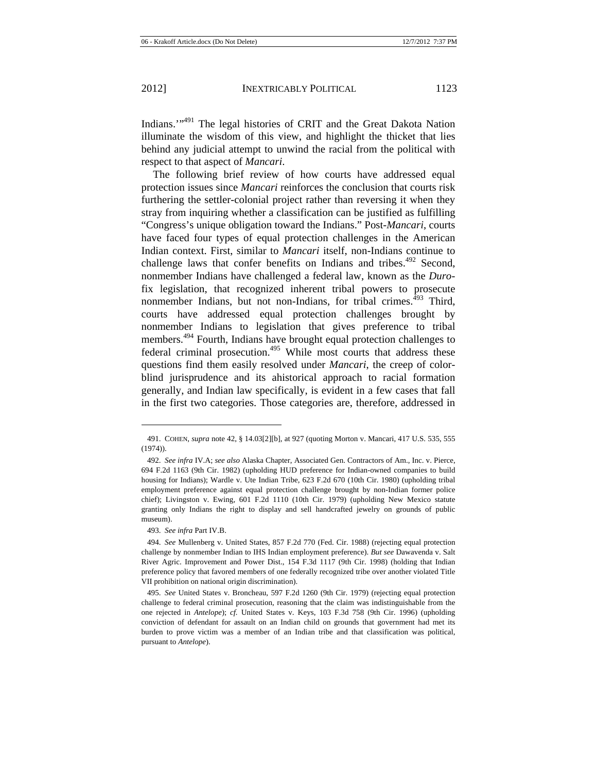Indians.'"491 The legal histories of CRIT and the Great Dakota Nation illuminate the wisdom of this view, and highlight the thicket that lies behind any judicial attempt to unwind the racial from the political with respect to that aspect of *Mancari*.

The following brief review of how courts have addressed equal protection issues since *Mancari* reinforces the conclusion that courts risk furthering the settler-colonial project rather than reversing it when they stray from inquiring whether a classification can be justified as fulfilling "Congress's unique obligation toward the Indians." Post-*Mancari*, courts have faced four types of equal protection challenges in the American Indian context. First, similar to *Mancari* itself, non-Indians continue to challenge laws that confer benefits on Indians and tribes.<sup> $492$ </sup> Second, nonmember Indians have challenged a federal law, known as the *Duro*fix legislation, that recognized inherent tribal powers to prosecute nonmember Indians, but not non-Indians, for tribal crimes.<sup>493</sup> Third, courts have addressed equal protection challenges brought by nonmember Indians to legislation that gives preference to tribal members.<sup>494</sup> Fourth, Indians have brought equal protection challenges to federal criminal prosecution.<sup>495</sup> While most courts that address these questions find them easily resolved under *Mancari*, the creep of colorblind jurisprudence and its ahistorical approach to racial formation generally, and Indian law specifically, is evident in a few cases that fall in the first two categories. Those categories are, therefore, addressed in

 $\overline{a}$ 

<sup>491.</sup> COHEN, *supra* note 42, § 14.03[2][b], at 927 (quoting Morton v. Mancari, 417 U.S. 535, 555 (1974)).

<sup>492.</sup> *See infra* IV.A; *see also* Alaska Chapter, Associated Gen. Contractors of Am., Inc. v. Pierce, 694 F.2d 1163 (9th Cir. 1982) (upholding HUD preference for Indian-owned companies to build housing for Indians); Wardle v. Ute Indian Tribe, 623 F.2d 670 (10th Cir. 1980) (upholding tribal employment preference against equal protection challenge brought by non-Indian former police chief); Livingston v. Ewing, 601 F.2d 1110 (10th Cir. 1979) (upholding New Mexico statute granting only Indians the right to display and sell handcrafted jewelry on grounds of public museum).

<sup>493.</sup> *See infra* Part IV.B.

<sup>494.</sup> *See* Mullenberg v. United States, 857 F.2d 770 (Fed. Cir. 1988) (rejecting equal protection challenge by nonmember Indian to IHS Indian employment preference). *But see* Dawavenda v. Salt River Agric. Improvement and Power Dist., 154 F.3d 1117 (9th Cir. 1998) (holding that Indian preference policy that favored members of one federally recognized tribe over another violated Title VII prohibition on national origin discrimination).

<sup>495.</sup> *See* United States v. Broncheau, 597 F.2d 1260 (9th Cir. 1979) (rejecting equal protection challenge to federal criminal prosecution, reasoning that the claim was indistinguishable from the one rejected in *Antelope*); *cf.* United States v. Keys, 103 F.3d 758 (9th Cir. 1996) (upholding conviction of defendant for assault on an Indian child on grounds that government had met its burden to prove victim was a member of an Indian tribe and that classification was political, pursuant to *Antelope*).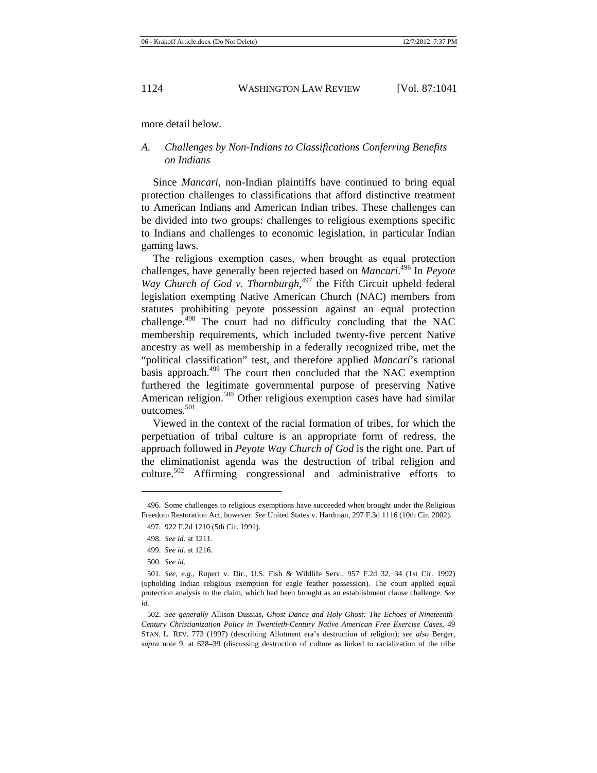more detail below.

## *A. Challenges by Non-Indians to Classifications Conferring Benefits on Indians*

Since *Mancari*, non-Indian plaintiffs have continued to bring equal protection challenges to classifications that afford distinctive treatment to American Indians and American Indian tribes. These challenges can be divided into two groups: challenges to religious exemptions specific to Indians and challenges to economic legislation, in particular Indian gaming laws.

The religious exemption cases, when brought as equal protection challenges, have generally been rejected based on *Mancari*. 496 In *Peyote*  Way Church of God v. Thornburgh,<sup>497</sup> the Fifth Circuit upheld federal legislation exempting Native American Church (NAC) members from statutes prohibiting peyote possession against an equal protection challenge.498 The court had no difficulty concluding that the NAC membership requirements, which included twenty-five percent Native ancestry as well as membership in a federally recognized tribe, met the "political classification" test, and therefore applied *Mancari*'s rational basis approach.<sup>499</sup> The court then concluded that the NAC exemption furthered the legitimate governmental purpose of preserving Native American religion.<sup>500</sup> Other religious exemption cases have had similar outcomes.<sup>501</sup>

Viewed in the context of the racial formation of tribes, for which the perpetuation of tribal culture is an appropriate form of redress, the approach followed in *Peyote Way Church of God* is the right one. Part of the eliminationist agenda was the destruction of tribal religion and culture.<sup>502</sup> Affirming congressional and administrative efforts to

<sup>496.</sup> Some challenges to religious exemptions have succeeded when brought under the Religious Freedom Restoration Act, however. *See* United States v. Hardman, 297 F.3d 1116 (10th Cir. 2002). 497. 922 F.2d 1210 (5th Cir. 1991).

<sup>498.</sup> *See id.* at 1211.

<sup>499.</sup> *See id.* at 1216.

<sup>500.</sup> *See id.* 

<sup>501.</sup> *See*, *e.g.*, Rupert v. Dir., U.S. Fish & Wildlife Serv., 957 F.2d 32, 34 (1st Cir. 1992) (upholding Indian religious exemption for eagle feather possession). The court applied equal protection analysis to the claim, which had been brought as an establishment clause challenge. *See id.*

<sup>502.</sup> *See generally* Allison Dussias, *Ghost Dance and Holy Ghost: The Echoes of Nineteenth-Century Christianization Policy in Twentieth-Century Native American Free Exercise Cases*, 49 STAN. L. REV. 773 (1997) (describing Allotment era's destruction of religion); *see also* Berger, *supra* note 9, at 628–39 (discussing destruction of culture as linked to racialization of the tribe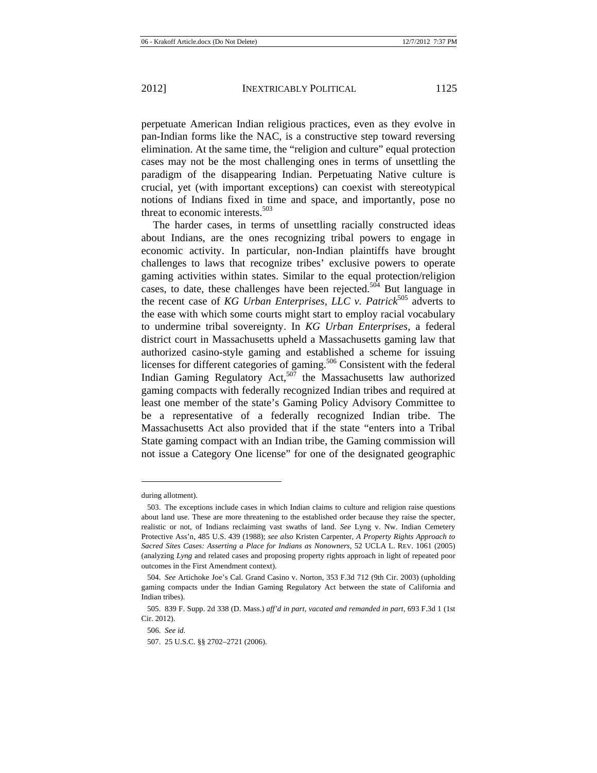perpetuate American Indian religious practices, even as they evolve in pan-Indian forms like the NAC, is a constructive step toward reversing elimination. At the same time, the "religion and culture" equal protection cases may not be the most challenging ones in terms of unsettling the paradigm of the disappearing Indian. Perpetuating Native culture is crucial, yet (with important exceptions) can coexist with stereotypical notions of Indians fixed in time and space, and importantly, pose no threat to economic interests.<sup>503</sup>

The harder cases, in terms of unsettling racially constructed ideas about Indians, are the ones recognizing tribal powers to engage in economic activity. In particular, non-Indian plaintiffs have brought challenges to laws that recognize tribes' exclusive powers to operate gaming activities within states. Similar to the equal protection/religion cases, to date, these challenges have been rejected.<sup>504</sup> But language in the recent case of *KG Urban Enterprises, LLC v. Patrick*505 adverts to the ease with which some courts might start to employ racial vocabulary to undermine tribal sovereignty. In *KG Urban Enterprises*, a federal district court in Massachusetts upheld a Massachusetts gaming law that authorized casino-style gaming and established a scheme for issuing licenses for different categories of gaming.<sup>506</sup> Consistent with the federal Indian Gaming Regulatory Act,<sup>507</sup> the Massachusetts law authorized gaming compacts with federally recognized Indian tribes and required at least one member of the state's Gaming Policy Advisory Committee to be a representative of a federally recognized Indian tribe. The Massachusetts Act also provided that if the state "enters into a Tribal State gaming compact with an Indian tribe, the Gaming commission will not issue a Category One license" for one of the designated geographic

during allotment).

<sup>503.</sup> The exceptions include cases in which Indian claims to culture and religion raise questions about land use. These are more threatening to the established order because they raise the specter, realistic or not, of Indians reclaiming vast swaths of land. *See* Lyng v. Nw. Indian Cemetery Protective Ass'n, 485 U.S. 439 (1988); *see also* Kristen Carpenter, *A Property Rights Approach to Sacred Sites Cases: Asserting a Place for Indians as Nonowners*, 52 UCLA L. REV. 1061 (2005) (analyzing *Lyng* and related cases and proposing property rights approach in light of repeated poor outcomes in the First Amendment context).

<sup>504.</sup> *See* Artichoke Joe's Cal. Grand Casino v. Norton, 353 F.3d 712 (9th Cir. 2003) (upholding gaming compacts under the Indian Gaming Regulatory Act between the state of California and Indian tribes).

<sup>505. 839</sup> F. Supp. 2d 338 (D. Mass.) *aff'd in part, vacated and remanded in part*, 693 F.3d 1 (1st Cir. 2012).

<sup>506.</sup> *See id.*

<sup>507. 25</sup> U.S.C. §§ 2702–2721 (2006).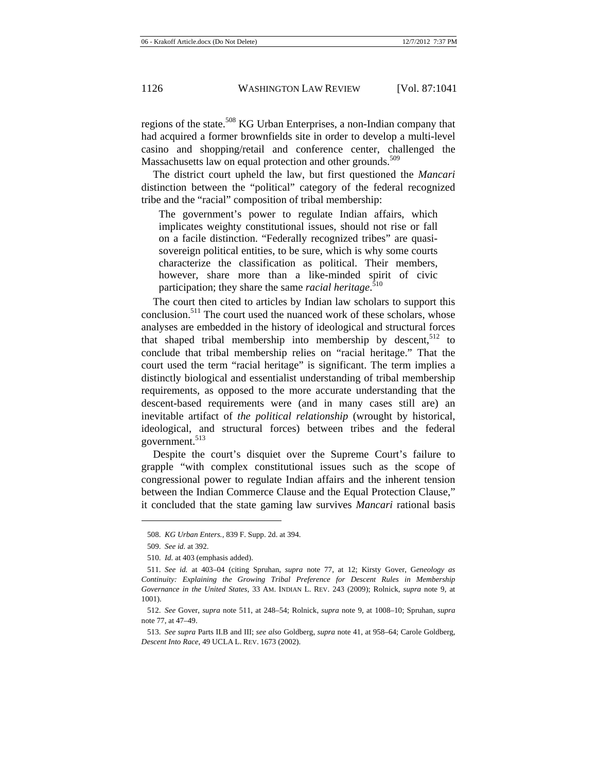regions of the state.<sup>508</sup> KG Urban Enterprises, a non-Indian company that had acquired a former brownfields site in order to develop a multi-level casino and shopping/retail and conference center, challenged the Massachusetts law on equal protection and other grounds.<sup>509</sup>

The district court upheld the law, but first questioned the *Mancari* distinction between the "political" category of the federal recognized tribe and the "racial" composition of tribal membership:

The government's power to regulate Indian affairs, which implicates weighty constitutional issues, should not rise or fall on a facile distinction. "Federally recognized tribes" are quasisovereign political entities, to be sure, which is why some courts characterize the classification as political. Their members, however, share more than a like-minded spirit of civic participation; they share the same *racial heritage*. 510

The court then cited to articles by Indian law scholars to support this conclusion.<sup>511</sup> The court used the nuanced work of these scholars, whose analyses are embedded in the history of ideological and structural forces that shaped tribal membership into membership by descent,  $512$  to conclude that tribal membership relies on "racial heritage." That the court used the term "racial heritage" is significant. The term implies a distinctly biological and essentialist understanding of tribal membership requirements, as opposed to the more accurate understanding that the descent-based requirements were (and in many cases still are) an inevitable artifact of *the political relationship* (wrought by historical, ideological, and structural forces) between tribes and the federal government.<sup>513</sup>

Despite the court's disquiet over the Supreme Court's failure to grapple "with complex constitutional issues such as the scope of congressional power to regulate Indian affairs and the inherent tension between the Indian Commerce Clause and the Equal Protection Clause," it concluded that the state gaming law survives *Mancari* rational basis

<sup>508.</sup> *KG Urban Enters.*, 839 F. Supp. 2d. at 394.

<sup>509.</sup> *See id.* at 392.

<sup>510.</sup> *Id.* at 403 (emphasis added).

<sup>511.</sup> *See id.* at 403–04 (citing Spruhan, *supra* note 77, at 12; Kirsty Gover, G*eneology as Continuity: Explaining the Growing Tribal Preference for Descent Rules in Membership Governance in the United States,* 33 AM. INDIAN L. REV. 243 (2009); Rolnick, *supra* note 9, at 1001).

<sup>512.</sup> *See* Gover, *supra* note 511, at 248–54; Rolnick, *supra* note 9, at 1008–10; Spruhan, *supra* note 77, at 47–49.

<sup>513.</sup> *See supra* Parts II.B and III; *see also* Goldberg, *supra* note 41, at 958–64; Carole Goldberg, *Descent Into Race*, 49 UCLA L. REV. 1673 (2002).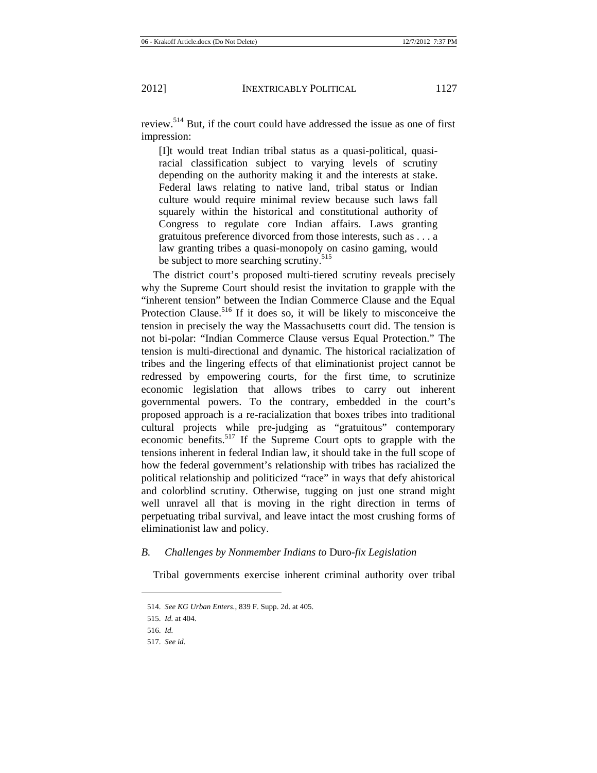review.514 But, if the court could have addressed the issue as one of first impression:

[I]t would treat Indian tribal status as a quasi-political, quasiracial classification subject to varying levels of scrutiny depending on the authority making it and the interests at stake. Federal laws relating to native land, tribal status or Indian culture would require minimal review because such laws fall squarely within the historical and constitutional authority of Congress to regulate core Indian affairs. Laws granting gratuitous preference divorced from those interests, such as . . . a law granting tribes a quasi-monopoly on casino gaming, would be subject to more searching scrutiny.<sup>515</sup>

The district court's proposed multi-tiered scrutiny reveals precisely why the Supreme Court should resist the invitation to grapple with the "inherent tension" between the Indian Commerce Clause and the Equal Protection Clause.<sup>516</sup> If it does so, it will be likely to misconceive the tension in precisely the way the Massachusetts court did. The tension is not bi-polar: "Indian Commerce Clause versus Equal Protection." The tension is multi-directional and dynamic. The historical racialization of tribes and the lingering effects of that eliminationist project cannot be redressed by empowering courts, for the first time, to scrutinize economic legislation that allows tribes to carry out inherent governmental powers. To the contrary, embedded in the court's proposed approach is a re-racialization that boxes tribes into traditional cultural projects while pre-judging as "gratuitous" contemporary economic benefits.<sup>517</sup> If the Supreme Court opts to grapple with the tensions inherent in federal Indian law, it should take in the full scope of how the federal government's relationship with tribes has racialized the political relationship and politicized "race" in ways that defy ahistorical and colorblind scrutiny. Otherwise, tugging on just one strand might well unravel all that is moving in the right direction in terms of perpetuating tribal survival, and leave intact the most crushing forms of eliminationist law and policy.

#### *B. Challenges by Nonmember Indians to* Duro*-fix Legislation*

Tribal governments exercise inherent criminal authority over tribal

<sup>514.</sup> *See KG Urban Enters.*, 839 F. Supp. 2d. at 405.

<sup>515.</sup> *Id.* at 404.

<sup>516.</sup> *Id.*

<sup>517.</sup> *See id.*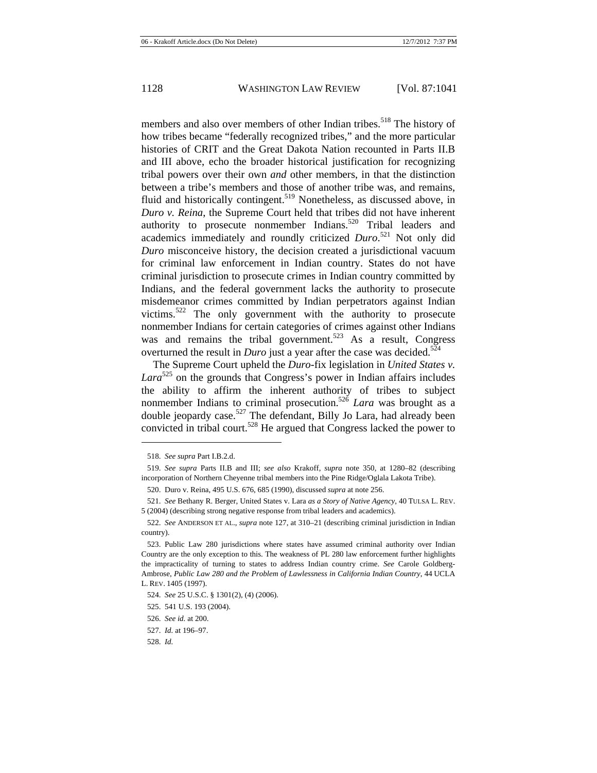members and also over members of other Indian tribes.<sup>518</sup> The history of how tribes became "federally recognized tribes," and the more particular histories of CRIT and the Great Dakota Nation recounted in Parts II.B and III above, echo the broader historical justification for recognizing tribal powers over their own *and* other members, in that the distinction between a tribe's members and those of another tribe was, and remains, fluid and historically contingent.<sup>519</sup> Nonetheless, as discussed above, in *Duro v. Reina*, the Supreme Court held that tribes did not have inherent authority to prosecute nonmember Indians.520 Tribal leaders and academics immediately and roundly criticized *Duro*. 521 Not only did *Duro* misconceive history, the decision created a jurisdictional vacuum for criminal law enforcement in Indian country. States do not have criminal jurisdiction to prosecute crimes in Indian country committed by Indians, and the federal government lacks the authority to prosecute misdemeanor crimes committed by Indian perpetrators against Indian victims.<sup>522</sup> The only government with the authority to prosecute nonmember Indians for certain categories of crimes against other Indians was and remains the tribal government.<sup>523</sup> As a result, Congress overturned the result in *Duro* just a year after the case was decided.<sup>524</sup>

The Supreme Court upheld the *Duro*-fix legislation in *United States v.*  Lara<sup>525</sup> on the grounds that Congress's power in Indian affairs includes the ability to affirm the inherent authority of tribes to subject nonmember Indians to criminal prosecution.<sup>526</sup> *Lara* was brought as a double jeopardy case.<sup>527</sup> The defendant, Billy Jo Lara, had already been convicted in tribal court.528 He argued that Congress lacked the power to

 $\overline{a}$ 

<sup>518.</sup> *See supra* Part I.B.2.d.

<sup>519.</sup> *See supra* Parts II.B and III; *see also* Krakoff, *supra* note 350, at 1280–82 (describing incorporation of Northern Cheyenne tribal members into the Pine Ridge/Oglala Lakota Tribe).

<sup>520.</sup> Duro v. Reina, 495 U.S. 676, 685 (1990), discussed *supra* at note 256.

<sup>521.</sup> *See* Bethany R. Berger, United States v. Lara *as a Story of Native Agency*, 40 TULSA L. REV. 5 (2004) (describing strong negative response from tribal leaders and academics).

<sup>522.</sup> *See* ANDERSON ET AL., *supra* note 127, at 310–21 (describing criminal jurisdiction in Indian country).

<sup>523.</sup> Public Law 280 jurisdictions where states have assumed criminal authority over Indian Country are the only exception to this. The weakness of PL 280 law enforcement further highlights the impracticality of turning to states to address Indian country crime. *See* Carole Goldberg-Ambrose, *Public Law 280 and the Problem of Lawlessness in California Indian Country*, 44 UCLA L. REV. 1405 (1997).

<sup>524.</sup> *See* 25 U.S.C. § 1301(2), (4) (2006).

<sup>525. 541</sup> U.S. 193 (2004).

<sup>526.</sup> *See id.* at 200.

<sup>527.</sup> *Id.* at 196–97.

<sup>528.</sup> *Id.*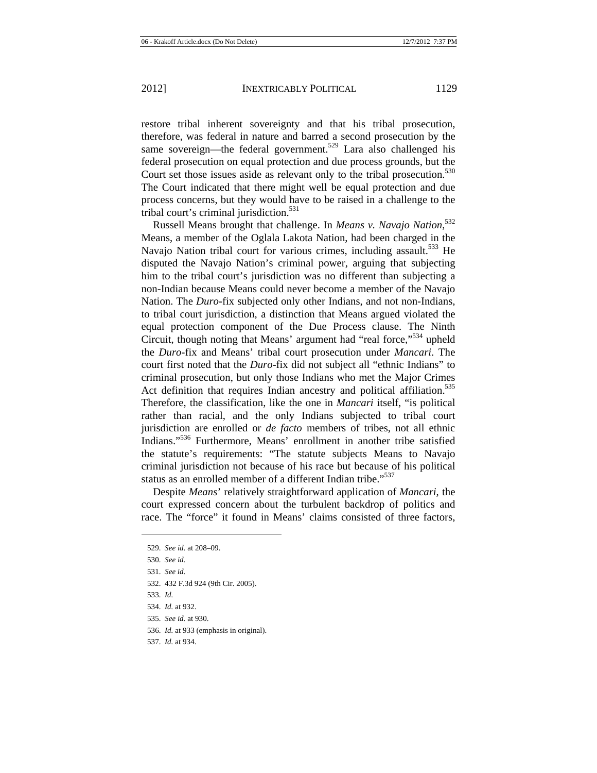restore tribal inherent sovereignty and that his tribal prosecution, therefore, was federal in nature and barred a second prosecution by the same sovereign—the federal government.<sup>529</sup> Lara also challenged his federal prosecution on equal protection and due process grounds, but the Court set those issues aside as relevant only to the tribal prosecution.<sup>530</sup> The Court indicated that there might well be equal protection and due process concerns, but they would have to be raised in a challenge to the tribal court's criminal jurisdiction.<sup>531</sup>

Russell Means brought that challenge. In *Means v. Navajo Nation*, 532 Means, a member of the Oglala Lakota Nation, had been charged in the Navajo Nation tribal court for various crimes, including assault.<sup>533</sup> He disputed the Navajo Nation's criminal power, arguing that subjecting him to the tribal court's jurisdiction was no different than subjecting a non-Indian because Means could never become a member of the Navajo Nation. The *Duro*-fix subjected only other Indians, and not non-Indians, to tribal court jurisdiction, a distinction that Means argued violated the equal protection component of the Due Process clause. The Ninth Circuit, though noting that Means' argument had "real force,"<sup>534</sup> upheld the *Duro*-fix and Means' tribal court prosecution under *Mancari*. The court first noted that the *Duro*-fix did not subject all "ethnic Indians" to criminal prosecution, but only those Indians who met the Major Crimes Act definition that requires Indian ancestry and political affiliation.<sup>535</sup> Therefore, the classification, like the one in *Mancari* itself, "is political rather than racial, and the only Indians subjected to tribal court jurisdiction are enrolled or *de facto* members of tribes, not all ethnic Indians."536 Furthermore, Means' enrollment in another tribe satisfied the statute's requirements: "The statute subjects Means to Navajo criminal jurisdiction not because of his race but because of his political status as an enrolled member of a different Indian tribe."<sup>537</sup>

Despite *Means*' relatively straightforward application of *Mancari*, the court expressed concern about the turbulent backdrop of politics and race. The "force" it found in Means' claims consisted of three factors,

- 532. 432 F.3d 924 (9th Cir. 2005).
- 533. *Id.*

<sup>529.</sup> *See id.* at 208–09.

<sup>530.</sup> *See id.*

<sup>531.</sup> *See id.* 

<sup>534.</sup> *Id.* at 932.

<sup>535.</sup> *See id.* at 930.

<sup>536.</sup> *Id.* at 933 (emphasis in original).

<sup>537.</sup> *Id.* at 934.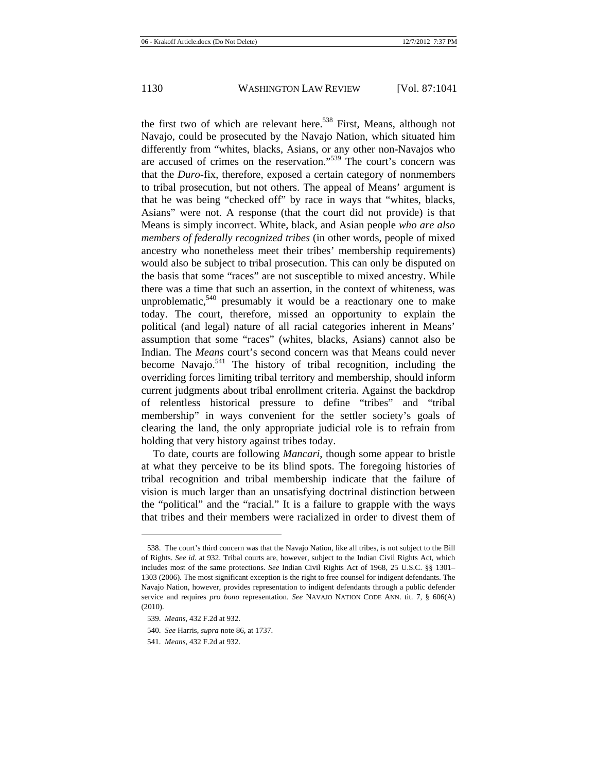the first two of which are relevant here.<sup>538</sup> First, Means, although not Navajo, could be prosecuted by the Navajo Nation, which situated him differently from "whites, blacks, Asians, or any other non-Navajos who are accused of crimes on the reservation."539 The court's concern was that the *Duro*-fix, therefore, exposed a certain category of nonmembers to tribal prosecution, but not others. The appeal of Means' argument is that he was being "checked off" by race in ways that "whites, blacks, Asians" were not. A response (that the court did not provide) is that Means is simply incorrect. White, black, and Asian people *who are also members of federally recognized tribes* (in other words, people of mixed ancestry who nonetheless meet their tribes' membership requirements) would also be subject to tribal prosecution. This can only be disputed on the basis that some "races" are not susceptible to mixed ancestry. While there was a time that such an assertion, in the context of whiteness, was unproblematic,  $540$  presumably it would be a reactionary one to make today. The court, therefore, missed an opportunity to explain the political (and legal) nature of all racial categories inherent in Means' assumption that some "races" (whites, blacks, Asians) cannot also be Indian. The *Means* court's second concern was that Means could never become Navajo.<sup>541</sup> The history of tribal recognition, including the overriding forces limiting tribal territory and membership, should inform current judgments about tribal enrollment criteria. Against the backdrop of relentless historical pressure to define "tribes" and "tribal membership" in ways convenient for the settler society's goals of clearing the land, the only appropriate judicial role is to refrain from holding that very history against tribes today.

To date, courts are following *Mancari*, though some appear to bristle at what they perceive to be its blind spots. The foregoing histories of tribal recognition and tribal membership indicate that the failure of vision is much larger than an unsatisfying doctrinal distinction between the "political" and the "racial." It is a failure to grapple with the ways that tribes and their members were racialized in order to divest them of

<sup>538.</sup> The court's third concern was that the Navajo Nation, like all tribes, is not subject to the Bill of Rights. *See id.* at 932. Tribal courts are, however, subject to the Indian Civil Rights Act, which includes most of the same protections. *See* Indian Civil Rights Act of 1968, 25 U.S.C. §§ 1301– 1303 (2006). The most significant exception is the right to free counsel for indigent defendants. The Navajo Nation, however, provides representation to indigent defendants through a public defender service and requires *pro bono* representation. *See* NAVAJO NATION CODE ANN. tit. 7, § 606(A) (2010).

<sup>539.</sup> *Means*, 432 F.2d at 932.

<sup>540.</sup> *See* Harris, *supra* note 86, at 1737.

<sup>541.</sup> *Means*, 432 F.2d at 932.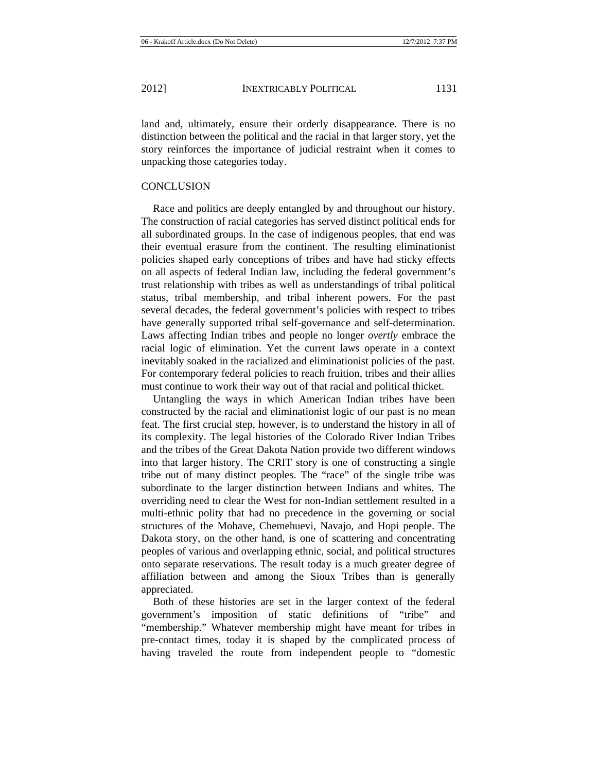land and, ultimately, ensure their orderly disappearance. There is no distinction between the political and the racial in that larger story, yet the story reinforces the importance of judicial restraint when it comes to unpacking those categories today.

### **CONCLUSION**

Race and politics are deeply entangled by and throughout our history. The construction of racial categories has served distinct political ends for all subordinated groups. In the case of indigenous peoples, that end was their eventual erasure from the continent. The resulting eliminationist policies shaped early conceptions of tribes and have had sticky effects on all aspects of federal Indian law, including the federal government's trust relationship with tribes as well as understandings of tribal political status, tribal membership, and tribal inherent powers. For the past several decades, the federal government's policies with respect to tribes have generally supported tribal self-governance and self-determination. Laws affecting Indian tribes and people no longer *overtly* embrace the racial logic of elimination. Yet the current laws operate in a context inevitably soaked in the racialized and eliminationist policies of the past. For contemporary federal policies to reach fruition, tribes and their allies must continue to work their way out of that racial and political thicket.

Untangling the ways in which American Indian tribes have been constructed by the racial and eliminationist logic of our past is no mean feat. The first crucial step, however, is to understand the history in all of its complexity. The legal histories of the Colorado River Indian Tribes and the tribes of the Great Dakota Nation provide two different windows into that larger history. The CRIT story is one of constructing a single tribe out of many distinct peoples. The "race" of the single tribe was subordinate to the larger distinction between Indians and whites. The overriding need to clear the West for non-Indian settlement resulted in a multi-ethnic polity that had no precedence in the governing or social structures of the Mohave, Chemehuevi, Navajo, and Hopi people. The Dakota story, on the other hand, is one of scattering and concentrating peoples of various and overlapping ethnic, social, and political structures onto separate reservations. The result today is a much greater degree of affiliation between and among the Sioux Tribes than is generally appreciated.

Both of these histories are set in the larger context of the federal government's imposition of static definitions of "tribe" and "membership." Whatever membership might have meant for tribes in pre-contact times, today it is shaped by the complicated process of having traveled the route from independent people to "domestic